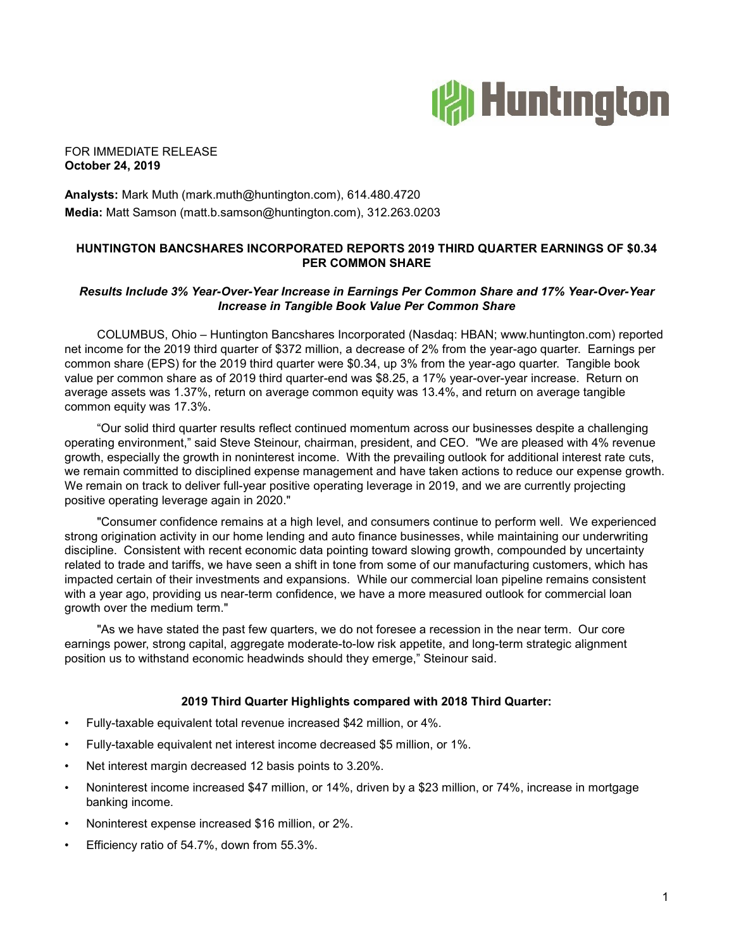

## FOR IMMEDIATE RELEASE **October 24, 2019**

**Analysts:** Mark Muth (mark.muth@huntington.com), 614.480.4720 **Media:** Matt Samson (matt.b.samson@huntington.com), 312.263.0203

# **HUNTINGTON BANCSHARES INCORPORATED REPORTS 2019 THIRD QUARTER EARNINGS OF \$0.34 PER COMMON SHARE**

## *Results Include 3% Year-Over-Year Increase in Earnings Per Common Share and 17% Year-Over-Year Increase in Tangible Book Value Per Common Share*

COLUMBUS, Ohio – Huntington Bancshares Incorporated (Nasdaq: HBAN; www.huntington.com) reported net income for the 2019 third quarter of \$372 million, a decrease of 2% from the year-ago quarter. Earnings per common share (EPS) for the 2019 third quarter were \$0.34, up 3% from the year-ago quarter. Tangible book value per common share as of 2019 third quarter-end was \$8.25, a 17% year-over-year increase. Return on average assets was 1.37%, return on average common equity was 13.4%, and return on average tangible common equity was 17.3%.

"Our solid third quarter results reflect continued momentum across our businesses despite a challenging operating environment," said Steve Steinour, chairman, president, and CEO. "We are pleased with 4% revenue growth, especially the growth in noninterest income. With the prevailing outlook for additional interest rate cuts, we remain committed to disciplined expense management and have taken actions to reduce our expense growth. We remain on track to deliver full-year positive operating leverage in 2019, and we are currently projecting positive operating leverage again in 2020."

"Consumer confidence remains at a high level, and consumers continue to perform well. We experienced strong origination activity in our home lending and auto finance businesses, while maintaining our underwriting discipline. Consistent with recent economic data pointing toward slowing growth, compounded by uncertainty related to trade and tariffs, we have seen a shift in tone from some of our manufacturing customers, which has impacted certain of their investments and expansions. While our commercial loan pipeline remains consistent with a year ago, providing us near-term confidence, we have a more measured outlook for commercial loan growth over the medium term."

"As we have stated the past few quarters, we do not foresee a recession in the near term. Our core earnings power, strong capital, aggregate moderate-to-low risk appetite, and long-term strategic alignment position us to withstand economic headwinds should they emerge," Steinour said.

## **2019 Third Quarter Highlights compared with 2018 Third Quarter:**

- Fully-taxable equivalent total revenue increased \$42 million, or 4%.
- Fully-taxable equivalent net interest income decreased \$5 million, or 1%.
- Net interest margin decreased 12 basis points to 3.20%.
- Noninterest income increased \$47 million, or 14%, driven by a \$23 million, or 74%, increase in mortgage banking income.
- Noninterest expense increased \$16 million, or 2%.
- Efficiency ratio of 54.7%, down from 55.3%.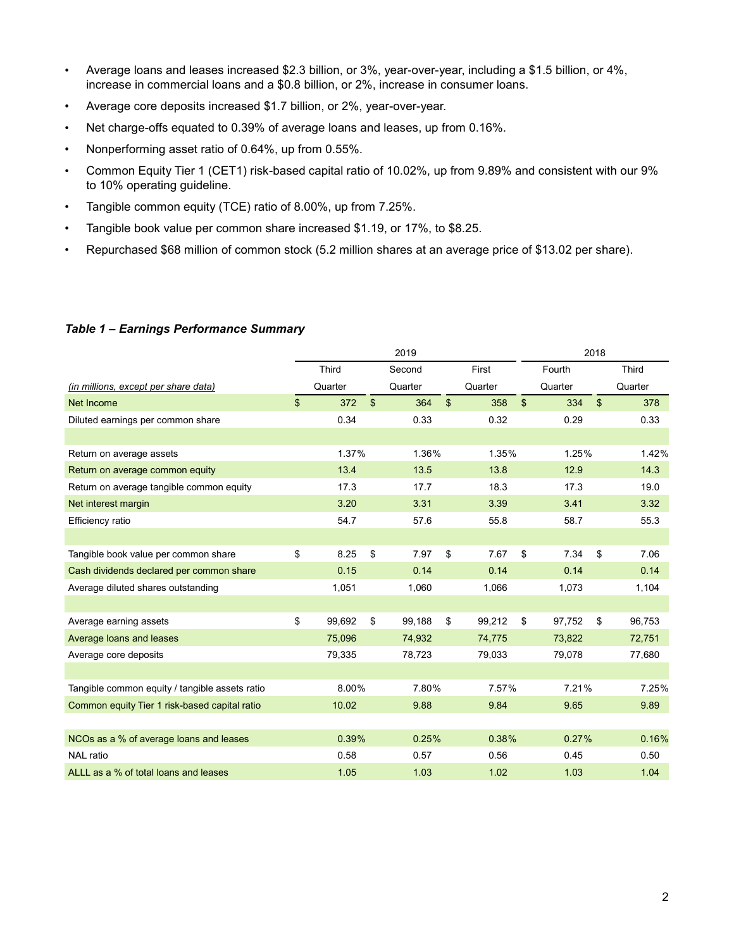- Average loans and leases increased \$2.3 billion, or 3%, year-over-year, including a \$1.5 billion, or 4%, increase in commercial loans and a \$0.8 billion, or 2%, increase in consumer loans.
- Average core deposits increased \$1.7 billion, or 2%, year-over-year.
- Net charge-offs equated to 0.39% of average loans and leases, up from 0.16%.
- Nonperforming asset ratio of 0.64%, up from 0.55%.
- Common Equity Tier 1 (CET1) risk-based capital ratio of 10.02%, up from 9.89% and consistent with our 9% to 10% operating guideline.
- Tangible common equity (TCE) ratio of 8.00%, up from 7.25%.
- Tangible book value per common share increased \$1.19, or 17%, to \$8.25.
- Repurchased \$68 million of common stock (5.2 million shares at an average price of \$13.02 per share).

## *Table 1 – Earnings Performance Summary*

|                                                | 2019 |         |                |         |                |         |                |         | 2018           |         |  |
|------------------------------------------------|------|---------|----------------|---------|----------------|---------|----------------|---------|----------------|---------|--|
|                                                |      | Third   |                | Second  |                | First   |                | Fourth  |                | Third   |  |
| (in millions, except per share data)           |      | Quarter |                | Quarter |                | Quarter |                | Quarter |                | Quarter |  |
| Net Income                                     | \$   | 372     | $\mathfrak{S}$ | 364     | $\mathfrak{L}$ | 358     | $\mathfrak{S}$ | 334     | $\mathfrak{S}$ | 378     |  |
| Diluted earnings per common share              |      | 0.34    |                | 0.33    |                | 0.32    |                | 0.29    |                | 0.33    |  |
|                                                |      |         |                |         |                |         |                |         |                |         |  |
| Return on average assets                       |      | 1.37%   |                | 1.36%   |                | 1.35%   |                | 1.25%   |                | 1.42%   |  |
| Return on average common equity                |      | 13.4    |                | 13.5    |                | 13.8    |                | 12.9    |                | 14.3    |  |
| Return on average tangible common equity       |      | 17.3    |                | 17.7    |                | 18.3    |                | 17.3    |                | 19.0    |  |
| Net interest margin                            |      | 3.20    |                | 3.31    |                | 3.39    |                | 3.41    |                | 3.32    |  |
| Efficiency ratio                               |      | 54.7    |                | 57.6    |                | 55.8    |                | 58.7    |                | 55.3    |  |
|                                                |      |         |                |         |                |         |                |         |                |         |  |
| Tangible book value per common share           | \$   | 8.25    | \$             | 7.97    | \$             | 7.67    | \$             | 7.34    | \$             | 7.06    |  |
| Cash dividends declared per common share       |      | 0.15    |                | 0.14    |                | 0.14    |                | 0.14    |                | 0.14    |  |
| Average diluted shares outstanding             |      | 1,051   |                | 1,060   |                | 1,066   |                | 1,073   |                | 1,104   |  |
|                                                |      |         |                |         |                |         |                |         |                |         |  |
| Average earning assets                         | \$   | 99,692  | \$             | 99,188  | \$             | 99,212  | \$             | 97,752  | \$             | 96,753  |  |
| Average loans and leases                       |      | 75,096  |                | 74,932  |                | 74,775  |                | 73,822  |                | 72,751  |  |
| Average core deposits                          |      | 79,335  |                | 78,723  |                | 79,033  |                | 79,078  |                | 77,680  |  |
|                                                |      |         |                |         |                |         |                |         |                |         |  |
| Tangible common equity / tangible assets ratio |      | 8.00%   |                | 7.80%   |                | 7.57%   |                | 7.21%   |                | 7.25%   |  |
| Common equity Tier 1 risk-based capital ratio  |      | 10.02   |                | 9.88    |                | 9.84    |                | 9.65    |                | 9.89    |  |
|                                                |      |         |                |         |                |         |                |         |                |         |  |
| NCOs as a % of average loans and leases        |      | 0.39%   |                | 0.25%   |                | 0.38%   |                | 0.27%   |                | 0.16%   |  |
| <b>NAL</b> ratio                               |      | 0.58    |                | 0.57    |                | 0.56    |                | 0.45    |                | 0.50    |  |
| ALLL as a % of total loans and leases          |      | 1.05    |                | 1.03    |                | 1.02    |                | 1.03    |                | 1.04    |  |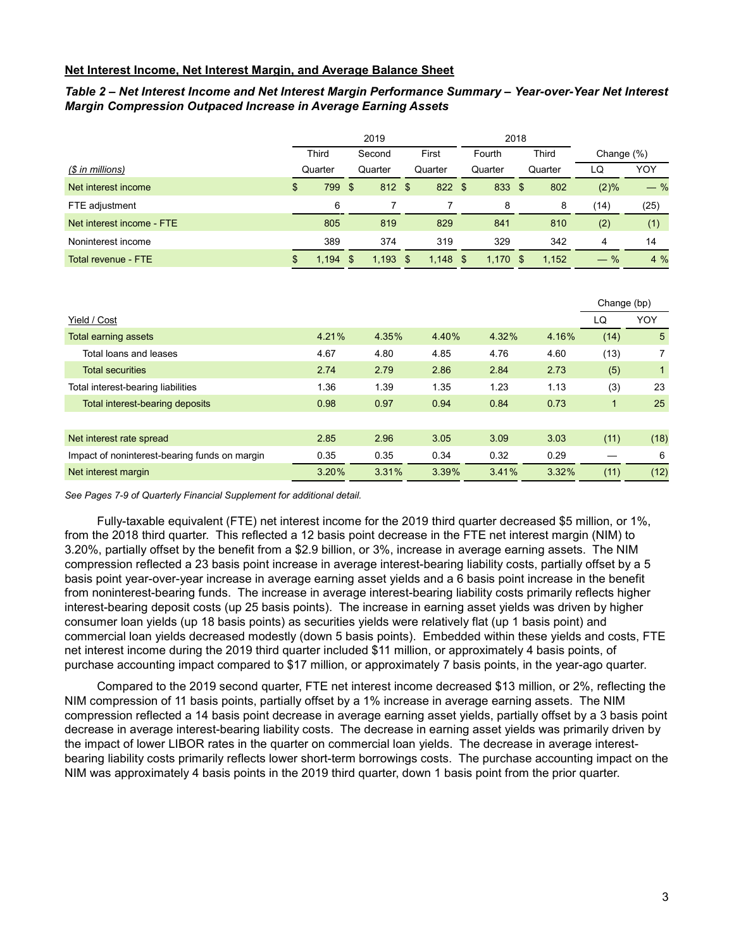## **Net Interest Income, Net Interest Margin, and Average Balance Sheet**

## *Table 2 – Net Interest Income and Net Interest Margin Performance Summary – Year-over-Year Net Interest Margin Compression Outpaced Increase in Average Earning Assets*

|                           |              |    | 2019    |             |      |            | 2018 |              |               |       |
|---------------------------|--------------|----|---------|-------------|------|------------|------|--------------|---------------|-------|
|                           | <b>Third</b> |    | Second  | First       |      | Fourth     |      | <b>Third</b> | Change $(\%)$ |       |
| (\$ in millions)          | Quarter      |    | Quarter | Quarter     |      | Quarter    |      | Quarter      | LQ            | YOY   |
| Net interest income       | \$<br>799    | \$ | 812 \$  | 822         | - \$ | 833 \$     |      | 802          | (2)%          | $-$ % |
| FTE adjustment            | 6            |    |         |             |      | 8          |      | 8            | (14)          | (25)  |
| Net interest income - FTE | 805          |    | 819     | 829         |      | 841        |      | 810          | (2)           | (1)   |
| Noninterest income        | 389          |    | 374     | 319         |      | 329        |      | 342          | 4             | 14    |
| Total revenue - FTE       | \$<br>1,194  | \$ | 1,193   | \$<br>1,148 | \$   | $1,170$ \$ |      | 1,152        | $-$ %         | 4%    |

|                                               |       |       |       |       |       | Change (bp) |      |
|-----------------------------------------------|-------|-------|-------|-------|-------|-------------|------|
| Yield / Cost                                  |       |       |       |       |       | LQ          | YOY  |
| <b>Total earning assets</b>                   | 4.21% | 4.35% | 4.40% | 4.32% | 4.16% | (14)        | 5    |
| Total loans and leases                        | 4.67  | 4.80  | 4.85  | 4.76  | 4.60  | (13)        |      |
| <b>Total securities</b>                       | 2.74  | 2.79  | 2.86  | 2.84  | 2.73  | (5)         |      |
| Total interest-bearing liabilities            | 1.36  | 1.39  | 1.35  | 1.23  | 1.13  | (3)         | 23   |
| Total interest-bearing deposits               | 0.98  | 0.97  | 0.94  | 0.84  | 0.73  | 1.          | 25   |
|                                               |       |       |       |       |       |             |      |
| Net interest rate spread                      | 2.85  | 2.96  | 3.05  | 3.09  | 3.03  | (11)        | (18) |
| Impact of noninterest-bearing funds on margin | 0.35  | 0.35  | 0.34  | 0.32  | 0.29  |             | 6    |
| Net interest margin                           | 3.20% | 3.31% | 3.39% | 3.41% | 3.32% | (11)        | (12) |

*See Pages 7-9 of Quarterly Financial Supplement for additional detail.*

Fully-taxable equivalent (FTE) net interest income for the 2019 third quarter decreased \$5 million, or 1%, from the 2018 third quarter. This reflected a 12 basis point decrease in the FTE net interest margin (NIM) to 3.20%, partially offset by the benefit from a \$2.9 billion, or 3%, increase in average earning assets. The NIM compression reflected a 23 basis point increase in average interest-bearing liability costs, partially offset by a 5 basis point year-over-year increase in average earning asset yields and a 6 basis point increase in the benefit from noninterest-bearing funds. The increase in average interest-bearing liability costs primarily reflects higher interest-bearing deposit costs (up 25 basis points). The increase in earning asset yields was driven by higher consumer loan yields (up 18 basis points) as securities yields were relatively flat (up 1 basis point) and commercial loan yields decreased modestly (down 5 basis points). Embedded within these yields and costs, FTE net interest income during the 2019 third quarter included \$11 million, or approximately 4 basis points, of purchase accounting impact compared to \$17 million, or approximately 7 basis points, in the year-ago quarter.

Compared to the 2019 second quarter, FTE net interest income decreased \$13 million, or 2%, reflecting the NIM compression of 11 basis points, partially offset by a 1% increase in average earning assets. The NIM compression reflected a 14 basis point decrease in average earning asset yields, partially offset by a 3 basis point decrease in average interest-bearing liability costs. The decrease in earning asset yields was primarily driven by the impact of lower LIBOR rates in the quarter on commercial loan yields. The decrease in average interestbearing liability costs primarily reflects lower short-term borrowings costs. The purchase accounting impact on the NIM was approximately 4 basis points in the 2019 third quarter, down 1 basis point from the prior quarter.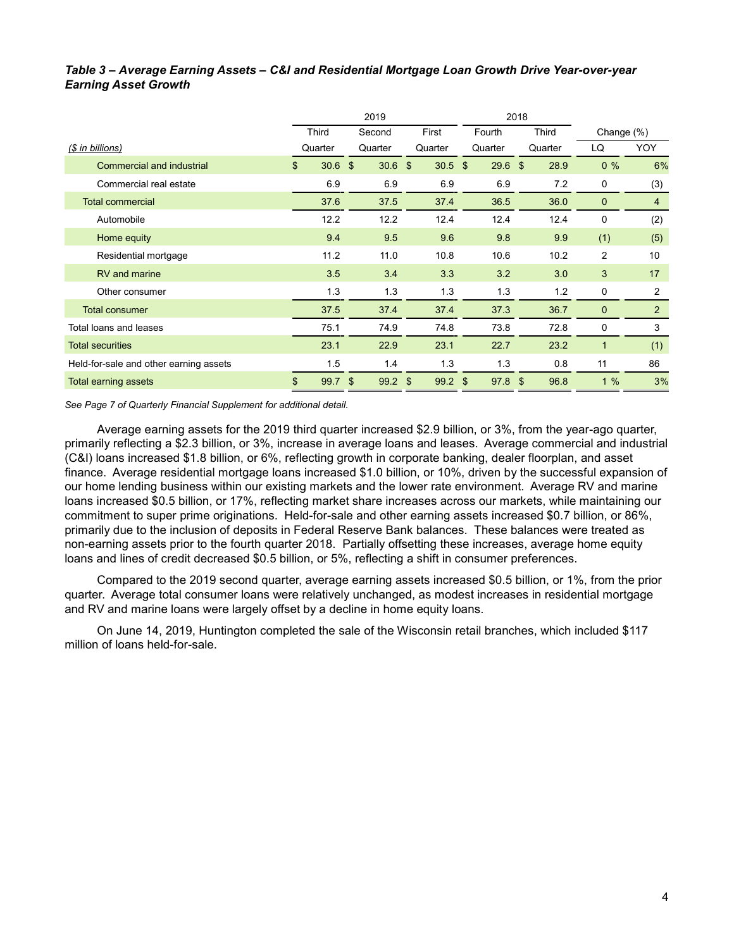# *Table 3 – Average Earning Assets – C&I and Residential Mortgage Loan Growth Drive Year-over-year Earning Asset Growth*

|                                        |            | 2019              |           |           | 2018    |               |                |
|----------------------------------------|------------|-------------------|-----------|-----------|---------|---------------|----------------|
|                                        | Third      | Second            | First     | Fourth    | Third   | Change $(\%)$ |                |
| (\$ in billions)                       | Quarter    | Quarter           | Quarter   | Quarter   | Quarter | LQ            | YOY            |
| <b>Commercial and industrial</b>       | \$<br>30.6 | $30.6$ \$<br>- \$ | $30.5$ \$ | $29.6$ \$ | 28.9    | $0\%$         | 6%             |
| Commercial real estate                 | 6.9        | 6.9               | 6.9       | 6.9       | 7.2     | 0             | (3)            |
| <b>Total commercial</b>                | 37.6       | 37.5              | 37.4      | 36.5      | 36.0    | $\mathbf{0}$  | $\overline{4}$ |
| Automobile                             | 12.2       | 12.2              | 12.4      | 12.4      | 12.4    | 0             | (2)            |
| Home equity                            | 9.4        | 9.5               | 9.6       | 9.8       | 9.9     | (1)           | (5)            |
| Residential mortgage                   | 11.2       | 11.0              | 10.8      | 10.6      | 10.2    | 2             | 10             |
| RV and marine                          | 3.5        | 3.4               | 3.3       | 3.2       | 3.0     | 3             | 17             |
| Other consumer                         | 1.3        | 1.3               | 1.3       | 1.3       | 1.2     | 0             | 2              |
| <b>Total consumer</b>                  | 37.5       | 37.4              | 37.4      | 37.3      | 36.7    | $\mathbf{0}$  | 2              |
| Total loans and leases                 | 75.1       | 74.9              | 74.8      | 73.8      | 72.8    | 0             | 3              |
| <b>Total securities</b>                | 23.1       | 22.9              | 23.1      | 22.7      | 23.2    | $\mathbf{1}$  | (1)            |
| Held-for-sale and other earning assets | 1.5        | 1.4               | 1.3       | 1.3       | 0.8     | 11            | 86             |
| <b>Total earning assets</b>            | \$<br>99.7 | \$<br>$99.2$ \$   | $99.2$ \$ | $97.8$ \$ | 96.8    | 1%            | 3%             |

*See Page 7 of Quarterly Financial Supplement for additional detail.*

Average earning assets for the 2019 third quarter increased \$2.9 billion, or 3%, from the year-ago quarter, primarily reflecting a \$2.3 billion, or 3%, increase in average loans and leases. Average commercial and industrial (C&I) loans increased \$1.8 billion, or 6%, reflecting growth in corporate banking, dealer floorplan, and asset finance. Average residential mortgage loans increased \$1.0 billion, or 10%, driven by the successful expansion of our home lending business within our existing markets and the lower rate environment. Average RV and marine loans increased \$0.5 billion, or 17%, reflecting market share increases across our markets, while maintaining our commitment to super prime originations. Held-for-sale and other earning assets increased \$0.7 billion, or 86%, primarily due to the inclusion of deposits in Federal Reserve Bank balances. These balances were treated as non-earning assets prior to the fourth quarter 2018. Partially offsetting these increases, average home equity loans and lines of credit decreased \$0.5 billion, or 5%, reflecting a shift in consumer preferences.

Compared to the 2019 second quarter, average earning assets increased \$0.5 billion, or 1%, from the prior quarter. Average total consumer loans were relatively unchanged, as modest increases in residential mortgage and RV and marine loans were largely offset by a decline in home equity loans.

On June 14, 2019, Huntington completed the sale of the Wisconsin retail branches, which included \$117 million of loans held-for-sale.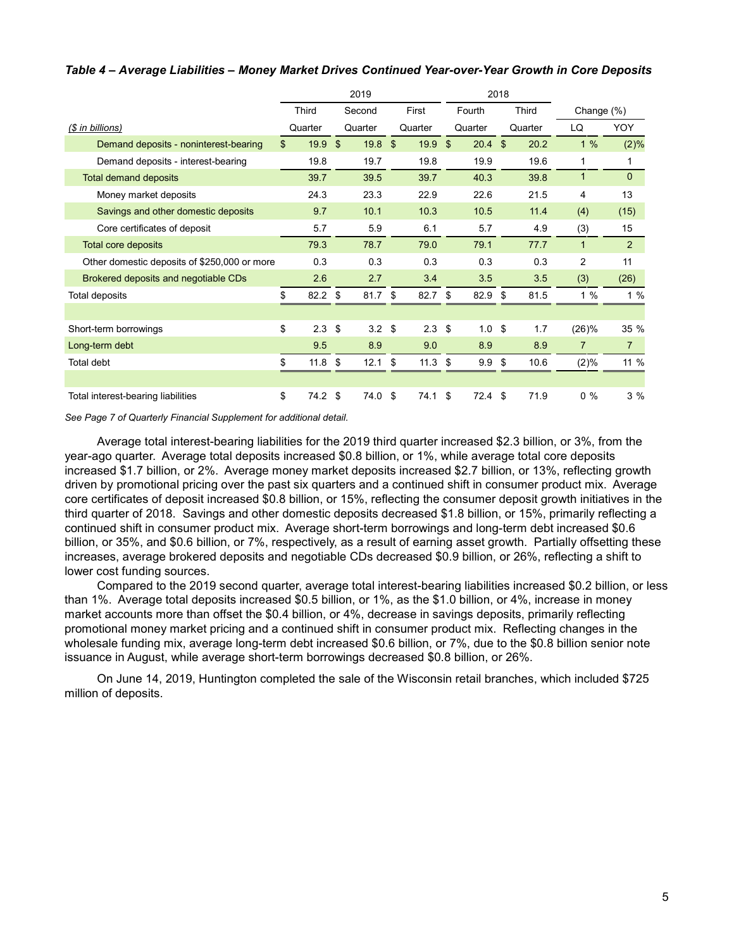|                                              | 2019 |         |    |         |    |         |    |         | 2018 |              |                |                |
|----------------------------------------------|------|---------|----|---------|----|---------|----|---------|------|--------------|----------------|----------------|
|                                              |      | Third   |    | Second  |    | First   |    | Fourth  |      | <b>Third</b> | Change (%)     |                |
| (\$ in billions)                             |      | Quarter |    | Quarter |    | Quarter |    | Quarter |      | Quarter      | LQ             | YOY            |
| Demand deposits - noninterest-bearing        | \$   | 19.9    | \$ | 19.8    | \$ | 19.9    | \$ | 20.4    | \$   | 20.2         | 1%             | (2)%           |
| Demand deposits - interest-bearing           |      | 19.8    |    | 19.7    |    | 19.8    |    | 19.9    |      | 19.6         | 1              | 1              |
| <b>Total demand deposits</b>                 |      | 39.7    |    | 39.5    |    | 39.7    |    | 40.3    |      | 39.8         | 1              | $\mathbf{0}$   |
| Money market deposits                        |      | 24.3    |    | 23.3    |    | 22.9    |    | 22.6    |      | 21.5         | 4              | 13             |
| Savings and other domestic deposits          |      | 9.7     |    | 10.1    |    | 10.3    |    | 10.5    |      | 11.4         | (4)            | (15)           |
| Core certificates of deposit                 |      | 5.7     |    | 5.9     |    | 6.1     |    | 5.7     |      | 4.9          | (3)            | 15             |
| Total core deposits                          |      | 79.3    |    | 78.7    |    | 79.0    |    | 79.1    |      | 77.7         | $\mathbf{1}$   | 2              |
| Other domestic deposits of \$250,000 or more |      | 0.3     |    | 0.3     |    | 0.3     |    | 0.3     |      | 0.3          | 2              | 11             |
| Brokered deposits and negotiable CDs         |      | 2.6     |    | 2.7     |    | 3.4     |    | 3.5     |      | 3.5          | (3)            | (26)           |
| Total deposits                               | \$   | 82.2    | \$ | 81.7    | \$ | 82.7    | \$ | 82.9    | \$   | 81.5         | 1%             | 1%             |
|                                              |      |         |    |         |    |         |    |         |      |              |                |                |
| Short-term borrowings                        | \$   | 2.3     | \$ | 3.2     | \$ | 2.3     | \$ | 1.0     | \$   | 1.7          | (26)%          | 35 %           |
| Long-term debt                               |      | 9.5     |    | 8.9     |    | 9.0     |    | 8.9     |      | 8.9          | $\overline{7}$ | $\overline{7}$ |
| Total debt                                   | \$   | 11.8    | \$ | 12.1    | \$ | 11.3    | \$ | 9.9     | \$   | 10.6         | (2)%           | 11 %           |
|                                              |      |         |    |         |    |         |    |         |      |              |                |                |
| Total interest-bearing liabilities           | \$   | 74.2    | \$ | 74.0 \$ |    | 74.1    | \$ | 72.4    | -\$  | 71.9         | $0\%$          | 3%             |

## *Table 4 – Average Liabilities – Money Market Drives Continued Year-over-Year Growth in Core Deposits*

*See Page 7 of Quarterly Financial Supplement for additional detail.*

Average total interest-bearing liabilities for the 2019 third quarter increased \$2.3 billion, or 3%, from the year-ago quarter. Average total deposits increased \$0.8 billion, or 1%, while average total core deposits increased \$1.7 billion, or 2%. Average money market deposits increased \$2.7 billion, or 13%, reflecting growth driven by promotional pricing over the past six quarters and a continued shift in consumer product mix. Average core certificates of deposit increased \$0.8 billion, or 15%, reflecting the consumer deposit growth initiatives in the third quarter of 2018. Savings and other domestic deposits decreased \$1.8 billion, or 15%, primarily reflecting a continued shift in consumer product mix. Average short-term borrowings and long-term debt increased \$0.6 billion, or 35%, and \$0.6 billion, or 7%, respectively, as a result of earning asset growth. Partially offsetting these increases, average brokered deposits and negotiable CDs decreased \$0.9 billion, or 26%, reflecting a shift to lower cost funding sources.

Compared to the 2019 second quarter, average total interest-bearing liabilities increased \$0.2 billion, or less than 1%. Average total deposits increased \$0.5 billion, or 1%, as the \$1.0 billion, or 4%, increase in money market accounts more than offset the \$0.4 billion, or 4%, decrease in savings deposits, primarily reflecting promotional money market pricing and a continued shift in consumer product mix. Reflecting changes in the wholesale funding mix, average long-term debt increased \$0.6 billion, or 7%, due to the \$0.8 billion senior note issuance in August, while average short-term borrowings decreased \$0.8 billion, or 26%.

On June 14, 2019, Huntington completed the sale of the Wisconsin retail branches, which included \$725 million of deposits.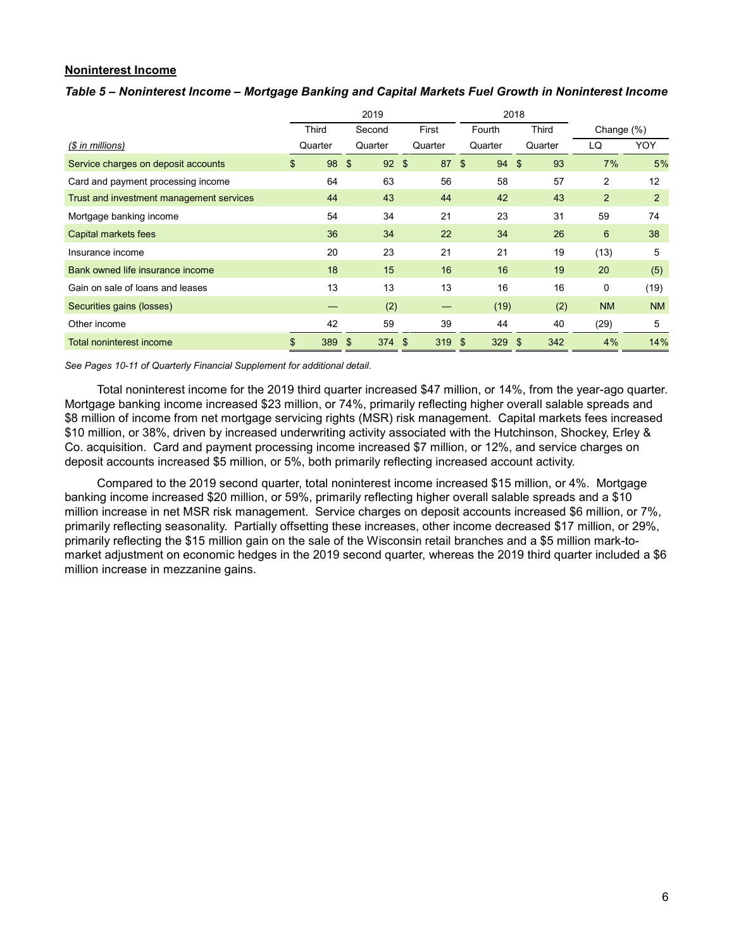## **Noninterest Income**

## *Table 5 – Noninterest Income – Mortgage Banking and Capital Markets Fuel Growth in Noninterest Income*

|                                          |              | 2019       |            |         |     |         | 2018 |              |               |           |
|------------------------------------------|--------------|------------|------------|---------|-----|---------|------|--------------|---------------|-----------|
|                                          | <b>Third</b> | Second     |            | First   |     | Fourth  |      | <b>Third</b> | Change $(\%)$ |           |
| $$$ in millions)                         | Quarter      | Quarter    |            | Quarter |     | Quarter |      | Quarter      | LQ            | YOY       |
| Service charges on deposit accounts      | \$<br>98     | - \$       | $92 \quad$ | 87      | -\$ | 94      | \$   | 93           | 7%            | 5%        |
| Card and payment processing income       | 64           | 63         |            | 56      |     | 58      |      | 57           | 2             | 12        |
| Trust and investment management services | 44           | 43         |            | 44      |     | 42      |      | 43           | 2             | 2         |
| Mortgage banking income                  | 54           | 34         |            | 21      |     | 23      |      | 31           | 59            | 74        |
| Capital markets fees                     | 36           | 34         |            | 22      |     | 34      |      | 26           | 6             | 38        |
| Insurance income                         | 20           | 23         |            | 21      |     | 21      |      | 19           | (13)          | 5         |
| Bank owned life insurance income         | 18           | 15         |            | 16      |     | 16      |      | 19           | 20            | (5)       |
| Gain on sale of loans and leases         | 13           | 13         |            | 13      |     | 16      |      | 16           | 0             | (19)      |
| Securities gains (losses)                |              | (2)        |            |         |     | (19)    |      | (2)          | <b>NM</b>     | <b>NM</b> |
| Other income                             | 42           | 59         |            | 39      |     | 44      |      | 40           | (29)          | 5         |
| <b>Total noninterest income</b>          | \$<br>389    | 374S<br>\$ |            | 319     | \$  | 329     | \$   | 342          | 4%            | 14%       |

*See Pages 10-11 of Quarterly Financial Supplement for additional detail.*

Total noninterest income for the 2019 third quarter increased \$47 million, or 14%, from the year-ago quarter. Mortgage banking income increased \$23 million, or 74%, primarily reflecting higher overall salable spreads and \$8 million of income from net mortgage servicing rights (MSR) risk management. Capital markets fees increased \$10 million, or 38%, driven by increased underwriting activity associated with the Hutchinson, Shockey, Erley & Co. acquisition. Card and payment processing income increased \$7 million, or 12%, and service charges on deposit accounts increased \$5 million, or 5%, both primarily reflecting increased account activity.

Compared to the 2019 second quarter, total noninterest income increased \$15 million, or 4%. Mortgage banking income increased \$20 million, or 59%, primarily reflecting higher overall salable spreads and a \$10 million increase in net MSR risk management. Service charges on deposit accounts increased \$6 million, or 7%, primarily reflecting seasonality. Partially offsetting these increases, other income decreased \$17 million, or 29%, primarily reflecting the \$15 million gain on the sale of the Wisconsin retail branches and a \$5 million mark-tomarket adjustment on economic hedges in the 2019 second quarter, whereas the 2019 third quarter included a \$6 million increase in mezzanine gains.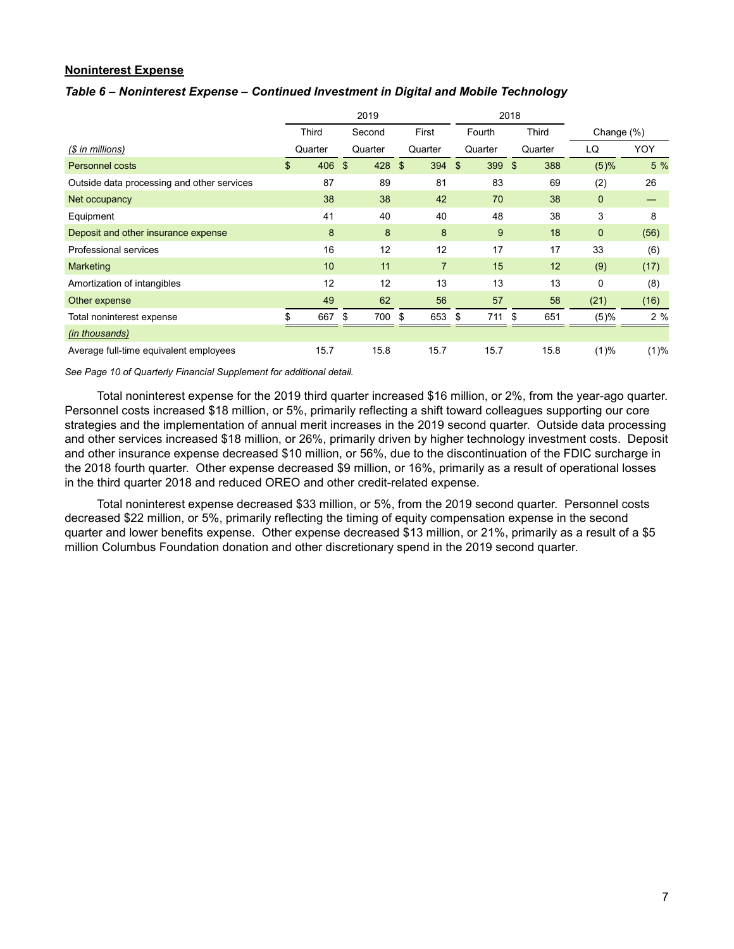## **Noninterest Expense**

## *Table 6 – Noninterest Expense – Continued Investment in Digital and Mobile Technology*

|                                            |           |    | 2019    |     |                |              | 2018         |         |              |      |
|--------------------------------------------|-----------|----|---------|-----|----------------|--------------|--------------|---------|--------------|------|
|                                            | Third     |    | Second  |     | First          | Fourth       | <b>Third</b> |         | Change (%)   |      |
| $$$ in millions)                           | Quarter   |    | Quarter |     | Quarter        | Quarter      |              | Quarter | LQ           | YOY  |
| <b>Personnel costs</b>                     | \$<br>406 | \$ | 428     | -\$ | 394            | \$<br>399 \$ |              | 388     | (5)%         | 5 %  |
| Outside data processing and other services | 87        |    | 89      |     | 81             | 83           |              | 69      | (2)          | 26   |
| Net occupancy                              | 38        |    | 38      |     | 42             | 70           |              | 38      | $\mathbf{0}$ |      |
| Equipment                                  | 41        |    | 40      |     | 40             | 48           |              | 38      | 3            | 8    |
| Deposit and other insurance expense        | 8         |    | 8       |     | 8              | 9            |              | 18      | $\mathbf 0$  | (56) |
| Professional services                      | 16        |    | 12      |     | 12             | 17           |              | 17      | 33           | (6)  |
| <b>Marketing</b>                           | 10        |    | 11      |     | $\overline{7}$ | 15           |              | 12      | (9)          | (17) |
| Amortization of intangibles                | 12        |    | 12      |     | 13             | 13           |              | 13      | 0            | (8)  |
| Other expense                              | 49        |    | 62      |     | 56             | 57           |              | 58      | (21)         | (16) |
| Total noninterest expense                  | 667       | \$ | 700     | \$  | 653            | \$<br>711    | \$           | 651     | (5)%         | 2%   |
| (in thousands)                             |           |    |         |     |                |              |              |         |              |      |
| Average full-time equivalent employees     | 15.7      |    | 15.8    |     | 15.7           | 15.7         |              | 15.8    | (1)%         | (1)% |

*See Page 10 of Quarterly Financial Supplement for additional detail.*

Total noninterest expense for the 2019 third quarter increased \$16 million, or 2%, from the year-ago quarter. Personnel costs increased \$18 million, or 5%, primarily reflecting a shift toward colleagues supporting our core strategies and the implementation of annual merit increases in the 2019 second quarter. Outside data processing and other services increased \$18 million, or 26%, primarily driven by higher technology investment costs. Deposit and other insurance expense decreased \$10 million, or 56%, due to the discontinuation of the FDIC surcharge in the 2018 fourth quarter. Other expense decreased \$9 million, or 16%, primarily as a result of operational losses in the third quarter 2018 and reduced OREO and other credit-related expense.

Total noninterest expense decreased \$33 million, or 5%, from the 2019 second quarter. Personnel costs decreased \$22 million, or 5%, primarily reflecting the timing of equity compensation expense in the second quarter and lower benefits expense. Other expense decreased \$13 million, or 21%, primarily as a result of a \$5 million Columbus Foundation donation and other discretionary spend in the 2019 second quarter.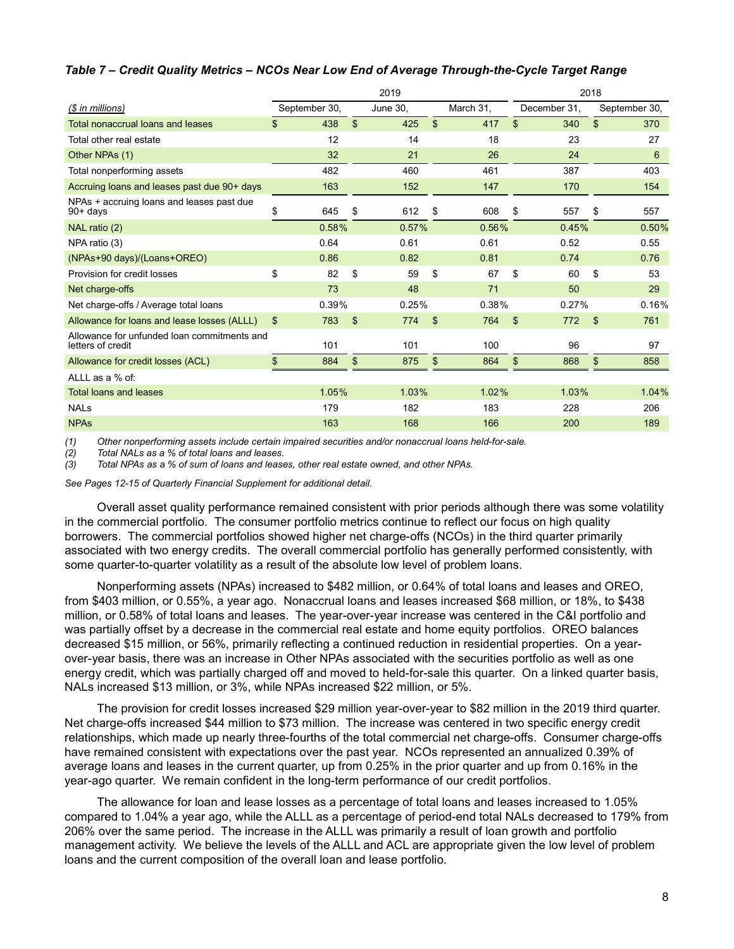## *Table 7 – Credit Quality Metrics – NCOs Near Low End of Average Through-the-Cycle Target Range*

|                                                                  | 2019           |               |                |          |                |           |                | 2018         |    |               |  |  |
|------------------------------------------------------------------|----------------|---------------|----------------|----------|----------------|-----------|----------------|--------------|----|---------------|--|--|
| (\$ in millions)                                                 |                | September 30, |                | June 30, |                | March 31, |                | December 31, |    | September 30, |  |  |
| Total nonaccrual loans and leases                                | \$             | 438           | $\mathfrak{S}$ | 425      | $\mathfrak{L}$ | 417       | \$             | 340          | \$ | 370           |  |  |
| Total other real estate                                          |                | 12            |                | 14       |                | 18        |                | 23           |    | 27            |  |  |
| Other NPAs (1)                                                   |                | 32            |                | 21       |                | 26        |                | 24           |    | 6             |  |  |
| Total nonperforming assets                                       |                | 482           |                | 460      |                | 461       |                | 387          |    | 403           |  |  |
| Accruing loans and leases past due 90+ days                      |                | 163           |                | 152      |                | 147       |                | 170          |    | 154           |  |  |
| NPAs + accruing loans and leases past due<br>$90 + days$         | \$             | 645           | \$             | 612      | \$             | 608       | \$             | 557          | \$ | 557           |  |  |
| NAL ratio (2)                                                    |                | 0.58%         |                | 0.57%    |                | 0.56%     |                | 0.45%        |    | 0.50%         |  |  |
| NPA ratio (3)                                                    |                | 0.64          |                | 0.61     |                | 0.61      |                | 0.52         |    | 0.55          |  |  |
| (NPAs+90 days)/(Loans+OREO)                                      |                | 0.86          |                | 0.82     |                | 0.81      |                | 0.74         |    | 0.76          |  |  |
| Provision for credit losses                                      | \$             | 82            | \$             | 59       | \$             | 67        | \$             | 60           | \$ | 53            |  |  |
| Net charge-offs                                                  |                | 73            |                | 48       |                | 71        |                | 50           |    | 29            |  |  |
| Net charge-offs / Average total loans                            |                | 0.39%         |                | 0.25%    |                | 0.38%     |                | 0.27%        |    | 0.16%         |  |  |
| Allowance for loans and lease losses (ALLL)                      | $\mathfrak{S}$ | 783           | \$             | 774      | $\mathfrak{s}$ | 764       | $\mathfrak{s}$ | 772          | \$ | 761           |  |  |
| Allowance for unfunded loan commitments and<br>letters of credit |                | 101           |                | 101      |                | 100       |                | 96           |    | 97            |  |  |
| Allowance for credit losses (ACL)                                | \$             | 884           | \$             | 875      | \$             | 864       | \$             | 868          | \$ | 858           |  |  |
| ALLL as a % of:                                                  |                |               |                |          |                |           |                |              |    |               |  |  |
| <b>Total loans and leases</b>                                    |                | 1.05%         |                | 1.03%    |                | 1.02%     |                | 1.03%        |    | 1.04%         |  |  |
| <b>NAL<sub>s</sub></b>                                           |                | 179           |                | 182      |                | 183       |                | 228          |    | 206           |  |  |
| <b>NPAs</b>                                                      |                | 163           |                | 168      |                | 166       |                | 200          |    | 189           |  |  |

*(1) Other nonperforming assets include certain impaired securities and/or nonaccrual loans held-for-sale.* 

*(2) Total NALs as a % of total loans and leases.*

*(3) Total NPAs as a % of sum of loans and leases, other real estate owned, and other NPAs.*

*See Pages 12-15 of Quarterly Financial Supplement for additional detail.*

Overall asset quality performance remained consistent with prior periods although there was some volatility in the commercial portfolio. The consumer portfolio metrics continue to reflect our focus on high quality borrowers. The commercial portfolios showed higher net charge-offs (NCOs) in the third quarter primarily associated with two energy credits. The overall commercial portfolio has generally performed consistently, with some quarter-to-quarter volatility as a result of the absolute low level of problem loans.

Nonperforming assets (NPAs) increased to \$482 million, or 0.64% of total loans and leases and OREO, from \$403 million, or 0.55%, a year ago. Nonaccrual loans and leases increased \$68 million, or 18%, to \$438 million, or 0.58% of total loans and leases. The year-over-year increase was centered in the C&I portfolio and was partially offset by a decrease in the commercial real estate and home equity portfolios. OREO balances decreased \$15 million, or 56%, primarily reflecting a continued reduction in residential properties. On a yearover-year basis, there was an increase in Other NPAs associated with the securities portfolio as well as one energy credit, which was partially charged off and moved to held-for-sale this quarter. On a linked quarter basis, NALs increased \$13 million, or 3%, while NPAs increased \$22 million, or 5%.

The provision for credit losses increased \$29 million year-over-year to \$82 million in the 2019 third quarter. Net charge-offs increased \$44 million to \$73 million. The increase was centered in two specific energy credit relationships, which made up nearly three-fourths of the total commercial net charge-offs. Consumer charge-offs have remained consistent with expectations over the past year. NCOs represented an annualized 0.39% of average loans and leases in the current quarter, up from 0.25% in the prior quarter and up from 0.16% in the year-ago quarter. We remain confident in the long-term performance of our credit portfolios.

The allowance for loan and lease losses as a percentage of total loans and leases increased to 1.05% compared to 1.04% a year ago, while the ALLL as a percentage of period-end total NALs decreased to 179% from 206% over the same period. The increase in the ALLL was primarily a result of loan growth and portfolio management activity. We believe the levels of the ALLL and ACL are appropriate given the low level of problem loans and the current composition of the overall loan and lease portfolio.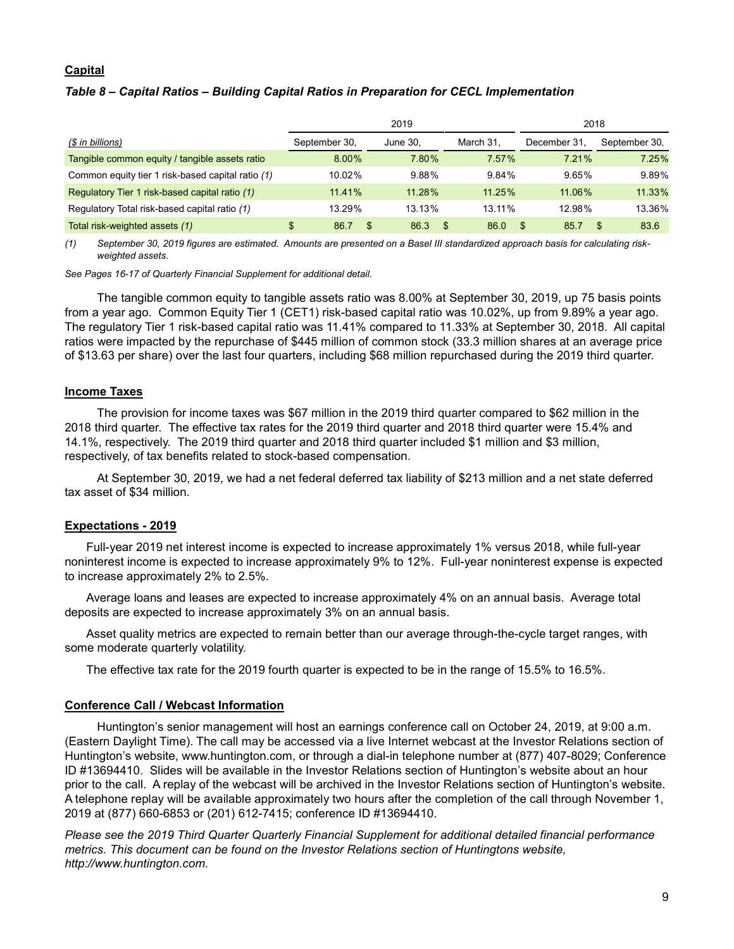## **Capital**

# *Table 8 – Capital Ratios – Building Capital Ratios in Preparation for CECL Implementation*

|                                                   |               | 2019     | 2018     |           |              |                      |  |
|---------------------------------------------------|---------------|----------|----------|-----------|--------------|----------------------|--|
| (\$ in billions)                                  | September 30, |          | June 30. | March 31. | December 31. | September 30.        |  |
| Tangible common equity / tangible assets ratio    |               | $8.00\%$ | 7.80%    | 7.57%     | 7 21%        | 7.25%                |  |
| Common equity tier 1 risk-based capital ratio (1) | 10.02%        |          | 9.88%    | 9.84%     | 9.65%        | 9.89%                |  |
| Regulatory Tier 1 risk-based capital ratio (1)    | 11.41%        |          | 11.28%   | 11.25%    | 11.06%       | 11.33%               |  |
| Regulatory Total risk-based capital ratio (1)     | 13.29%        |          | 13.13%   | 13.11%    | 12.98%       | 13.36%               |  |
| Total risk-weighted assets (1)                    | 86.7<br>\$    | \$.      | 86.3     | 86.0      | 85.7         | 83.6<br>$\mathbf{r}$ |  |

*(1) September 30, 2019 figures are estimated. Amounts are presented on a Basel III standardized approach basis for calculating riskweighted assets.*

*See Pages 16-17 of Quarterly Financial Supplement for additional detail.*

The tangible common equity to tangible assets ratio was 8.00% at September 30, 2019, up 75 basis points from a year ago. Common Equity Tier 1 (CET1) risk-based capital ratio was 10.02%, up from 9.89% a year ago. The regulatory Tier 1 risk-based capital ratio was 11.41% compared to 11.33% at September 30, 2018. All capital ratios were impacted by the repurchase of \$445 million of common stock (33.3 million shares at an average price of \$13.63 per share) over the last four quarters, including \$68 million repurchased during the 2019 third quarter.

## **Income Taxes**

The provision for income taxes was \$67 million in the 2019 third quarter compared to \$62 million in the 2018 third quarter. The effective tax rates for the 2019 third quarter and 2018 third quarter were 15.4% and 14.1%, respectively. The 2019 third quarter and 2018 third quarter included \$1 million and \$3 million, respectively, of tax benefits related to stock-based compensation.

At September 30, 2019, we had a net federal deferred tax liability of \$213 million and a net state deferred tax asset of \$34 million.

## **Expectations - 2019**

Full-year 2019 net interest income is expected to increase approximately 1% versus 2018, while full-year noninterest income is expected to increase approximately 9% to 12%. Full-year noninterest expense is expected to increase approximately 2% to 2.5%.

Average loans and leases are expected to increase approximately 4% on an annual basis. Average total deposits are expected to increase approximately 3% on an annual basis.

Asset quality metrics are expected to remain better than our average through-the-cycle target ranges, with some moderate quarterly volatility.

The effective tax rate for the 2019 fourth quarter is expected to be in the range of 15.5% to 16.5%.

## **Conference Call / Webcast Information**

Huntington's senior management will host an earnings conference call on October 24, 2019, at 9:00 a.m. (Eastern Daylight Time). The call may be accessed via a live Internet webcast at the Investor Relations section of Huntington's website, www.huntington.com, or through a dial-in telephone number at (877) 407-8029; Conference ID #13694410. Slides will be available in the Investor Relations section of Huntington's website about an hour prior to the call. A replay of the webcast will be archived in the Investor Relations section of Huntington's website. A telephone replay will be available approximately two hours after the completion of the call through November 1, 2019 at (877) 660-6853 or (201) 612-7415; conference ID #13694410.

*Please see the 2019 Third Quarter Quarterly Financial Supplement for additional detailed financial performance metrics. This document can be found on the Investor Relations section of Huntingtons website, http://www.huntington.com.*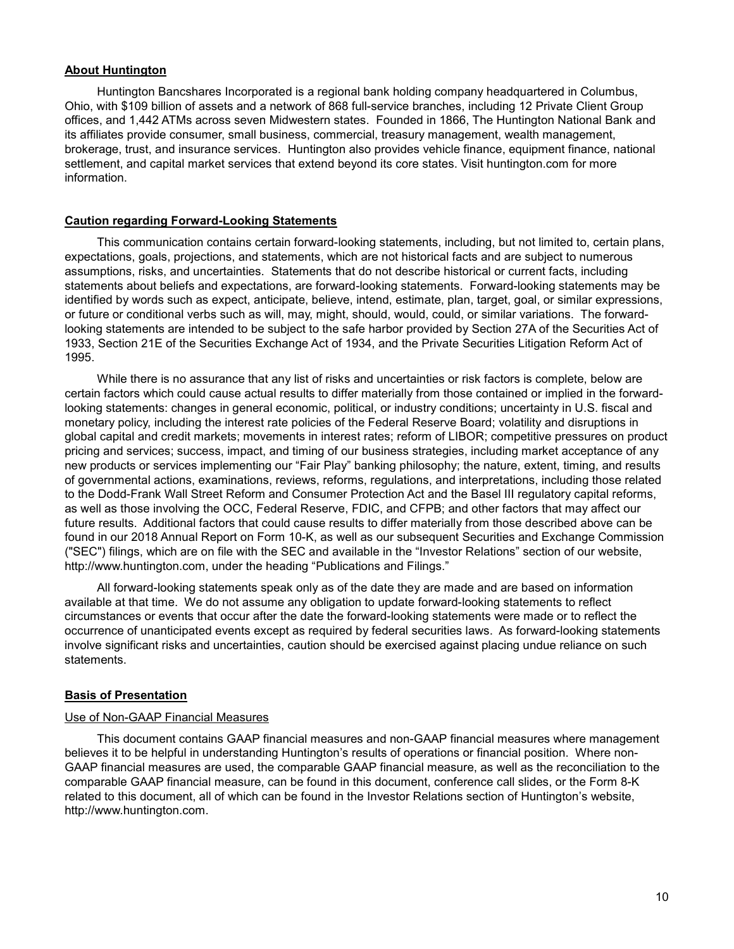## **About Huntington**

Huntington Bancshares Incorporated is a regional bank holding company headquartered in Columbus, Ohio, with \$109 billion of assets and a network of 868 full-service branches, including 12 Private Client Group offices, and 1,442 ATMs across seven Midwestern states. Founded in 1866, The Huntington National Bank and its affiliates provide consumer, small business, commercial, treasury management, wealth management, brokerage, trust, and insurance services. Huntington also provides vehicle finance, equipment finance, national settlement, and capital market services that extend beyond its core states. Visit huntington.com for more information.

# **Caution regarding Forward-Looking Statements**

This communication contains certain forward-looking statements, including, but not limited to, certain plans, expectations, goals, projections, and statements, which are not historical facts and are subject to numerous assumptions, risks, and uncertainties. Statements that do not describe historical or current facts, including statements about beliefs and expectations, are forward-looking statements. Forward-looking statements may be identified by words such as expect, anticipate, believe, intend, estimate, plan, target, goal, or similar expressions, or future or conditional verbs such as will, may, might, should, would, could, or similar variations. The forwardlooking statements are intended to be subject to the safe harbor provided by Section 27A of the Securities Act of 1933, Section 21E of the Securities Exchange Act of 1934, and the Private Securities Litigation Reform Act of 1995.

While there is no assurance that any list of risks and uncertainties or risk factors is complete, below are certain factors which could cause actual results to differ materially from those contained or implied in the forwardlooking statements: changes in general economic, political, or industry conditions; uncertainty in U.S. fiscal and monetary policy, including the interest rate policies of the Federal Reserve Board; volatility and disruptions in global capital and credit markets; movements in interest rates; reform of LIBOR; competitive pressures on product pricing and services; success, impact, and timing of our business strategies, including market acceptance of any new products or services implementing our "Fair Play" banking philosophy; the nature, extent, timing, and results of governmental actions, examinations, reviews, reforms, regulations, and interpretations, including those related to the Dodd-Frank Wall Street Reform and Consumer Protection Act and the Basel III regulatory capital reforms, as well as those involving the OCC, Federal Reserve, FDIC, and CFPB; and other factors that may affect our future results. Additional factors that could cause results to differ materially from those described above can be found in our 2018 Annual Report on Form 10-K, as well as our subsequent Securities and Exchange Commission ("SEC") filings, which are on file with the SEC and available in the "Investor Relations" section of our website, http://www.huntington.com, under the heading "Publications and Filings."

All forward-looking statements speak only as of the date they are made and are based on information available at that time. We do not assume any obligation to update forward-looking statements to reflect circumstances or events that occur after the date the forward-looking statements were made or to reflect the occurrence of unanticipated events except as required by federal securities laws. As forward-looking statements involve significant risks and uncertainties, caution should be exercised against placing undue reliance on such statements.

# **Basis of Presentation**

## Use of Non-GAAP Financial Measures

This document contains GAAP financial measures and non-GAAP financial measures where management believes it to be helpful in understanding Huntington's results of operations or financial position. Where non-GAAP financial measures are used, the comparable GAAP financial measure, as well as the reconciliation to the comparable GAAP financial measure, can be found in this document, conference call slides, or the Form 8-K related to this document, all of which can be found in the Investor Relations section of Huntington's website, http://www.huntington.com.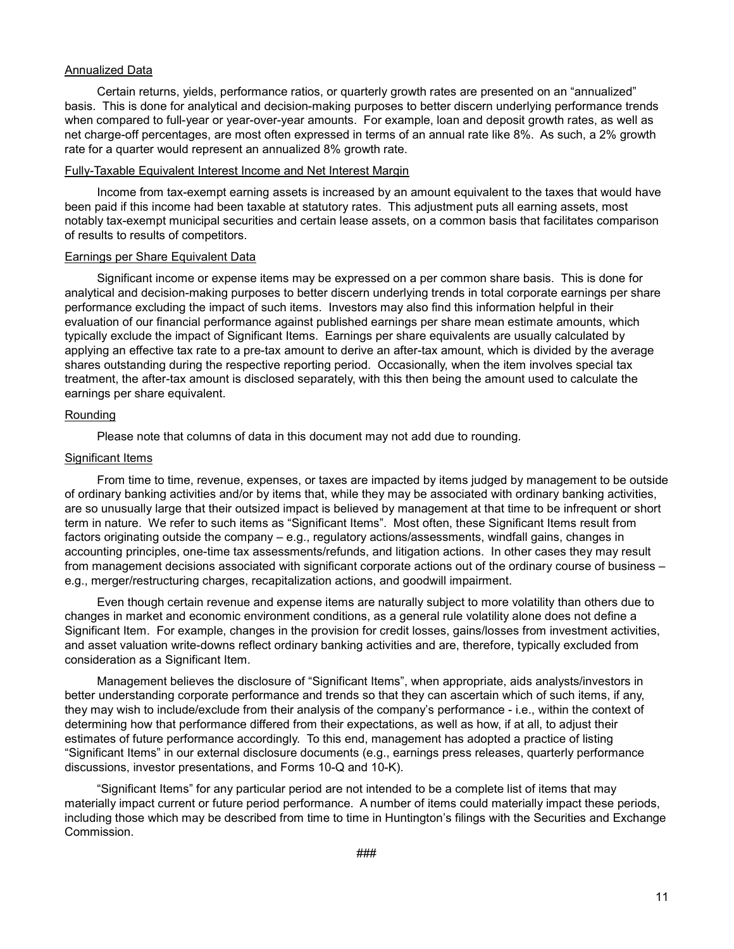## Annualized Data

Certain returns, yields, performance ratios, or quarterly growth rates are presented on an "annualized" basis. This is done for analytical and decision-making purposes to better discern underlying performance trends when compared to full-year or year-over-year amounts. For example, loan and deposit growth rates, as well as net charge-off percentages, are most often expressed in terms of an annual rate like 8%. As such, a 2% growth rate for a quarter would represent an annualized 8% growth rate.

## Fully-Taxable Equivalent Interest Income and Net Interest Margin

Income from tax-exempt earning assets is increased by an amount equivalent to the taxes that would have been paid if this income had been taxable at statutory rates. This adjustment puts all earning assets, most notably tax-exempt municipal securities and certain lease assets, on a common basis that facilitates comparison of results to results of competitors.

## Earnings per Share Equivalent Data

Significant income or expense items may be expressed on a per common share basis. This is done for analytical and decision-making purposes to better discern underlying trends in total corporate earnings per share performance excluding the impact of such items. Investors may also find this information helpful in their evaluation of our financial performance against published earnings per share mean estimate amounts, which typically exclude the impact of Significant Items. Earnings per share equivalents are usually calculated by applying an effective tax rate to a pre-tax amount to derive an after-tax amount, which is divided by the average shares outstanding during the respective reporting period. Occasionally, when the item involves special tax treatment, the after-tax amount is disclosed separately, with this then being the amount used to calculate the earnings per share equivalent.

# Rounding

Please note that columns of data in this document may not add due to rounding.

## **Significant Items**

From time to time, revenue, expenses, or taxes are impacted by items judged by management to be outside of ordinary banking activities and/or by items that, while they may be associated with ordinary banking activities, are so unusually large that their outsized impact is believed by management at that time to be infrequent or short term in nature. We refer to such items as "Significant Items". Most often, these Significant Items result from factors originating outside the company – e.g., regulatory actions/assessments, windfall gains, changes in accounting principles, one-time tax assessments/refunds, and litigation actions. In other cases they may result from management decisions associated with significant corporate actions out of the ordinary course of business – e.g., merger/restructuring charges, recapitalization actions, and goodwill impairment.

Even though certain revenue and expense items are naturally subject to more volatility than others due to changes in market and economic environment conditions, as a general rule volatility alone does not define a Significant Item. For example, changes in the provision for credit losses, gains/losses from investment activities, and asset valuation write-downs reflect ordinary banking activities and are, therefore, typically excluded from consideration as a Significant Item.

Management believes the disclosure of "Significant Items", when appropriate, aids analysts/investors in better understanding corporate performance and trends so that they can ascertain which of such items, if any, they may wish to include/exclude from their analysis of the company's performance - i.e., within the context of determining how that performance differed from their expectations, as well as how, if at all, to adjust their estimates of future performance accordingly. To this end, management has adopted a practice of listing "Significant Items" in our external disclosure documents (e.g., earnings press releases, quarterly performance discussions, investor presentations, and Forms 10-Q and 10-K).

"Significant Items" for any particular period are not intended to be a complete list of items that may materially impact current or future period performance. A number of items could materially impact these periods, including those which may be described from time to time in Huntington's filings with the Securities and Exchange Commission.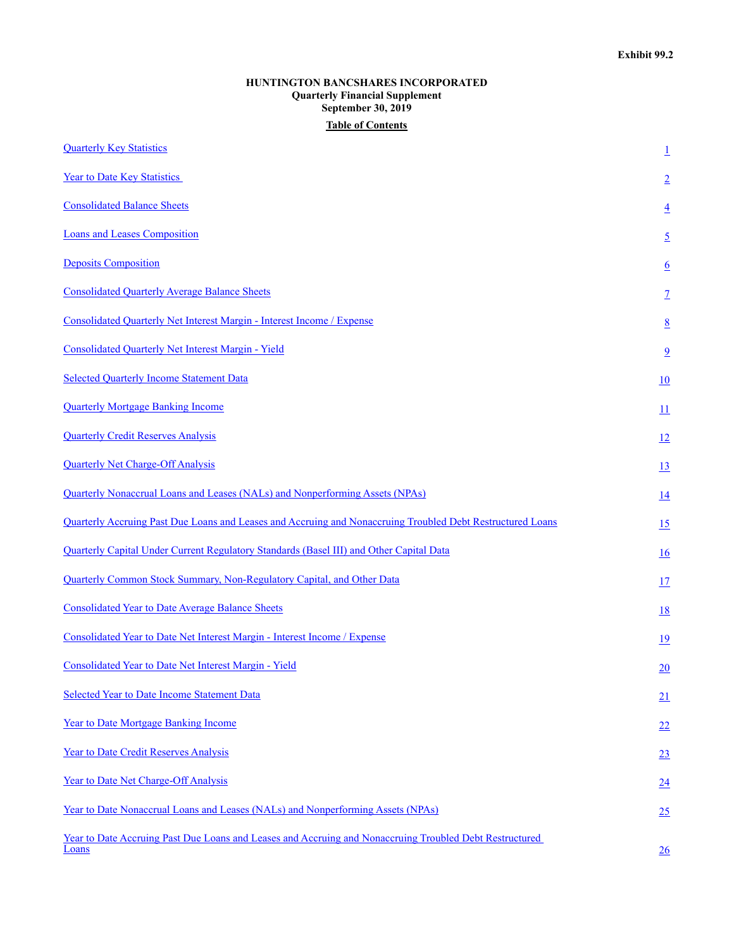# **HUNTINGTON BANCSHARES INCORPORATED Quarterly Financial Supplement September 30, 2019 Table of Contents**

| <b>Quarterly Key Statistics</b>                                                                                  | $\overline{1}$   |
|------------------------------------------------------------------------------------------------------------------|------------------|
| <b>Year to Date Key Statistics</b>                                                                               | $\overline{2}$   |
| <b>Consolidated Balance Sheets</b>                                                                               | $\overline{4}$   |
| <b>Loans and Leases Composition</b>                                                                              | $\overline{2}$   |
| <b>Deposits Composition</b>                                                                                      | $6 \overline{6}$ |
| <b>Consolidated Quarterly Average Balance Sheets</b>                                                             | $\overline{1}$   |
| Consolidated Quarterly Net Interest Margin - Interest Income / Expense                                           | $\underline{8}$  |
| <b>Consolidated Quarterly Net Interest Margin - Yield</b>                                                        | $\overline{9}$   |
| <b>Selected Quarterly Income Statement Data</b>                                                                  | 10               |
| <b>Quarterly Mortgage Banking Income</b>                                                                         | $\overline{11}$  |
| <b>Quarterly Credit Reserves Analysis</b>                                                                        | 12               |
| <b>Quarterly Net Charge-Off Analysis</b>                                                                         | 13               |
| Quarterly Nonaccrual Loans and Leases (NALs) and Nonperforming Assets (NPAs)                                     | 14               |
| Quarterly Accruing Past Due Loans and Leases and Accruing and Nonaccruing Troubled Debt Restructured Loans       | 15               |
| Quarterly Capital Under Current Regulatory Standards (Basel III) and Other Capital Data                          | <u>16</u>        |
| Quarterly Common Stock Summary, Non-Regulatory Capital, and Other Data                                           | 17               |
| <b>Consolidated Year to Date Average Balance Sheets</b>                                                          | <u>18</u>        |
| Consolidated Year to Date Net Interest Margin - Interest Income / Expense                                        | 19               |
| Consolidated Year to Date Net Interest Margin - Yield                                                            | $\overline{20}$  |
| Selected Year to Date Income Statement Data                                                                      | 21               |
| Year to Date Mortgage Banking Income                                                                             | 22               |
| Year to Date Credit Reserves Analysis                                                                            | 23               |
| <b>Year to Date Net Charge-Off Analysis</b>                                                                      | 24               |
| Year to Date Nonaccrual Loans and Leases (NALs) and Nonperforming Assets (NPAs)                                  | 25               |
| Year to Date Accruing Past Due Loans and Leases and Accruing and Nonaccruing Troubled Debt Restructured<br>Loans | 26               |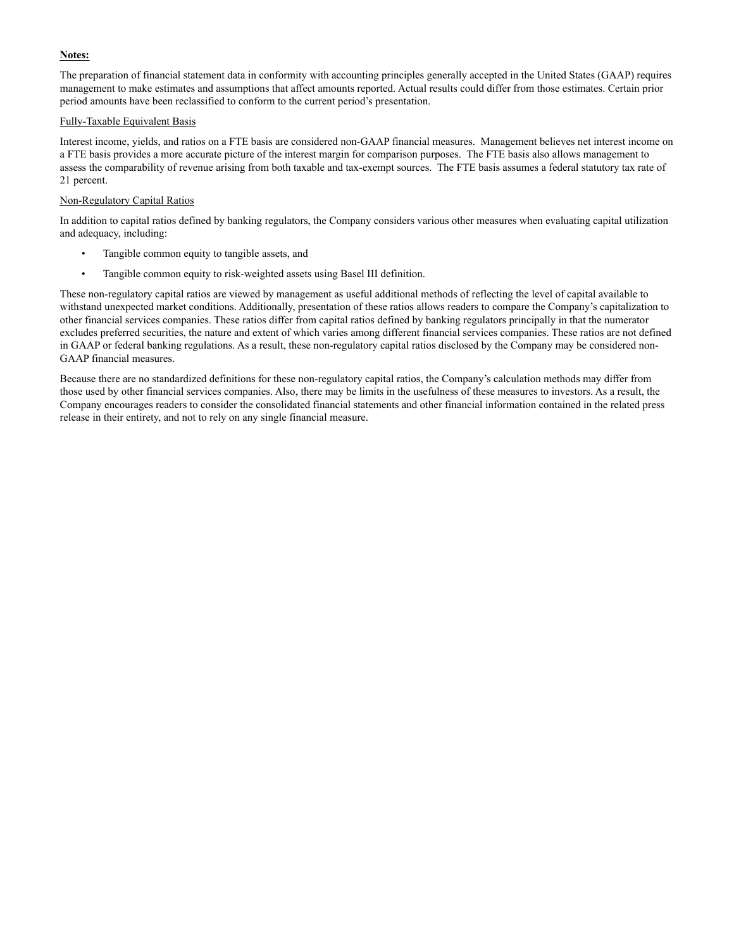## **Notes:**

The preparation of financial statement data in conformity with accounting principles generally accepted in the United States (GAAP) requires management to make estimates and assumptions that affect amounts reported. Actual results could differ from those estimates. Certain prior period amounts have been reclassified to conform to the current period's presentation.

### Fully-Taxable Equivalent Basis

Interest income, yields, and ratios on a FTE basis are considered non-GAAP financial measures. Management believes net interest income on a FTE basis provides a more accurate picture of the interest margin for comparison purposes. The FTE basis also allows management to assess the comparability of revenue arising from both taxable and tax-exempt sources. The FTE basis assumes a federal statutory tax rate of 21 percent.

### Non-Regulatory Capital Ratios

In addition to capital ratios defined by banking regulators, the Company considers various other measures when evaluating capital utilization and adequacy, including:

- Tangible common equity to tangible assets, and
- Tangible common equity to risk-weighted assets using Basel III definition.

These non-regulatory capital ratios are viewed by management as useful additional methods of reflecting the level of capital available to withstand unexpected market conditions. Additionally, presentation of these ratios allows readers to compare the Company's capitalization to other financial services companies. These ratios differ from capital ratios defined by banking regulators principally in that the numerator excludes preferred securities, the nature and extent of which varies among different financial services companies. These ratios are not defined in GAAP or federal banking regulations. As a result, these non-regulatory capital ratios disclosed by the Company may be considered non-GAAP financial measures.

Because there are no standardized definitions for these non-regulatory capital ratios, the Company's calculation methods may differ from those used by other financial services companies. Also, there may be limits in the usefulness of these measures to investors. As a result, the Company encourages readers to consider the consolidated financial statements and other financial information contained in the related press release in their entirety, and not to rely on any single financial measure.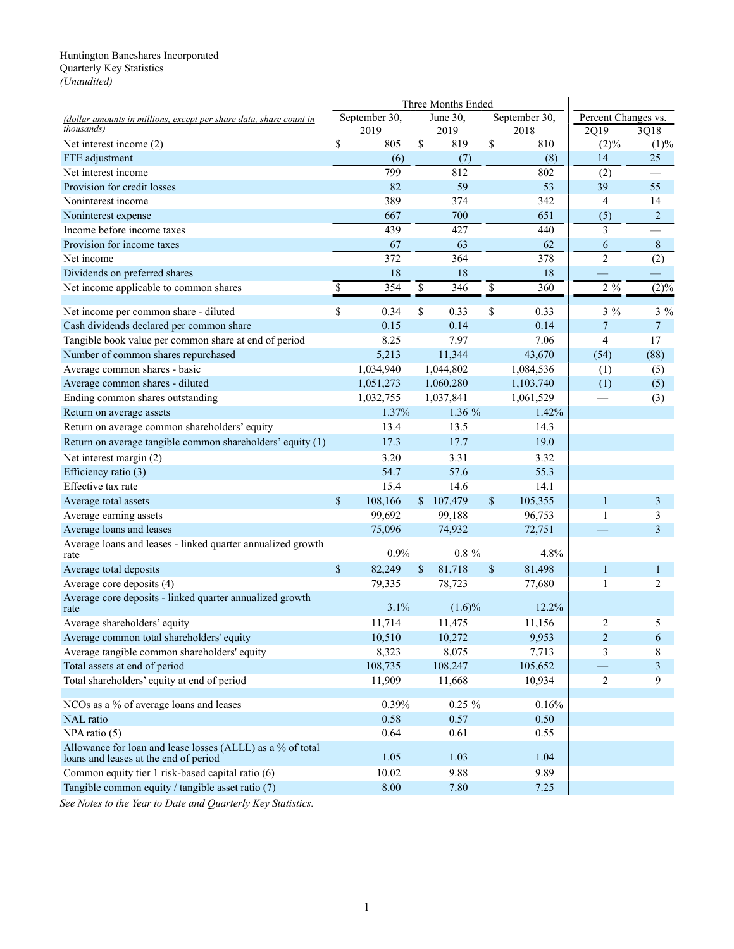### <span id="page-13-0"></span>Huntington Bancshares Incorporated Quarterly Key Statistics *(Unaudited)*

|                                                                    |               | Three Months Ended |                      |           |               |               |                     |                |
|--------------------------------------------------------------------|---------------|--------------------|----------------------|-----------|---------------|---------------|---------------------|----------------|
| (dollar amounts in millions, except per share data, share count in |               | September 30,      |                      | June 30,  |               | September 30, | Percent Changes vs. |                |
| thousands)                                                         |               | 2019               |                      | 2019      |               | 2018          | 2Q19                | 3Q18           |
| Net interest income (2)                                            | <sup>\$</sup> | 805                | \$                   | 819       | \$            | 810           | (2)%                | (1)%           |
| FTE adjustment                                                     |               | (6)                |                      | (7)       |               | (8)           | 14                  | 25             |
| Net interest income                                                |               | 799                |                      | 812       |               | 802           | (2)                 |                |
| Provision for credit losses                                        |               | 82                 |                      | 59        |               | 53            | 39                  | 55             |
| Noninterest income                                                 |               | 389                |                      | 374       |               | 342           | $\overline{4}$      | 14             |
| Noninterest expense                                                |               | 667                |                      | 700       |               | 651           | (5)                 | $\overline{c}$ |
| Income before income taxes                                         |               | 439                |                      | 427       |               | 440           | 3                   |                |
| Provision for income taxes                                         |               | 67                 |                      | 63        |               | 62            | 6                   | 8              |
| Net income                                                         |               | 372                |                      | 364       |               | 378           | $\overline{2}$      | (2)            |
| Dividends on preferred shares                                      |               | 18                 |                      | 18        |               | 18            |                     |                |
| Net income applicable to common shares                             | \$            | 354                | $\sqrt{\frac{2}{5}}$ | 346       | $\frac{1}{2}$ | 360           | $2\frac{9}{6}$      | (2)%           |
| Net income per common share - diluted                              | \$            | 0.34               | \$                   | 0.33      | \$            | 0.33          | $3\%$               | $3\%$          |
| Cash dividends declared per common share                           |               | 0.15               |                      | 0.14      |               | 0.14          | $\overline{7}$      | $\overline{7}$ |
| Tangible book value per common share at end of period              |               | 8.25               |                      | 7.97      |               | 7.06          | 4                   | 17             |
| Number of common shares repurchased                                |               | 5,213              |                      | 11,344    |               | 43,670        | (54)                | (88)           |
| Average common shares - basic                                      |               | 1,034,940          |                      | 1,044,802 |               | 1,084,536     | (1)                 | (5)            |
| Average common shares - diluted                                    |               | 1,051,273          |                      | 1,060,280 |               | 1,103,740     | (1)                 | (5)            |
| Ending common shares outstanding                                   |               | 1,032,755          |                      | 1,037,841 |               | 1,061,529     |                     | (3)            |
| Return on average assets                                           |               | 1.37%              |                      | 1.36 %    |               | 1.42%         |                     |                |
| Return on average common shareholders' equity                      |               | 13.4               |                      | 13.5      |               | 14.3          |                     |                |
| Return on average tangible common shareholders' equity (1)         |               | 17.3               |                      | 17.7      |               | 19.0          |                     |                |
| Net interest margin (2)                                            |               | 3.20               |                      | 3.31      |               | 3.32          |                     |                |
| Efficiency ratio (3)                                               |               | 54.7               |                      | 57.6      |               | 55.3          |                     |                |
| Effective tax rate                                                 |               | 15.4               |                      | 14.6      |               | 14.1          |                     |                |
| Average total assets                                               | \$            | 108,166            |                      | \$107,479 | \$            | 105,355       | $\mathbf{1}$        | 3              |
| Average earning assets                                             |               | 99,692             |                      | 99,188    |               | 96,753        | 1                   | 3              |
| Average loans and leases                                           |               | 75,096             |                      | 74,932    |               | 72,751        |                     | 3              |
| Average loans and leases - linked quarter annualized growth        |               | 0.9%               |                      | $0.8 \%$  |               | 4.8%          |                     |                |
| rate                                                               |               |                    |                      |           |               |               |                     |                |
| Average total deposits                                             | $\mathbb{S}$  | 82,249             | \$                   | 81,718    | \$            | 81,498        | $\mathbf{1}$        | $\mathbf{1}$   |
| Average core deposits (4)                                          |               | 79,335             |                      | 78,723    |               | 77,680        | 1                   | $\overline{2}$ |
| Average core deposits - linked quarter annualized growth<br>rate   |               | 3.1%               |                      | $(1.6)\%$ |               | 12.2%         |                     |                |
| Average shareholders' equity                                       |               | 11,714             |                      | 11,475    |               | 11,156        | $\overline{2}$      | 5              |
| Average common total shareholders' equity                          |               | 10,510             |                      | 10,272    |               | 9,953         | $\sqrt{2}$          | 6              |
| Average tangible common shareholders' equity                       |               | 8,323              |                      | 8,075     |               | 7,713         | 3                   | 8              |
| Total assets at end of period                                      |               | 108,735            |                      | 108,247   |               | 105,652       |                     | 3              |
| Total shareholders' equity at end of period                        |               | 11,909             |                      | 11,668    |               | 10,934        | $\overline{2}$      | 9              |
| NCOs as a % of average loans and leases                            |               | 0.39%              |                      | $0.25 \%$ |               | 0.16%         |                     |                |
| <b>NAL</b> ratio                                                   |               | 0.58               |                      | 0.57      |               | 0.50          |                     |                |
| NPA ratio (5)                                                      |               | 0.64               |                      | 0.61      |               | 0.55          |                     |                |
| Allowance for loan and lease losses (ALLL) as a % of total         |               | 1.05               |                      | 1.03      |               | 1.04          |                     |                |
| loans and leases at the end of period                              |               | 10.02              |                      | 9.88      |               |               |                     |                |
| Common equity tier 1 risk-based capital ratio (6)                  |               |                    |                      |           |               | 9.89          |                     |                |
| Tangible common equity / tangible asset ratio (7)                  |               | 8.00               |                      | 7.80      |               | 7.25          |                     |                |

*See Notes to the Year to Date and Quarterly Key Statistics.*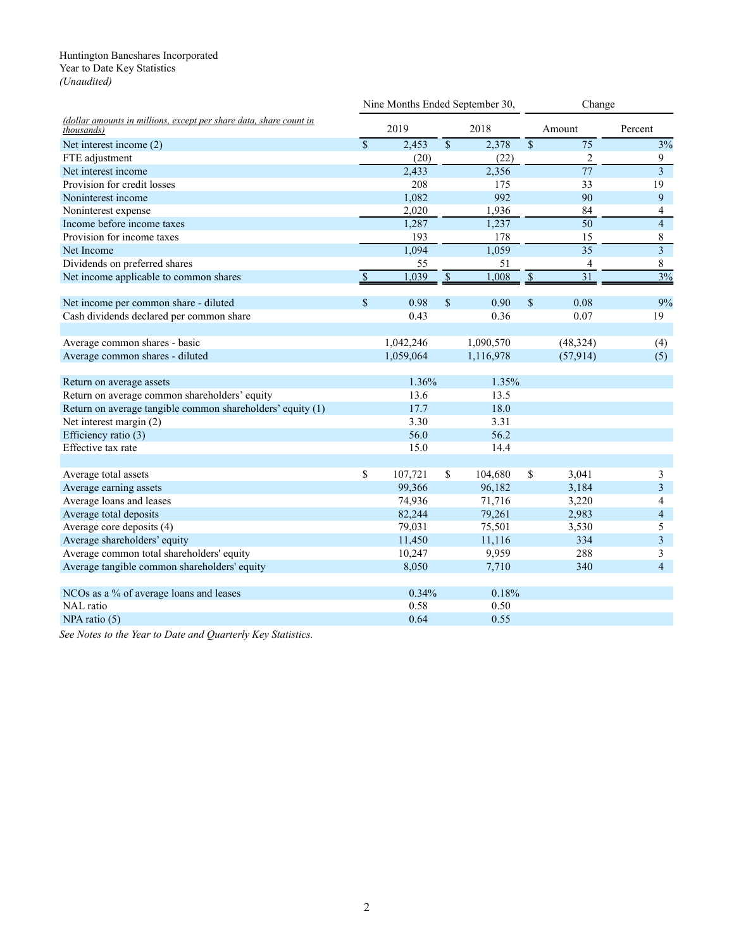### <span id="page-14-0"></span>Huntington Bancshares Incorporated Year to Date Key Statistics *(Unaudited)*

|                                                                                  |               | Nine Months Ended September 30, |                          |                    | Change               |                 |                         |  |
|----------------------------------------------------------------------------------|---------------|---------------------------------|--------------------------|--------------------|----------------------|-----------------|-------------------------|--|
| (dollar amounts in millions, except per share data, share count in<br>thousands) |               | 2019                            |                          | 2018               |                      | Amount          | Percent                 |  |
| Net interest income (2)                                                          | $\mathsf{\$}$ | 2,453                           | $\overline{\mathcal{S}}$ | 2,378              | $\mathsf{\$}$        | $\overline{75}$ | 3%                      |  |
| FTE adjustment                                                                   |               | (20)                            |                          | (22)               |                      | 2               | 9                       |  |
| Net interest income                                                              |               | $\overline{2,433}$              |                          | $\overline{2,356}$ |                      | $\overline{77}$ | $\overline{\mathbf{3}}$ |  |
| Provision for credit losses                                                      |               | 208                             |                          | 175                |                      | 33              | 19                      |  |
| Noninterest income                                                               |               | 1,082                           |                          | 992                |                      | 90              | 9                       |  |
| Noninterest expense                                                              |               | 2,020                           |                          | 1,936              |                      | 84              | 4                       |  |
| Income before income taxes                                                       |               | 1,287                           |                          | 1,237              |                      | $\overline{50}$ | $\overline{4}$          |  |
| Provision for income taxes                                                       |               | 193                             |                          | 178                |                      | 15              | 8                       |  |
| Net Income                                                                       |               | 1,094                           |                          | 1,059              |                      | $\overline{35}$ | $\overline{3}$          |  |
| Dividends on preferred shares                                                    |               | 55                              |                          | 51                 |                      | 4               | $8\,$                   |  |
| Net income applicable to common shares                                           | $\mathcal{S}$ | 1,039                           | $\mathbf{\$\}$           | 1,008              | $\sqrt{\frac{2}{5}}$ | $\overline{31}$ | 3%                      |  |
| Net income per common share - diluted                                            | $\mathbb{S}$  | 0.98                            | $\mathbb{S}$             | 0.90               | \$                   | 0.08            | 9%                      |  |
| Cash dividends declared per common share                                         |               | 0.43                            |                          | 0.36               |                      | 0.07            | 19                      |  |
| Average common shares - basic                                                    |               | 1,042,246                       |                          | 1,090,570          |                      | (48, 324)       | (4)                     |  |
| Average common shares - diluted                                                  |               | 1,059,064                       |                          | 1,116,978          |                      | (57, 914)       | (5)                     |  |
| Return on average assets                                                         |               | 1.36%                           |                          | 1.35%              |                      |                 |                         |  |
| Return on average common shareholders' equity                                    |               | 13.6                            |                          | 13.5               |                      |                 |                         |  |
| Return on average tangible common shareholders' equity (1)                       |               | 17.7                            |                          | 18.0               |                      |                 |                         |  |
| Net interest margin (2)                                                          |               | 3.30                            |                          | 3.31               |                      |                 |                         |  |
| Efficiency ratio (3)                                                             |               | 56.0                            |                          | 56.2               |                      |                 |                         |  |
| Effective tax rate                                                               |               | 15.0                            |                          | 14.4               |                      |                 |                         |  |
| Average total assets                                                             | \$            | 107,721                         | \$                       | 104,680            | $\mathbb{S}$         | 3,041           | 3                       |  |
| Average earning assets                                                           |               | 99,366                          |                          | 96,182             |                      | 3,184           | 3                       |  |
| Average loans and leases                                                         |               | 74,936                          |                          | 71,716             |                      | 3,220           | $\overline{4}$          |  |
| Average total deposits                                                           |               | 82,244                          |                          | 79,261             |                      | 2,983           | $\overline{4}$          |  |
| Average core deposits (4)                                                        |               | 79,031                          |                          | 75,501             |                      | 3,530           | 5                       |  |
| Average shareholders' equity                                                     |               | 11,450                          |                          | 11,116             |                      | 334             | $\overline{\mathbf{3}}$ |  |
| Average common total shareholders' equity                                        |               | 10,247                          |                          | 9,959              |                      | 288             | 3                       |  |
| Average tangible common shareholders' equity                                     |               | 8,050                           |                          | 7,710              |                      | 340             | $\overline{4}$          |  |
| NCOs as a % of average loans and leases                                          |               | 0.34%                           |                          | 0.18%              |                      |                 |                         |  |
| NAL ratio                                                                        |               | 0.58                            |                          | 0.50               |                      |                 |                         |  |
| $NPA$ ratio $(5)$                                                                |               | 0.64                            |                          | 0.55               |                      |                 |                         |  |
|                                                                                  |               |                                 |                          |                    |                      |                 |                         |  |

*See Notes to the Year to Date and Quarterly Key Statistics.*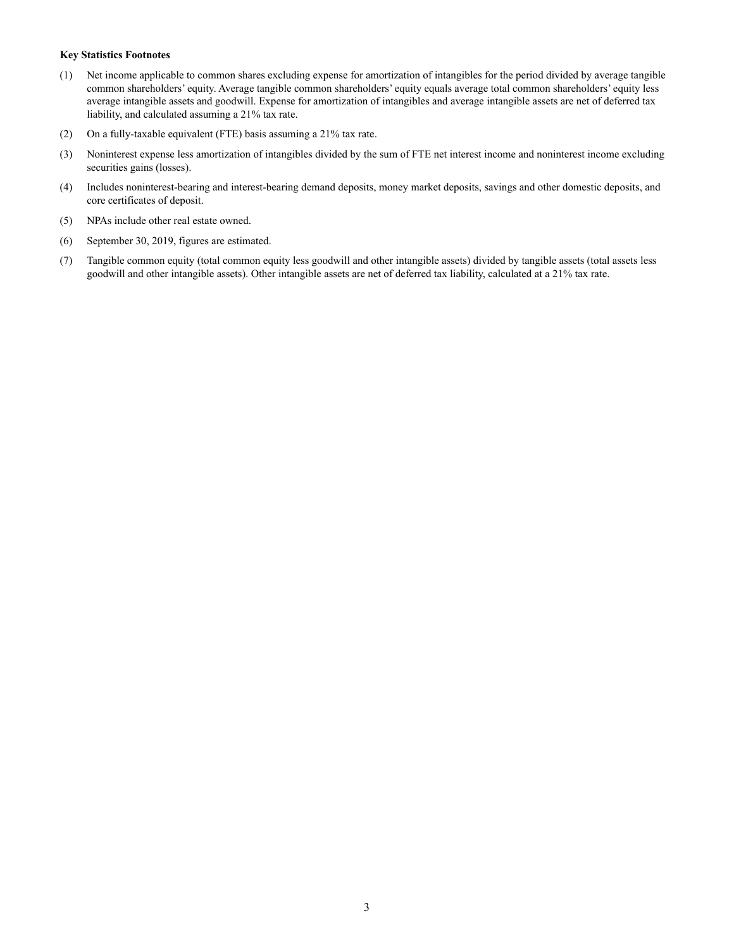#### **Key Statistics Footnotes**

- (1) Net income applicable to common shares excluding expense for amortization of intangibles for the period divided by average tangible common shareholders' equity. Average tangible common shareholders' equity equals average total common shareholders' equity less average intangible assets and goodwill. Expense for amortization of intangibles and average intangible assets are net of deferred tax liability, and calculated assuming a 21% tax rate.
- (2) On a fully-taxable equivalent (FTE) basis assuming a 21% tax rate.
- (3) Noninterest expense less amortization of intangibles divided by the sum of FTE net interest income and noninterest income excluding securities gains (losses).
- (4) Includes noninterest-bearing and interest-bearing demand deposits, money market deposits, savings and other domestic deposits, and core certificates of deposit.
- (5) NPAs include other real estate owned.
- (6) September 30, 2019, figures are estimated.
- (7) Tangible common equity (total common equity less goodwill and other intangible assets) divided by tangible assets (total assets less goodwill and other intangible assets). Other intangible assets are net of deferred tax liability, calculated at a 21% tax rate.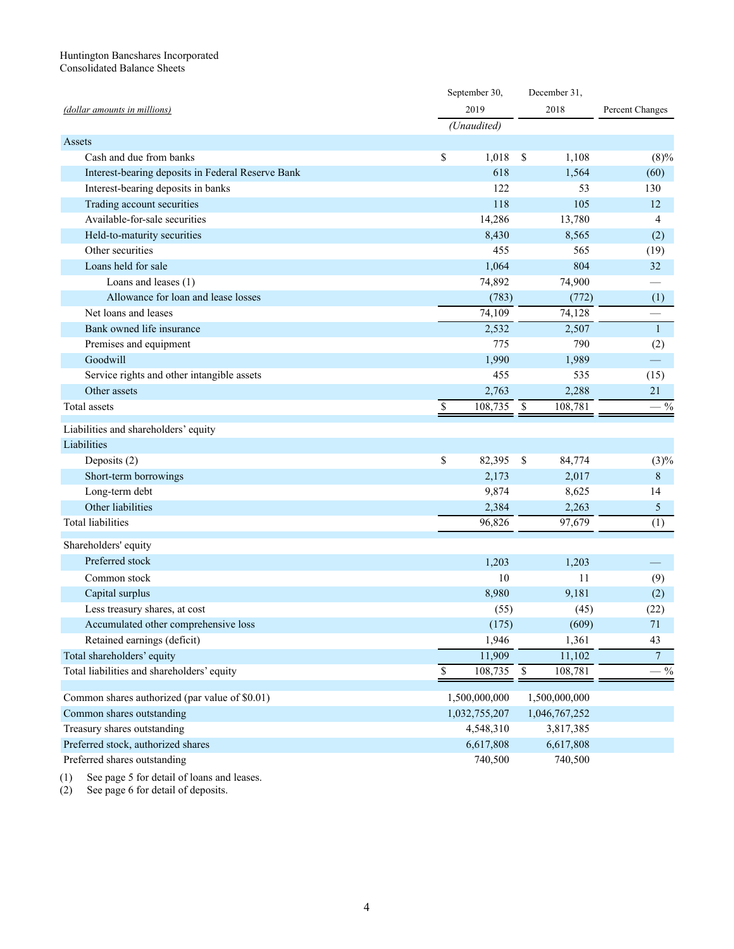#### <span id="page-16-0"></span>Huntington Bancshares Incorporated Consolidated Balance Sheets

|                                                   | September 30,                        |     | December 31,  |                 |  |
|---------------------------------------------------|--------------------------------------|-----|---------------|-----------------|--|
| (dollar amounts in millions)                      | 2019                                 |     | 2018          | Percent Changes |  |
|                                                   | (Unaudited)                          |     |               |                 |  |
| Assets                                            |                                      |     |               |                 |  |
| Cash and due from banks                           | \$<br>1,018                          | \$  | 1,108         | (8)%            |  |
| Interest-bearing deposits in Federal Reserve Bank | 618                                  |     | 1,564         | (60)            |  |
| Interest-bearing deposits in banks                | 122                                  |     | 53            | 130             |  |
| Trading account securities                        | 118                                  |     | 105           | 12              |  |
| Available-for-sale securities                     | 14,286                               |     | 13,780        | 4               |  |
| Held-to-maturity securities                       | 8,430                                |     | 8,565         | (2)             |  |
| Other securities                                  | 455                                  |     | 565           | (19)            |  |
| Loans held for sale                               | 1,064                                |     | 804           | 32              |  |
| Loans and leases (1)                              | 74,892                               |     | 74,900        |                 |  |
| Allowance for loan and lease losses               | (783)                                |     | (772)         | (1)             |  |
| Net loans and leases                              | 74,109                               |     | 74,128        |                 |  |
| Bank owned life insurance                         | 2,532                                |     | 2,507         | $\mathbf{1}$    |  |
| Premises and equipment                            | 775                                  |     | 790           | (2)             |  |
| Goodwill                                          | 1,990                                |     | 1,989         |                 |  |
| Service rights and other intangible assets        | 455                                  |     | 535           | (15)            |  |
| Other assets                                      | 2,763                                |     | 2,288         | 21              |  |
| <b>Total</b> assets                               | \$<br>108,735                        | -\$ | 108,781       | $-$ %           |  |
|                                                   |                                      |     |               |                 |  |
| Liabilities and shareholders' equity              |                                      |     |               |                 |  |
| Liabilities                                       |                                      |     |               |                 |  |
| Deposits (2)                                      | \$<br>82,395                         | -\$ | 84,774        | (3)%            |  |
| Short-term borrowings                             | 2,173                                |     | 2,017         | $\,8\,$         |  |
| Long-term debt                                    | 9,874                                |     | 8,625         | 14              |  |
| Other liabilities                                 | 2,384                                |     | 2,263         | 5               |  |
| <b>Total liabilities</b>                          | 96,826                               |     | 97,679        | (1)             |  |
| Shareholders' equity                              |                                      |     |               |                 |  |
| Preferred stock                                   | 1,203                                |     | 1,203         |                 |  |
| Common stock                                      | 10                                   |     | 11            | (9)             |  |
| Capital surplus                                   | 8,980                                |     | 9,181         | (2)             |  |
| Less treasury shares, at cost                     | (55)                                 |     | (45)          | (22)            |  |
| Accumulated other comprehensive loss              | (175)                                |     | (609)         | 71              |  |
| Retained earnings (deficit)                       | 1,946                                |     | 1,361         | 43              |  |
| Total shareholders' equity                        | 11,909                               |     | 11,102        | $\overline{7}$  |  |
| Total liabilities and shareholders' equity        | $\boldsymbol{\mathsf{S}}$<br>108,735 | \$  | 108,781       | $-$ %           |  |
|                                                   |                                      |     |               |                 |  |
| Common shares authorized (par value of \$0.01)    | 1,500,000,000                        |     | 1,500,000,000 |                 |  |
| Common shares outstanding                         | 1,032,755,207                        |     | 1,046,767,252 |                 |  |
| Treasury shares outstanding                       | 4,548,310                            |     | 3,817,385     |                 |  |
| Preferred stock, authorized shares                | 6,617,808                            |     | 6,617,808     |                 |  |
| Preferred shares outstanding                      | 740,500                              |     | 740,500       |                 |  |

(1) See page 5 for detail of loans and leases.

(2) See page 6 for detail of deposits.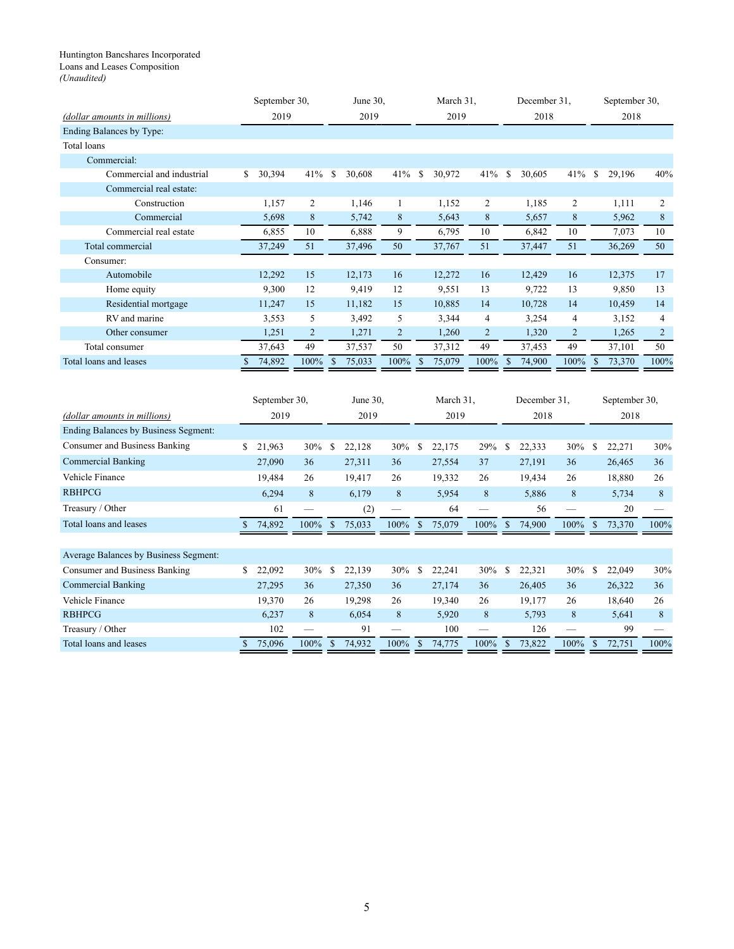#### <span id="page-17-0"></span>Huntington Bancshares Incorporated Loans and Leases Composition *(Unaudited)*

|                              | September 30,                      |      | June 30,                |                | March 31.    |                | December 31,  |                | September 30,                   |                |
|------------------------------|------------------------------------|------|-------------------------|----------------|--------------|----------------|---------------|----------------|---------------------------------|----------------|
| (dollar amounts in millions) | 2019                               |      | 2019                    |                | 2019         |                | 2018          |                | 2018                            |                |
| Ending Balances by Type:     |                                    |      |                         |                |              |                |               |                |                                 |                |
| <b>Total loans</b>           |                                    |      |                         |                |              |                |               |                |                                 |                |
| Commercial:                  |                                    |      |                         |                |              |                |               |                |                                 |                |
| Commercial and industrial    | 30,394<br>\$                       | 41%  | \$<br>30,608            | 41%            | S.<br>30,972 | 41%            | 30,605<br>\$  | 41%            | <sup>\$</sup><br>29,196         | 40%            |
| Commercial real estate:      |                                    |      |                         |                |              |                |               |                |                                 |                |
| Construction                 | 1,157                              | 2    | 1,146                   |                | 1,152        | 2              | 1,185         | $\overline{c}$ | 1,111                           | 2              |
| Commercial                   | 5,698                              | 8    | 5,742                   | 8              | 5,643        | 8              | 5,657         | 8              | 5,962                           | 8              |
| Commercial real estate       | 6,855                              | 10   | 6,888                   | 9              | 6,795        | 10             | 6,842         | 10             | 7,073                           | 10             |
| Total commercial             | 37,249                             | 51   | 37,496                  | 50             | 37,767       | 51             | 37,447        | 51             | 36,269                          | 50             |
| Consumer:                    |                                    |      |                         |                |              |                |               |                |                                 |                |
| Automobile                   | 12,292                             | 15   | 12,173                  | 16             | 12,272       | 16             | 12,429        | 16             | 12,375                          | 17             |
| Home equity                  | 9,300                              | 12   | 9,419                   | 12             | 9,551        | 13             | 9,722         | 13             | 9,850                           | 13             |
| Residential mortgage         | 11,247                             | 15   | 11,182                  | 15             | 10,885       | 14             | 10,728        | 14             | 10,459                          | 14             |
| RV and marine                | 3,553                              | 5    | 3,492                   | 5              | 3,344        | 4              | 3,254         | 4              | 3,152                           | 4              |
| Other consumer               | 1,251                              | 2    | 1,271                   | $\overline{2}$ | 1,260        | $\overline{2}$ | 1,320         | 2              | 1,265                           | $\overline{2}$ |
| Total consumer               | 37,643                             | 49   | 37,537                  | 50             | 37,312       | 49             | 37,453        | 49             | 37,101                          | 50             |
| Total loans and leases       | 74,892                             | 100% | 75,033<br><sup>\$</sup> | 100%           | 75,079       | 100%           | 74,900<br>\$  | 100%           | 73,370<br><sup>\$</sup>         | 100%           |
|                              | $\mathcal{C}_{\text{antambar}}$ 20 |      | $L_{1}$ $\sim$ 20       |                | $M$ orob 21  |                | Dagambar $21$ |                | $\mathcal{C}_{\text{antambar}}$ |                |

|                                              |     | September 30. |      | June 30. |        |      | March 31. |        |      |      | December 31. |      |               | September 30. |      |  |
|----------------------------------------------|-----|---------------|------|----------|--------|------|-----------|--------|------|------|--------------|------|---------------|---------------|------|--|
| (dollar amounts in millions)                 |     | 2019          |      | 2019     |        |      | 2019      |        |      | 2018 |              |      | 2018          |               |      |  |
| Ending Balances by Business Segment:         |     |               |      |          |        |      |           |        |      |      |              |      |               |               |      |  |
| Consumer and Business Banking                | \$  | 21,963        | 30%  | \$       | 22,128 | 30%  | \$        | 22,175 | 29%  | S    | 22,333       | 30%  | S             | 22,271        | 30%  |  |
| Commercial Banking                           |     | 27,090        | 36   |          | 27,311 | 36   |           | 27,554 | 37   |      | 27,191       | 36   |               | 26,465        | 36   |  |
| Vehicle Finance                              |     | 19,484        | 26   |          | 19,417 | 26   |           | 19,332 | 26   |      | 19,434       | 26   |               | 18,880        | 26   |  |
| <b>RBHPCG</b>                                |     | 6,294         | 8    |          | 6,179  | 8    |           | 5,954  | 8    |      | 5,886        | 8    |               | 5,734         | 8    |  |
| Treasury / Other                             |     | 61            |      |          | (2)    |      |           | 64     |      |      | 56           |      |               | 20            |      |  |
| Total loans and leases                       | S   | 74,892        | 100% | \$       | 75,033 | 100% | \$.       | 75,079 | 100% | \$.  | 74,900       | 100% | <sup>\$</sup> | 73,370        | 100% |  |
|                                              |     |               |      |          |        |      |           |        |      |      |              |      |               |               |      |  |
| <b>Average Balances by Business Segment:</b> |     |               |      |          |        |      |           |        |      |      |              |      |               |               |      |  |
| Consumer and Business Banking                | \$. | 22,092        | 30%  | \$       | 22,139 | 30%  | \$        | 22,241 | 30%  | S    | 22,321       | 30%  | \$            | 22,049        | 30%  |  |
| <b>Commercial Banking</b>                    |     | 27,295        | 36   |          | 27,350 | 36   |           | 27,174 | 36   |      | 26,405       | 36   |               | 26,322        | 36   |  |
| Vehicle Finance                              |     | 19,370        | 26   |          | 19,298 | 26   |           | 19,340 | 26   |      | 19,177       | 26   |               | 18,640        | 26   |  |
| <b>RBHPCG</b>                                |     | 6,237         | 8    |          | 6,054  | 8    |           | 5,920  | 8    |      | 5,793        | 8    |               | 5,641         | 8    |  |
| Treasury / Other                             |     | 102           |      |          | 91     |      |           | 100    |      |      | 126          |      |               | 99            |      |  |
| Total loans and leases                       |     | 75,096        | 100% | \$       | 74,932 | 100% |           | 74,775 | 100% | \$   | 73,822       | 100% | \$            | 72,751        | 100% |  |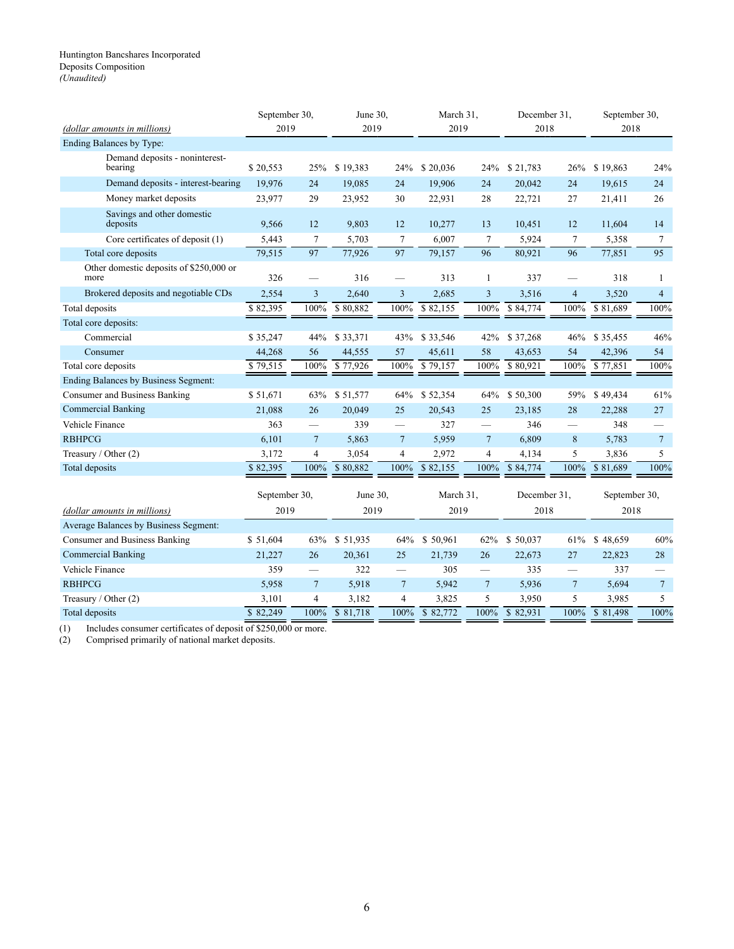#### <span id="page-18-0"></span>Huntington Bancshares Incorporated Deposits Composition *(Unaudited)*

| (dollar amounts in millions)                    | September 30,<br>2019  |                 | June 30,<br>2019 |                          | March 31,<br>2019 |                 | December 31.<br>2018 |                          | September 30,<br>2018 |                |  |
|-------------------------------------------------|------------------------|-----------------|------------------|--------------------------|-------------------|-----------------|----------------------|--------------------------|-----------------------|----------------|--|
| Ending Balances by Type:                        |                        |                 |                  |                          |                   |                 |                      |                          |                       |                |  |
| Demand deposits - noninterest-<br>bearing       | \$20,553               | 25%             | \$19,383         | 24%                      | \$20,036          | 24%             | \$21,783             | 26%                      | \$19,863              | 24%            |  |
| Demand deposits - interest-bearing              | 19,976                 | 24              | 19,085           | 24                       | 19,906            | 24              | 20,042               | 24                       | 19,615                | 24             |  |
| Money market deposits                           | 23,977                 | 29              | 23,952           | 30                       | 22,931            | 28              | 22,721               | 27                       | 21,411                | 26             |  |
| Savings and other domestic<br>deposits          | 9,566                  | 12              | 9,803            | 12                       | 10,277            | 13              | 10,451               | 12                       | 11,604                | 14             |  |
| Core certificates of deposit (1)                | 5,443                  | $\tau$          | 5,703            | $\tau$                   | 6,007             | $\tau$          | 5,924                | $\tau$                   | 5,358                 | $\tau$         |  |
| Total core deposits                             | 79,515                 | 97              | 77,926           | 97                       | 79,157            | 96              | 80,921               | 96                       | 77,851                | 95             |  |
| Other domestic deposits of \$250,000 or<br>more | 326                    |                 | 316              | $\overline{\phantom{0}}$ | 313               | $\mathbf{1}$    | 337                  | $\overline{\phantom{0}}$ | 318                   | 1              |  |
| Brokered deposits and negotiable CDs            | 2,554                  | 3               | 2,640            | 3                        | 2,685             | 3               | 3,516                | $\overline{4}$           | 3,520                 | $\overline{4}$ |  |
| Total deposits                                  | \$82,395               | 100%            | \$80,882         | 100%                     | \$82,155          | 100%            | \$84,774             | 100%                     | \$81,689              | 100%           |  |
| Total core deposits:                            |                        |                 |                  |                          |                   |                 |                      |                          |                       |                |  |
| Commercial                                      | \$35,247               | 44%             | \$33,371         | 43%                      | \$33,546          | 42%             | \$37,268             | 46%                      | \$35,455              | 46%            |  |
| Consumer                                        | 44,268                 | 56              | 44,555           | 57                       | 45,611            | 58              | 43,653               | 54                       | 42,396                | 54             |  |
| Total core deposits                             | \$79,515               | 100%            | \$77,926         | 100%                     | \$79,157          | 100%            | \$80,921             | 100%                     | \$77,851              | 100%           |  |
| Ending Balances by Business Segment:            |                        |                 |                  |                          |                   |                 |                      |                          |                       |                |  |
| Consumer and Business Banking                   | \$51,671               | 63%             | \$51,577         | 64%                      | \$52,354          | 64%             | \$50,300             | 59%                      | \$49,434              | 61%            |  |
| <b>Commercial Banking</b>                       | 21,088                 | 26              | 20,049           | 25                       | 20,543            | 25              | 23,185               | 28                       | 22,288                | 27             |  |
| Vehicle Finance                                 | 363                    | $\qquad \qquad$ | 339              |                          | 327               |                 | 346                  |                          | 348                   |                |  |
| <b>RBHPCG</b>                                   | 6,101                  | $\overline{7}$  | 5,863            | $\overline{7}$           | 5,959             | $\overline{7}$  | 6,809                | $8\phantom{1}$           | 5,783                 | $\overline{7}$ |  |
| Treasury / Other (2)                            | 3,172                  | $\overline{4}$  | 3,054            | $\overline{4}$           | 2,972             | 4               | 4,134                | 5                        | 3,836                 | 5              |  |
| Total deposits                                  | \$82,395               | 100%            | \$80,882         | 100%                     | \$82,155          | 100%            | \$84,774             | 100%                     | \$81.689              | 100%           |  |
|                                                 | September 30,          |                 | June 30.         |                          | March 31,         |                 | December 31.         |                          | September 30,         |                |  |
| (dollar amounts in millions)                    | 2019                   |                 | 2019             |                          | 2019              |                 | 2018                 |                          | 2018                  |                |  |
| Average Balances by Business Segment:           |                        |                 |                  |                          |                   |                 |                      |                          |                       |                |  |
| Consumer and Business Banking                   | \$51,604               | 63%             | \$51,935         | 64%                      | \$50,961          | 62%             | \$50,037             | 61%                      | \$48,659              | 60%            |  |
| <b>Commercial Banking</b>                       | 21,227                 | 26              | 20,361           | 25                       | 21,739            | 26              | 22,673               | 27                       | 22,823                | 28             |  |
| Vehicle Finance                                 | 359                    | $\qquad \qquad$ | 322              | $\overline{\phantom{0}}$ | 305               | $\qquad \qquad$ | 335                  |                          | 337                   |                |  |
| <b>RBHPCG</b>                                   | 5,958                  | $\overline{7}$  | 5,918            | $\overline{7}$           | 5,942             | $\overline{7}$  | 5,936                | $7\phantom{.0}$          | 5,694                 | $\tau$         |  |
| Treasury / Other (2)                            | 3,101                  | $\overline{4}$  | 3,182            | 4                        | 3,825             | 5               | 3,950                | 5                        | 3,985                 | 5              |  |
| Total deposits                                  | $\overline{$8,82,249}$ | 100%            | \$81,718         | 100%                     | \$82,772          | 100%            | \$82,931             | 100%                     | \$81,498              | 100%           |  |

(1) Includes consumer certificates of deposit of \$250,000 or more.<br>
(2) Comprised primarily of national market deposits.

Comprised primarily of national market deposits.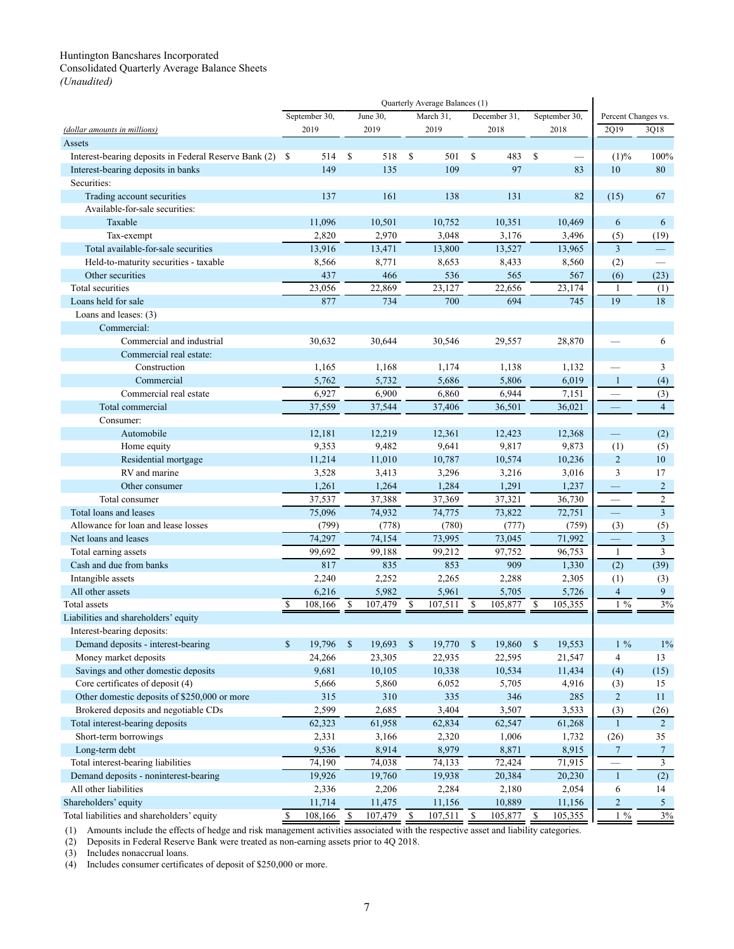<span id="page-19-0"></span>Consolidated Quarterly Average Balance Sheets *(Unaudited)*

|                                                          |              |               |                           |          |                    | Quarterly Average Balances (1) |              |              |               |               |                          |                |
|----------------------------------------------------------|--------------|---------------|---------------------------|----------|--------------------|--------------------------------|--------------|--------------|---------------|---------------|--------------------------|----------------|
|                                                          |              | September 30, |                           | June 30, |                    | March 31.                      |              | December 31, |               | September 30, | Percent Changes vs.      |                |
| (dollar amounts in millions)                             |              | 2019          |                           | 2019     |                    | 2019                           |              | 2018         |               | 2018          | 2Q19                     | 3Q18           |
| Assets                                                   |              |               |                           |          |                    |                                |              |              |               |               |                          |                |
| Interest-bearing deposits in Federal Reserve Bank (2) \$ |              | 514           | \$                        | 518      | \$                 | 501                            | \$           | 483          | \$            |               | (1)%                     | 100%           |
| Interest-bearing deposits in banks                       |              | 149           |                           | 135      |                    | 109                            |              | 97           |               | 83            | 10                       | 80             |
| Securities:                                              |              |               |                           |          |                    |                                |              |              |               |               |                          |                |
| Trading account securities                               |              | 137           |                           | 161      |                    | 138                            |              | 131          |               | 82            | (15)                     | 67             |
| Available-for-sale securities:                           |              |               |                           |          |                    |                                |              |              |               |               |                          |                |
| Taxable                                                  |              | 11,096        |                           | 10,501   |                    | 10,752                         |              | 10,351       |               | 10,469        | 6                        | 6              |
| Tax-exempt                                               |              | 2,820         |                           | 2,970    |                    | 3,048                          |              | 3,176        |               | 3,496         | (5)                      | (19)           |
| Total available-for-sale securities                      |              | 13,916        |                           | 13,471   |                    | 13,800                         |              | 13,527       |               | 13,965        | $\overline{3}$           |                |
| Held-to-maturity securities - taxable                    |              | 8,566         |                           | 8,771    |                    | 8,653                          |              | 8,433        |               | 8,560         | (2)                      |                |
| Other securities                                         |              | 437           |                           | 466      |                    | 536                            |              | 565          |               | 567           | (6)                      | (23)           |
| Total securities                                         |              | 23,056        |                           | 22,869   |                    | 23,127                         |              | 22,656       |               | 23,174        | 1                        | (1)            |
| Loans held for sale                                      |              | 877           |                           | 734      |                    | 700                            |              | 694          |               | 745           | 19                       | 18             |
| Loans and leases: (3)                                    |              |               |                           |          |                    |                                |              |              |               |               |                          |                |
| Commercial:                                              |              |               |                           |          |                    |                                |              |              |               |               |                          |                |
| Commercial and industrial                                |              | 30,632        |                           | 30,644   |                    | 30,546                         |              | 29,557       |               | 28,870        |                          | 6              |
| Commercial real estate:                                  |              |               |                           |          |                    |                                |              |              |               |               |                          |                |
| Construction                                             |              | 1,165         |                           | 1,168    |                    | 1,174                          |              | 1,138        |               | 1,132         |                          | 3              |
| Commercial                                               |              | 5,762         |                           | 5,732    |                    | 5,686                          |              | 5,806        |               | 6,019         | $\mathbf{1}$             | (4)            |
| Commercial real estate                                   |              | 6,927         |                           | 6,900    |                    | 6,860                          |              | 6,944        |               | 7,151         |                          | (3)            |
| Total commercial                                         |              | 37,559        |                           | 37,544   |                    | 37,406                         |              | 36,501       |               | 36,021        |                          | $\overline{4}$ |
| Consumer:                                                |              |               |                           |          |                    |                                |              |              |               |               |                          |                |
| Automobile                                               |              | 12,181        |                           | 12,219   |                    | 12,361                         |              | 12,423       |               | 12,368        | $\overline{\phantom{0}}$ | (2)            |
| Home equity                                              |              | 9,353         |                           | 9,482    |                    | 9,641                          |              | 9,817        |               | 9,873         | (1)                      | (5)            |
| Residential mortgage                                     |              | 11,214        |                           | 11,010   |                    | 10,787                         |              | 10,574       |               | 10,236        | $\overline{c}$           | 10             |
| RV and marine                                            |              | 3,528         |                           | 3,413    |                    | 3,296                          |              | 3,216        |               | 3,016         | 3                        | 17             |
| Other consumer                                           |              | 1,261         |                           | 1,264    |                    | 1,284                          |              | 1,291        |               | 1,237         | $\overline{\phantom{0}}$ | $\overline{c}$ |
| Total consumer                                           |              | 37,537        |                           | 37,388   |                    | 37,369                         |              | 37,321       |               | 36,730        | $\qquad \qquad$          | $\overline{c}$ |
| Total loans and leases                                   |              | 75,096        |                           | 74,932   |                    | 74,775                         |              | 73,822       |               | 72,751        | $\qquad \qquad$          | $\overline{3}$ |
| Allowance for loan and lease losses                      |              | (799)         |                           | (778)    |                    | (780)                          |              | (777)        |               | (759)         | (3)                      | (5)            |
| Net loans and leases                                     |              | 74,297        |                           | 74,154   |                    | 73,995                         |              | 73,045       |               | 71,992        |                          | $\overline{3}$ |
| Total earning assets                                     |              | 99,692        |                           | 99,188   |                    | 99,212                         |              | 97,752       |               | 96,753        | 1                        | 3              |
| Cash and due from banks                                  |              | 817           |                           | 835      |                    | 853                            |              | 909          |               | 1,330         | (2)                      | (39)           |
| Intangible assets                                        |              | 2,240         |                           | 2,252    |                    | 2,265                          |              | 2,288        |               | 2,305         | (1)                      | (3)            |
| All other assets                                         |              | 6,216         |                           | 5,982    |                    | 5,961                          |              | 5,705        |               | 5,726         | $\overline{4}$           | 9              |
| Total assets                                             | S            | 108,166       | \$                        | 107,479  | -\$                | 107,511                        | S            | 105,877      | -S            | 105,355       | $1\%$                    | 3%             |
| Liabilities and shareholders' equity                     |              |               |                           |          |                    |                                |              |              |               |               |                          |                |
| Interest-bearing deposits:                               |              |               |                           |          |                    |                                |              |              |               |               |                          |                |
| Demand deposits - interest-bearing                       | \$           | 19,796        | $\boldsymbol{\mathsf{S}}$ | 19,693   | $\mathbf{\hat{s}}$ | 19,770                         | $\mathbb{S}$ | 19,860       | $\mathcal{S}$ | 19,553        | $1\%$                    | 1%             |
| Money market deposits                                    |              | 24,266        |                           | 23,305   |                    | 22,935                         |              | 22,595       |               | 21,547        | 4                        | 13             |
| Savings and other domestic deposits                      |              | 9,681         |                           | 10,105   |                    | 10,338                         |              | 10,534       |               | 11,434        | (4)                      | (15)           |
| Core certificates of deposit (4)                         |              | 5,666         |                           | 5,860    |                    | 6,052                          |              | 5,705        |               | 4,916         | (3)                      | 15             |
| Other domestic deposits of \$250,000 or more             |              | 315           |                           | 310      |                    | 335                            |              | 346          |               | 285           | $\overline{c}$           | 11             |
| Brokered deposits and negotiable CDs                     |              | 2,599         |                           | 2,685    |                    | 3,404                          |              | 3,507        |               | 3,533         | (3)                      | (26)           |
| Total interest-bearing deposits                          |              | 62,323        |                           | 61,958   |                    | 62,834                         |              | 62,547       |               | 61,268        | 1                        | $\overline{2}$ |
| Short-term borrowings                                    |              | 2,331         |                           | 3,166    |                    | 2,320                          |              | 1,006        |               | 1,732         | (26)                     | 35             |
| Long-term debt                                           |              | 9,536         |                           | 8,914    |                    | 8,979                          |              | 8,871        |               | 8,915         | $\overline{7}$           | $\overline{7}$ |
| Total interest-bearing liabilities                       |              | 74,190        |                           | 74,038   |                    | 74,133                         |              | 72,424       |               | 71,915        | $\overline{\phantom{0}}$ | 3              |
| Demand deposits - noninterest-bearing                    |              | 19,926        |                           | 19,760   |                    | 19,938                         |              | 20,384       |               | 20,230        | $\mathbf{1}$             | (2)            |
| All other liabilities                                    |              | 2,336         |                           | 2,206    |                    | 2,284                          |              | 2,180        |               | 2,054         | 6                        | 14             |
| Shareholders' equity                                     |              | 11,714        |                           | 11,475   |                    | 11,156                         |              | 10,889       |               | 11,156        | $\overline{2}$           | 5              |
| Total liabilities and shareholders' equity               | $\mathbb{S}$ | 108,166       | \$                        | 107,479  | $\mathbf{\hat{s}}$ | 107,511                        | $\mathbb{S}$ | $105,877$ \$ |               | 105,355       | $1\%$                    | 3%             |

(1) Amounts include the effects of hedge and risk management activities associated with the respective asset and liability categories.

(2) Deposits in Federal Reserve Bank were treated as non-earning assets prior to 4Q 2018.

(3) Includes nonaccrual loans.

(4) Includes consumer certificates of deposit of \$250,000 or more.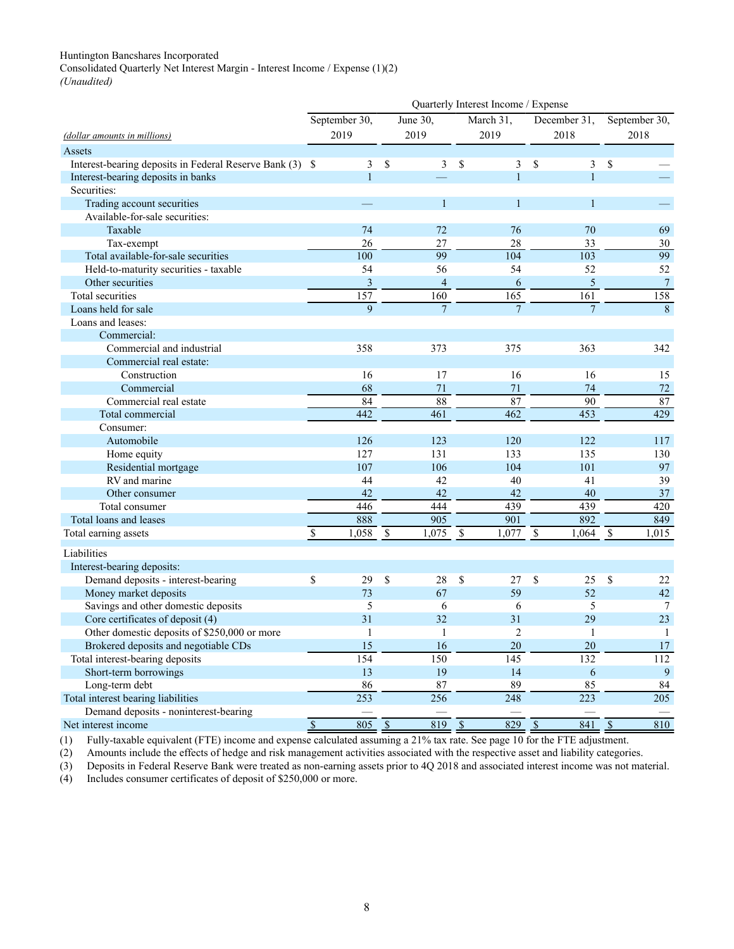<span id="page-20-0"></span>Consolidated Quarterly Net Interest Margin - Interest Income / Expense (1)(2)

*(Unaudited)*

|                                                          | Quarterly Interest Income / Expense |                          |                 |                          |                       |                          |                  |                          |                  |  |  |
|----------------------------------------------------------|-------------------------------------|--------------------------|-----------------|--------------------------|-----------------------|--------------------------|------------------|--------------------------|------------------|--|--|
|                                                          | September 30,                       |                          | June 30,        |                          | March 31,             |                          | December 31,     |                          | September 30,    |  |  |
| (dollar amounts in millions)                             | 2019                                |                          | 2019            |                          | 2019                  |                          | 2018             | 2018                     |                  |  |  |
| Assets                                                   |                                     |                          |                 |                          |                       |                          |                  |                          |                  |  |  |
| Interest-bearing deposits in Federal Reserve Bank (3) \$ | 3                                   | <sup>\$</sup>            | 3               | \$                       | 3                     | \$                       | 3                | \$                       |                  |  |  |
| Interest-bearing deposits in banks                       | $\mathbf{1}$                        |                          |                 |                          | 1                     |                          | $\mathbf{1}$     |                          |                  |  |  |
| Securities:                                              |                                     |                          |                 |                          |                       |                          |                  |                          |                  |  |  |
| Trading account securities                               |                                     |                          | $\mathbf{1}$    |                          | 1                     |                          | 1                |                          |                  |  |  |
| Available-for-sale securities:                           |                                     |                          |                 |                          |                       |                          |                  |                          |                  |  |  |
| Taxable                                                  | 74                                  |                          | 72              |                          | 76                    |                          | 70               |                          | 69               |  |  |
| Tax-exempt                                               | 26                                  |                          | 27              |                          | 28                    |                          | 33               |                          | 30               |  |  |
| Total available-for-sale securities                      | 100                                 |                          | $\overline{99}$ |                          | 104                   |                          | $\overline{103}$ |                          | $\overline{99}$  |  |  |
| Held-to-maturity securities - taxable                    | 54                                  |                          | 56              |                          | 54                    |                          | 52               |                          | 52               |  |  |
| Other securities                                         | 3                                   |                          | $\overline{4}$  |                          | 6                     |                          | 5                |                          | $\boldsymbol{7}$ |  |  |
| Total securities                                         | 157                                 |                          | 160             |                          | 165                   |                          | 161              |                          | 158              |  |  |
| Loans held for sale                                      | 9                                   |                          | $\overline{7}$  |                          | $\overline{7}$        |                          | $\overline{7}$   |                          | 8                |  |  |
| Loans and leases:                                        |                                     |                          |                 |                          |                       |                          |                  |                          |                  |  |  |
| Commercial:                                              |                                     |                          |                 |                          |                       |                          |                  |                          |                  |  |  |
| Commercial and industrial                                | 358                                 |                          | 373             |                          | 375                   |                          | 363              |                          | 342              |  |  |
| Commercial real estate:                                  |                                     |                          |                 |                          |                       |                          |                  |                          |                  |  |  |
| Construction                                             | 16                                  |                          | 17              |                          | 16                    |                          | 16               |                          | 15               |  |  |
| Commercial                                               | 68                                  |                          | 71              |                          | 71                    |                          | 74               |                          | 72               |  |  |
| Commercial real estate                                   | 84                                  |                          | $\overline{88}$ |                          | 87                    |                          | 90               |                          | 87               |  |  |
| Total commercial                                         | 442                                 |                          | 461             |                          | 462                   |                          | 453              |                          | 429              |  |  |
| Consumer:                                                |                                     |                          |                 |                          |                       |                          |                  |                          |                  |  |  |
| Automobile                                               | 126                                 |                          | 123             |                          | 120                   |                          | 122              |                          | 117              |  |  |
| Home equity                                              | 127                                 |                          | 131             |                          | 133                   |                          | 135              |                          | 130              |  |  |
| Residential mortgage                                     | 107                                 |                          | 106             |                          | 104                   |                          | 101              |                          | 97               |  |  |
| RV and marine                                            | 44                                  |                          | 42              |                          | 40                    |                          | 41               |                          | 39               |  |  |
| Other consumer                                           | 42                                  |                          | 42              |                          | 42                    |                          | 40               |                          | 37               |  |  |
| Total consumer                                           | 446                                 |                          | 444             |                          | 439                   |                          | 439              |                          | 420              |  |  |
| Total loans and leases                                   | 888                                 |                          | 905             |                          | 901                   |                          | 892              |                          | 849              |  |  |
| Total earning assets                                     | $\mathbf S$<br>1,058                | $\mathbb{S}$             | 1,075           | $\sqrt{3}$               | 1,077                 | $\overline{\mathcal{S}}$ | 1,064            | $\mathbb S$              | 1,015            |  |  |
| Liabilities                                              |                                     |                          |                 |                          |                       |                          |                  |                          |                  |  |  |
| Interest-bearing deposits:                               |                                     |                          |                 |                          |                       |                          |                  |                          |                  |  |  |
| Demand deposits - interest-bearing                       | \$<br>29                            | $\mathcal{S}$            | 28              | $\mathbf S$              | 27                    | \$                       | 25               | \$                       | 22               |  |  |
| Money market deposits                                    | 73                                  |                          | 67              |                          | 59                    |                          | 52               |                          | 42               |  |  |
| Savings and other domestic deposits                      | 5                                   |                          | 6               |                          | 6                     |                          | 5                |                          | $\tau$           |  |  |
| Core certificates of deposit (4)                         | 31                                  |                          | 32              |                          | 31                    |                          | 29               |                          | 23               |  |  |
| Other domestic deposits of \$250,000 or more             |                                     |                          | $\mathbf{1}$    |                          | $\mathcal{D}$         |                          | $\mathbf{1}$     |                          | $\mathbf{1}$     |  |  |
| Brokered deposits and negotiable CDs                     | 15                                  |                          | 16              |                          | 20                    |                          | 20               |                          | 17               |  |  |
| Total interest-bearing deposits                          | 154                                 |                          | 150             |                          | 145                   |                          | 132              |                          | 112              |  |  |
| Short-term borrowings                                    | 13                                  |                          | 19              |                          | 14                    |                          | 6                |                          | 9                |  |  |
| Long-term debt                                           | 86                                  |                          | 87              |                          | 89                    |                          | 85               |                          | 84               |  |  |
| Total interest bearing liabilities                       | $\overline{253}$                    |                          | 256             |                          | 248                   |                          | $\overline{223}$ |                          | $\overline{205}$ |  |  |
| Demand deposits - noninterest-bearing                    |                                     |                          |                 |                          |                       |                          |                  |                          |                  |  |  |
| Net interest income                                      | 805<br>$\overline{\$}$              | $\overline{\mathcal{S}}$ | 819             | $\overline{\mathcal{S}}$ | $829$ $\overline{\$}$ |                          | 841              | $\overline{\mathcal{S}}$ | 810              |  |  |

(1) Fully-taxable equivalent (FTE) income and expense calculated assuming a 21% tax rate. See page 10 for the FTE adjustment.

(2) Amounts include the effects of hedge and risk management activities associated with the respective asset and liability categories.

(3) Deposits in Federal Reserve Bank were treated as non-earning assets prior to 4Q 2018 and associated interest income was not material.

(4) Includes consumer certificates of deposit of \$250,000 or more.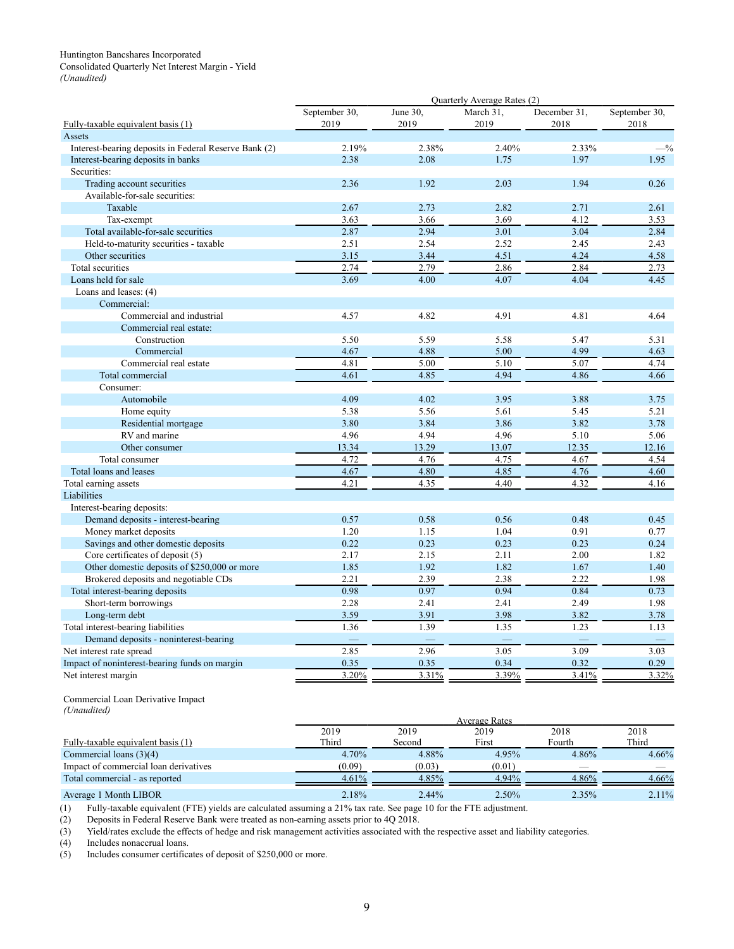## <span id="page-21-0"></span>Huntington Bancshares Incorporated Consolidated Quarterly Net Interest Margin - Yield

*(Unaudited)*

|                                                       | Quarterly Average Rates (2) |          |           |              |               |  |  |  |  |  |  |
|-------------------------------------------------------|-----------------------------|----------|-----------|--------------|---------------|--|--|--|--|--|--|
|                                                       | September 30,               | June 30, | March 31, | December 31, | September 30, |  |  |  |  |  |  |
| Fully-taxable equivalent basis (1)                    | 2019                        | 2019     | 2019      | 2018         | 2018          |  |  |  |  |  |  |
| Assets                                                |                             |          |           |              |               |  |  |  |  |  |  |
| Interest-bearing deposits in Federal Reserve Bank (2) | 2.19%                       | 2.38%    | 2.40%     | 2.33%        | $-$ %         |  |  |  |  |  |  |
| Interest-bearing deposits in banks                    | 2.38                        | 2.08     | 1.75      | 1.97         | 1.95          |  |  |  |  |  |  |
| Securities:                                           |                             |          |           |              |               |  |  |  |  |  |  |
| Trading account securities                            | 2.36                        | 1.92     | 2.03      | 1.94         | 0.26          |  |  |  |  |  |  |
| Available-for-sale securities:                        |                             |          |           |              |               |  |  |  |  |  |  |
| Taxable                                               | 2.67                        | 2.73     | 2.82      | 2.71         | 2.61          |  |  |  |  |  |  |
| Tax-exempt                                            | 3.63                        | 3.66     | 3.69      | 4.12         | 3.53          |  |  |  |  |  |  |
| Total available-for-sale securities                   | 2.87                        | 2.94     | 3.01      | 3.04         | 2.84          |  |  |  |  |  |  |
| Held-to-maturity securities - taxable                 | 2.51                        | 2.54     | 2.52      | 2.45         | 2.43          |  |  |  |  |  |  |
| Other securities                                      | 3.15                        | 3.44     | 4.51      | 4.24         | 4.58          |  |  |  |  |  |  |
| Total securities                                      | 2.74                        | 2.79     | 2.86      | 2.84         | 2.73          |  |  |  |  |  |  |
| Loans held for sale                                   | 3.69                        | 4.00     | 4.07      | 4.04         | 4.45          |  |  |  |  |  |  |
| Loans and leases: (4)                                 |                             |          |           |              |               |  |  |  |  |  |  |
| Commercial:                                           |                             |          |           |              |               |  |  |  |  |  |  |
| Commercial and industrial                             | 4.57                        | 4.82     | 4.91      | 4.81         | 4.64          |  |  |  |  |  |  |
| Commercial real estate:                               |                             |          |           |              |               |  |  |  |  |  |  |
| Construction                                          | 5.50                        | 5.59     | 5.58      | 5.47         | 5.31          |  |  |  |  |  |  |
| Commercial                                            | 4.67                        | 4.88     | 5.00      | 4.99         | 4.63          |  |  |  |  |  |  |
| Commercial real estate                                | 4.81                        | 5.00     | 5.10      | 5.07         | 4.74          |  |  |  |  |  |  |
| Total commercial                                      | 4.61                        | 4.85     | 4.94      | 4.86         | 4.66          |  |  |  |  |  |  |
| Consumer:                                             |                             |          |           |              |               |  |  |  |  |  |  |
| Automobile                                            | 4.09                        | 4.02     | 3.95      | 3.88         | 3.75          |  |  |  |  |  |  |
| Home equity                                           | 5.38                        | 5.56     | 5.61      | 5.45         | 5.21          |  |  |  |  |  |  |
| Residential mortgage                                  | 3.80                        | 3.84     | 3.86      | 3.82         | 3.78          |  |  |  |  |  |  |
| RV and marine                                         | 4.96                        | 4.94     | 4.96      | 5.10         | 5.06          |  |  |  |  |  |  |
| Other consumer                                        | 13.34                       | 13.29    | 13.07     | 12.35        | 12.16         |  |  |  |  |  |  |
| Total consumer                                        | 4.72                        | 4.76     | 4.75      | 4.67         | 4.54          |  |  |  |  |  |  |
| Total loans and leases                                | 4.67                        | 4.80     | 4.85      | 4.76         | 4.60          |  |  |  |  |  |  |
| Total earning assets                                  | 4.21                        | 4.35     | 4.40      | 4.32         | 4.16          |  |  |  |  |  |  |
| Liabilities                                           |                             |          |           |              |               |  |  |  |  |  |  |
| Interest-bearing deposits:                            |                             |          |           |              |               |  |  |  |  |  |  |
| Demand deposits - interest-bearing                    | 0.57                        | 0.58     | 0.56      | 0.48         | 0.45          |  |  |  |  |  |  |
| Money market deposits                                 | 1.20                        | 1.15     | 1.04      | 0.91         | 0.77          |  |  |  |  |  |  |
| Savings and other domestic deposits                   | 0.22                        | 0.23     | 0.23      | 0.23         | 0.24          |  |  |  |  |  |  |
| Core certificates of deposit (5)                      | 2.17                        | 2.15     | 2.11      | 2.00         | 1.82          |  |  |  |  |  |  |
| Other domestic deposits of \$250,000 or more          | 1.85                        | 1.92     | 1.82      | 1.67         | 1.40          |  |  |  |  |  |  |
| Brokered deposits and negotiable CDs                  | 2.21                        | 2.39     | 2.38      | 2.22         | 1.98          |  |  |  |  |  |  |
| Total interest-bearing deposits                       | 0.98                        | 0.97     | 0.94      | 0.84         | 0.73          |  |  |  |  |  |  |
| Short-term borrowings                                 | 2.28                        | 2.41     | 2.41      | 2.49         | 1.98          |  |  |  |  |  |  |
| Long-term debt                                        | 3.59                        | 3.91     | 3.98      | 3.82         | 3.78          |  |  |  |  |  |  |
| Total interest-bearing liabilities                    | 1.36                        | 1.39     | 1.35      | 1.23         | 1.13          |  |  |  |  |  |  |
| Demand deposits - noninterest-bearing                 |                             |          |           |              | $\frac{1}{2}$ |  |  |  |  |  |  |
| Net interest rate spread                              | 2.85                        | 2.96     | 3.05      | 3.09         | 3.03          |  |  |  |  |  |  |
| Impact of noninterest-bearing funds on margin         | 0.35                        | 0.35     | 0.34      | 0.32         | 0.29          |  |  |  |  |  |  |
| Net interest margin                                   | 3.20%                       | 3.31%    | 3.39%     | 3.41%        | 3.32%         |  |  |  |  |  |  |

Commercial Loan Derivative Impact *(Unaudited)*

|                                       | <b>Average Rates</b> |        |        |        |       |  |  |  |  |  |  |  |
|---------------------------------------|----------------------|--------|--------|--------|-------|--|--|--|--|--|--|--|
|                                       | 2019                 | 2019   | 2019   | 2018   | 2018  |  |  |  |  |  |  |  |
| Fully-taxable equivalent basis (1)    | Third                | Second | First  | Fourth | Third |  |  |  |  |  |  |  |
| Commercial loans $(3)(4)$             | 4.70%                | 4.88%  | 4.95%  | 4.86%  | 4.66% |  |  |  |  |  |  |  |
| Impact of commercial loan derivatives | (0.09)               | (0.03) | (0.01) |        |       |  |  |  |  |  |  |  |
| Total commercial - as reported        | 4.61%                | 4.85%  | 4.94%  | 4.86%  | 4.66% |  |  |  |  |  |  |  |
| Average 1 Month LIBOR                 | 2.18%                | 2.44%  | 2.50%  | 2.35%  | 2.11% |  |  |  |  |  |  |  |

(1) Fully-taxable equivalent (FTE) yields are calculated assuming a 21% tax rate. See page 10 for the FTE adjustment.

(2) Deposits in Federal Reserve Bank were treated as non-earning assets prior to 4Q 2018.

(3) Yield/rates exclude the effects of hedge and risk management activities associated with the respective asset and liability categories.<br>
(4) Includes nonaccrual loans.

Includes nonaccrual loans.

(5) Includes consumer certificates of deposit of \$250,000 or more.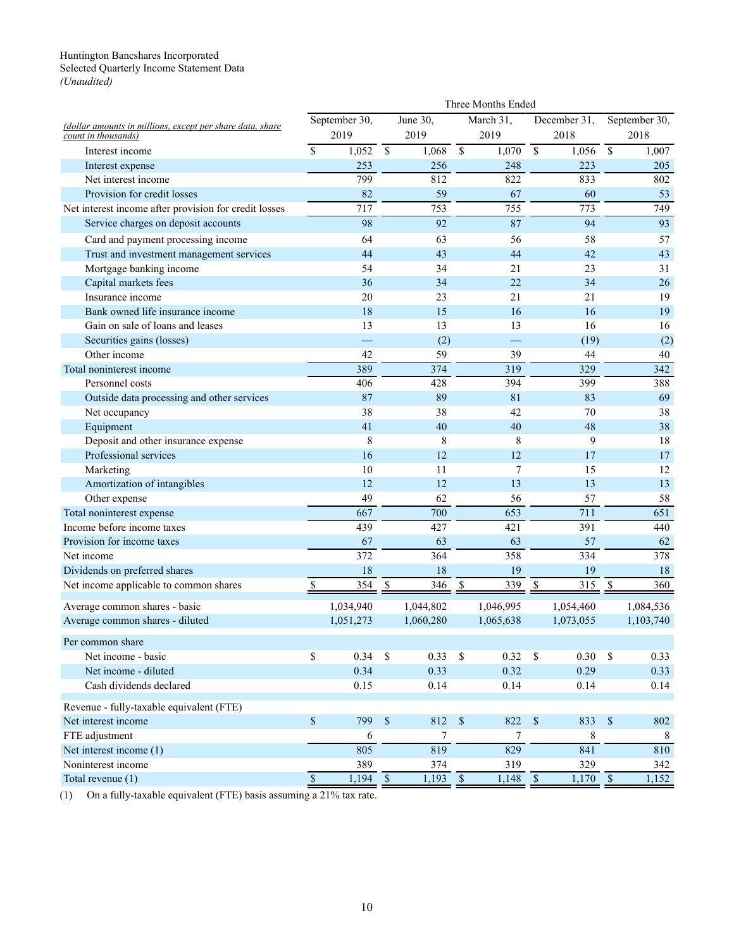### <span id="page-22-0"></span>Huntington Bancshares Incorporated Selected Quarterly Income Statement Data *(Unaudited)*

|                                                           | Three Months Ended       |                       |                           |                       |                          |                   |                          |                       |                          |                  |  |
|-----------------------------------------------------------|--------------------------|-----------------------|---------------------------|-----------------------|--------------------------|-------------------|--------------------------|-----------------------|--------------------------|------------------|--|
| (dollar amounts in millions, except per share data, share |                          | September 30,         |                           | June 30,              |                          | March 31,         |                          | December 31,          |                          | September 30,    |  |
| count in thousands)                                       |                          | 2019                  |                           | 2019                  |                          | 2019              |                          | 2018                  |                          | 2018             |  |
| Interest income                                           | $\mathsf{\$}$            | 1,052                 | $\sqrt{S}$                | 1,068                 | $\overline{\mathcal{S}}$ | 1,070             | $\overline{\mathcal{S}}$ | 1,056                 | $\overline{\mathcal{S}}$ | 1,007            |  |
| Interest expense                                          |                          | 253                   |                           | 256                   |                          | 248               |                          | 223                   |                          | 205              |  |
| Net interest income                                       |                          | 799                   |                           | 812                   |                          | 822               |                          | 833                   |                          | 802              |  |
| Provision for credit losses                               |                          | 82                    |                           | 59                    |                          | 67                |                          | 60                    |                          | 53               |  |
| Net interest income after provision for credit losses     |                          | 717                   |                           | 753                   |                          | 755               |                          | 773                   |                          | 749              |  |
| Service charges on deposit accounts                       |                          | 98                    |                           | 92                    |                          | 87                |                          | 94                    |                          | 93               |  |
| Card and payment processing income                        |                          | 64                    |                           | 63                    |                          | 56                |                          | 58                    |                          | 57               |  |
| Trust and investment management services                  |                          | 44                    |                           | 43                    |                          | 44                |                          | 42                    |                          | 43               |  |
| Mortgage banking income                                   |                          | 54                    |                           | 34                    |                          | 21                |                          | 23                    |                          | 31               |  |
| Capital markets fees                                      |                          | 36                    |                           | 34                    |                          | 22                |                          | 34                    |                          | 26               |  |
| Insurance income                                          |                          | 20                    |                           | 23                    |                          | 21                |                          | 21                    |                          | 19               |  |
| Bank owned life insurance income                          |                          | 18                    |                           | 15                    |                          | 16                |                          | 16                    |                          | 19               |  |
| Gain on sale of loans and leases                          |                          | 13                    |                           | 13                    |                          | 13                |                          | 16                    |                          | 16               |  |
| Securities gains (losses)                                 |                          |                       |                           | (2)                   |                          | ÷,                |                          | (19)                  |                          | (2)              |  |
| Other income                                              |                          | 42                    |                           | 59                    |                          | 39                |                          | 44                    |                          | 40               |  |
| Total noninterest income                                  |                          | 389                   |                           | 374                   |                          | 319               |                          | 329                   |                          | 342              |  |
| Personnel costs                                           |                          | 406                   |                           | 428                   |                          | 394               |                          | 399                   |                          | 388              |  |
| Outside data processing and other services                |                          | 87                    |                           | 89                    |                          | 81                |                          | 83                    |                          | 69               |  |
| Net occupancy                                             |                          | 38                    |                           | 38                    |                          | 42                |                          | 70                    |                          | 38               |  |
| Equipment                                                 |                          | 41                    |                           | 40                    |                          | 40                |                          | 48                    |                          | 38               |  |
| Deposit and other insurance expense                       |                          | 8                     |                           | 8                     |                          | 8                 |                          | 9                     |                          | 18               |  |
| Professional services                                     |                          | 16                    |                           | 12                    |                          | 12                |                          | 17                    |                          | 17               |  |
| Marketing                                                 |                          | 10                    |                           | 11                    |                          | 7                 |                          | 15                    |                          | 12               |  |
| Amortization of intangibles                               |                          | 12                    |                           | 12                    |                          | 13                |                          | 13                    |                          | 13               |  |
| Other expense                                             |                          | 49                    |                           | 62                    |                          | 56                |                          | 57                    |                          | 58               |  |
| Total noninterest expense                                 |                          | 667                   |                           | 700                   |                          | 653               |                          | 711                   |                          | $\overline{651}$ |  |
| Income before income taxes                                |                          | 439                   |                           | 427                   |                          | 421               |                          | 391                   |                          | 440              |  |
| Provision for income taxes                                |                          | 67                    |                           | 63                    |                          | 63                |                          | 57                    |                          | 62               |  |
| Net income                                                |                          | 372                   |                           | 364                   |                          | 358               |                          | 334                   |                          | 378              |  |
| Dividends on preferred shares                             |                          | 18                    |                           | 18                    |                          | 19                |                          | 19                    |                          | 18               |  |
| Net income applicable to common shares                    | \$                       | 354                   | $\boldsymbol{\mathsf{S}}$ | $\overline{346}$      | $\overline{\mathcal{S}}$ | 339               | $\overline{\mathcal{S}}$ | $\overline{315}$      | $\overline{\mathcal{S}}$ | 360              |  |
| Average common shares - basic                             |                          | 1,034,940             |                           | 1,044,802             |                          | 1,046,995         |                          | 1,054,460             |                          | 1,084,536        |  |
| Average common shares - diluted                           |                          | 1,051,273             |                           | 1,060,280             |                          | 1,065,638         |                          | 1,073,055             |                          | 1,103,740        |  |
| Per common share                                          |                          |                       |                           |                       |                          |                   |                          |                       |                          |                  |  |
| Net income - basic                                        | \$                       | 0.34                  | - \$                      | $0.33$ \$             |                          | 0.32              | $\mathbb{S}$             | 0.30                  | $\$$                     | 0.33             |  |
| Net income - diluted                                      |                          | 0.34                  |                           | 0.33                  |                          | 0.32              |                          | 0.29                  |                          | 0.33             |  |
| Cash dividends declared                                   |                          | 0.15                  |                           | 0.14                  |                          | 0.14              |                          | 0.14                  |                          | 0.14             |  |
| Revenue - fully-taxable equivalent (FTE)                  |                          |                       |                           |                       |                          |                   |                          |                       |                          |                  |  |
| Net interest income                                       | $\mathbb S$              | 799                   | $\mathcal{S}$             | 812                   | $\mathbb{S}$             | 822               | $\mathbb{S}$             | 833                   | $\mathbb{S}$             | 802              |  |
| FTE adjustment                                            |                          | 6                     |                           | 7                     |                          | 7                 |                          | 8                     |                          | 8                |  |
| Net interest income (1)                                   |                          | 805                   |                           | 819                   |                          | 829               |                          | 841                   |                          | 810              |  |
| Noninterest income                                        |                          | 389                   |                           | 374                   |                          | 319               |                          | 329                   |                          | 342              |  |
| Total revenue (1)                                         | $\overline{\mathcal{S}}$ | $\overline{1,194}$ \$ |                           | $\overline{1,193}$ \$ |                          | $\frac{1,148}{S}$ |                          | $\overline{1,170}$ \$ |                          | 1,152            |  |

(1) On a fully-taxable equivalent (FTE) basis assuming a  $21\%$  tax rate.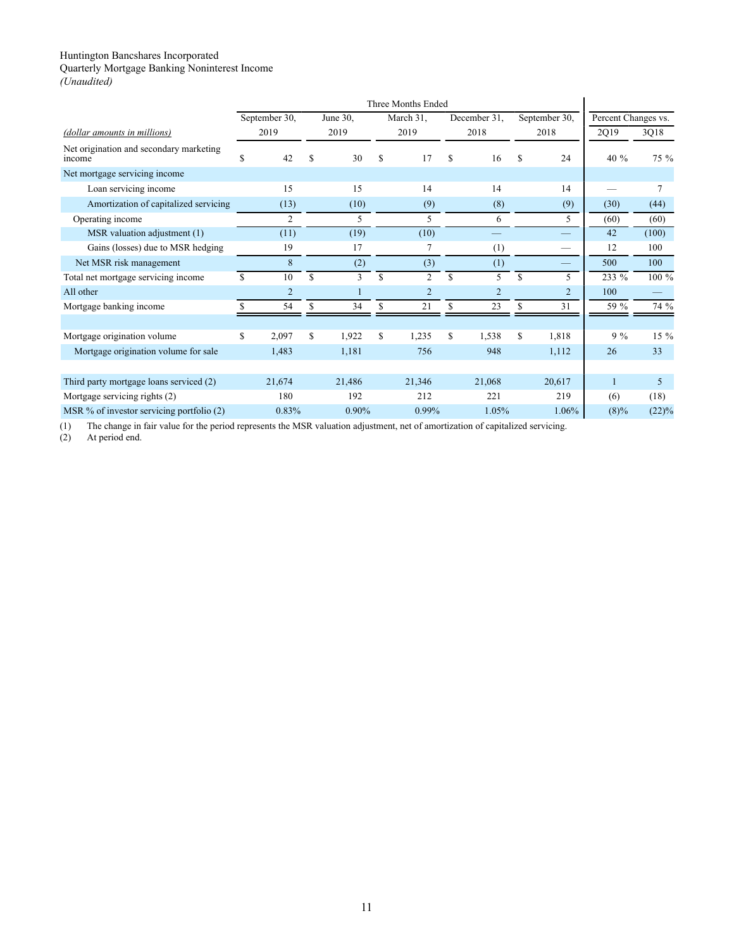<span id="page-23-0"></span>Quarterly Mortgage Banking Noninterest Income

| (Unaudited) |  |
|-------------|--|
|-------------|--|

|                                                   |    | September 30,  |             | June 30. |    | March 31,      | December 31.   |     | September 30,            | Percent Changes vs. |       |
|---------------------------------------------------|----|----------------|-------------|----------|----|----------------|----------------|-----|--------------------------|---------------------|-------|
| (dollar amounts in millions)                      |    | 2019           |             | 2019     |    | 2019           | 2018           |     | 2018                     | 2Q19                | 3Q18  |
| Net origination and secondary marketing<br>income | S  | 42             | S           | 30       | S  | 17             | \$<br>16       | \$. | 24                       | 40 %                | 75 %  |
| Net mortgage servicing income                     |    |                |             |          |    |                |                |     |                          |                     |       |
| Loan servicing income                             |    | 15             |             | 15       |    | 14             | 14             |     | 14                       |                     |       |
| Amortization of capitalized servicing             |    | (13)           |             | (10)     |    | (9)            | (8)            |     | (9)                      | (30)                | (44)  |
| Operating income                                  |    | $\overline{2}$ |             | 5        |    | 5              | 6              |     | 5                        | (60)                | (60)  |
| MSR valuation adjustment (1)                      |    | (11)           |             | (19)     |    | (10)           |                |     |                          | 42                  | (100) |
| Gains (losses) due to MSR hedging                 |    | 19             |             | 17       |    |                | (1)            |     | $\overline{\phantom{0}}$ | 12                  | 100   |
| Net MSR risk management                           |    | 8              |             | (2)      |    | (3)            | (1)            |     |                          | 500                 | 100   |
| Total net mortgage servicing income               | \$ | 10             | S           | 3        | \$ | $\overline{c}$ | \$<br>5        | S   | 5                        | 233 %               | 100 % |
| All other                                         |    | $\overline{2}$ |             |          |    | 2              | $\overline{2}$ |     | $\overline{2}$           | 100                 |       |
| Mortgage banking income                           |    | 54             | \$          | 34       | \$ | 21             | \$<br>23       | \$  | 31                       | 59 %                | 74 %  |
|                                                   |    |                |             |          |    |                |                |     |                          |                     |       |
| Mortgage origination volume                       | \$ | 2,097          | $\mathbf S$ | 1,922    | \$ | 1,235          | \$<br>1,538    | \$  | 1,818                    | $9\%$               | 15 %  |
| Mortgage origination volume for sale              |    | 1,483          |             | 1,181    |    | 756            | 948            |     | 1,112                    | 26                  | 33    |
|                                                   |    |                |             |          |    |                |                |     |                          |                     |       |
| Third party mortgage loans serviced (2)           |    | 21,674         |             | 21,486   |    | 21,346         | 21,068         |     | 20,617                   | $\mathbf{1}$        | 5     |
| Mortgage servicing rights (2)                     |    | 180            |             | 192      |    | 212            | 221            |     | 219                      | (6)                 | (18)  |
| MSR $%$ of investor servicing portfolio $(2)$     |    | 0.83%          |             | 0.90%    |    | 0.99%          | 1.05%          |     | 1.06%                    | $(8)\%$             | (22)% |

(1) The change in fair value for the period represents the MSR valuation adjustment, net of amortization of capitalized servicing.

At period end.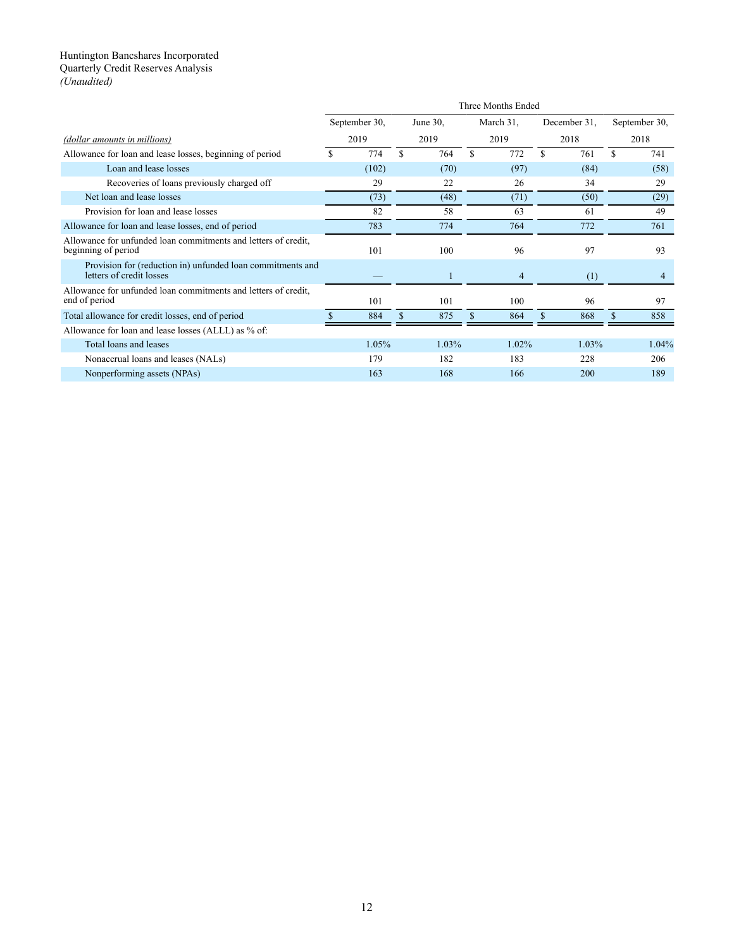#### <span id="page-24-0"></span>Huntington Bancshares Incorporated Quarterly Credit Reserves Analysis

*(Unaudited)*

|                                                                                        | Three Months Ended |               |          |       |    |           |              |          |               |                |  |
|----------------------------------------------------------------------------------------|--------------------|---------------|----------|-------|----|-----------|--------------|----------|---------------|----------------|--|
|                                                                                        |                    | September 30, | June 30, |       |    | March 31, | December 31. |          | September 30, |                |  |
| (dollar amounts in millions)                                                           |                    | 2019          |          | 2019  |    | 2019      |              | 2018     |               | 2018           |  |
| Allowance for loan and lease losses, beginning of period                               |                    | 774           | \$       | 764   | \$ | 772       | S            | 761      | \$            | 741            |  |
| Loan and lease losses                                                                  |                    | (102)         |          | (70)  |    | (97)      |              | (84)     |               | (58)           |  |
| Recoveries of loans previously charged off                                             |                    | 29            |          | 22    |    | 26        |              | 34       |               | 29             |  |
| Net loan and lease losses                                                              |                    | (73)          |          | (48)  |    | (71)      |              | (50)     |               | (29)           |  |
| Provision for loan and lease losses                                                    |                    | 82            |          | 58    |    | 63        |              | 61       |               | 49             |  |
| Allowance for loan and lease losses, end of period                                     |                    | 783           |          | 774   |    | 764       |              | 772      |               | 761            |  |
| Allowance for unfunded loan commitments and letters of credit,<br>beginning of period  |                    | 101           |          | 100   |    | 96        |              | 97       |               | 93             |  |
| Provision for (reduction in) unfunded loan commitments and<br>letters of credit losses |                    |               |          | 1     |    | 4         |              | (1)      |               | $\overline{4}$ |  |
| Allowance for unfunded loan commitments and letters of credit.<br>end of period        |                    | 101           |          | 101   |    | 100       |              | 96       |               | 97             |  |
| Total allowance for credit losses, end of period                                       |                    | 884           | \$       | 875   |    | 864       |              | 868      | \$.           | 858            |  |
| Allowance for loan and lease losses (ALLL) as % of:                                    |                    |               |          |       |    |           |              |          |               |                |  |
| Total loans and leases                                                                 |                    | 1.05%         |          | 1.03% |    | $1.02\%$  |              | $1.03\%$ |               | 1.04%          |  |
| Nonaccrual loans and leases (NALs)                                                     |                    | 179           |          | 182   |    | 183       |              | 228      |               | 206            |  |
| Nonperforming assets (NPAs)                                                            |                    | 163           |          | 168   |    | 166       |              | 200      |               | 189            |  |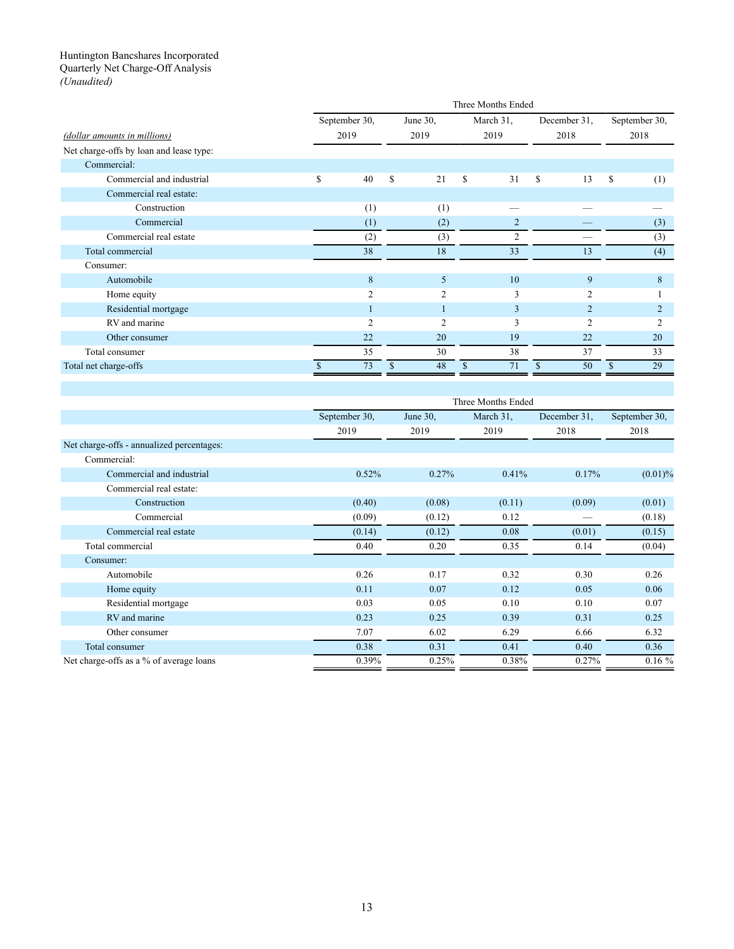### <span id="page-25-0"></span>Huntington Bancshares Incorporated Quarterly Net Charge-Off Analysis *(Unaudited)*

|                                         |                |    |                |    | Three Months Ended |                |     |                |
|-----------------------------------------|----------------|----|----------------|----|--------------------|----------------|-----|----------------|
|                                         | September 30,  |    | June $30$ ,    |    | March 31,          | December 31,   |     | September 30,  |
| (dollar amounts in millions)            | 2019           |    | 2019           |    | 2019               | 2018           |     | 2018           |
| Net charge-offs by loan and lease type: |                |    |                |    |                    |                |     |                |
| Commercial:                             |                |    |                |    |                    |                |     |                |
| Commercial and industrial               | \$<br>40       | \$ | 21             | \$ | 31                 | \$<br>13       | \$  | (1)            |
| Commercial real estate:                 |                |    |                |    |                    |                |     |                |
| Construction                            | (1)            |    | (1)            |    |                    |                |     |                |
| Commercial                              | (1)            |    | (2)            |    | $\overline{c}$     |                |     | (3)            |
| Commercial real estate                  | (2)            |    | (3)            |    | $\overline{2}$     |                |     | (3)            |
| Total commercial                        | 38             |    | 18             |    | 33                 | 13             |     | (4)            |
| Consumer:                               |                |    |                |    |                    |                |     |                |
| Automobile                              | 8              |    | 5              |    | 10                 | 9              |     | 8              |
| Home equity                             | $\overline{2}$ |    | $\overline{c}$ |    | 3                  | $\overline{2}$ |     |                |
| Residential mortgage                    |                |    |                |    | $\overline{3}$     | $\overline{2}$ |     | $\mathcal{D}$  |
| RV and marine                           | $\overline{2}$ |    | $\overline{c}$ |    | 3                  | $\overline{2}$ |     | $\overline{c}$ |
| Other consumer                          | 22             |    | 20             |    | 19                 | 22             |     | 20             |
| Total consumer                          | 35             |    | 30             |    | 38                 | 37             |     | 33             |
| Total net charge-offs                   | 73             | S  | 48             | S  | 71                 | \$<br>50       | \$. | 29             |

|                                           |               |          | Three Months Ended |              |               |
|-------------------------------------------|---------------|----------|--------------------|--------------|---------------|
|                                           | September 30, | June 30, | March 31,          | December 31. | September 30, |
|                                           | 2019          | 2019     | 2019               | 2018         | 2018          |
| Net charge-offs - annualized percentages: |               |          |                    |              |               |
| Commercial:                               |               |          |                    |              |               |
| Commercial and industrial                 | 0.52%         | 0.27%    | 0.41%              | 0.17%        | (0.01)%       |
| Commercial real estate:                   |               |          |                    |              |               |
| Construction                              | (0.40)        | (0.08)   | (0.11)             | (0.09)       | (0.01)        |
| Commercial                                | (0.09)        | (0.12)   | 0.12               |              | (0.18)        |
| Commercial real estate                    | (0.14)        | (0.12)   | 0.08               | (0.01)       | (0.15)        |
| Total commercial                          | 0.40          | 0.20     | 0.35               | 0.14         | (0.04)        |
| Consumer:                                 |               |          |                    |              |               |
| Automobile                                | 0.26          | 0.17     | 0.32               | 0.30         | 0.26          |
| Home equity                               | 0.11          | 0.07     | 0.12               | 0.05         | 0.06          |
| Residential mortgage                      | 0.03          | 0.05     | 0.10               | 0.10         | 0.07          |
| RV and marine                             | 0.23          | 0.25     | 0.39               | 0.31         | 0.25          |
| Other consumer                            | 7.07          | 6.02     | 6.29               | 6.66         | 6.32          |
| Total consumer                            | 0.38          | 0.31     | 0.41               | 0.40         | 0.36          |
| Net charge-offs as a % of average loans   | 0.39%         | 0.25%    | 0.38%              | 0.27%        | 0.16%         |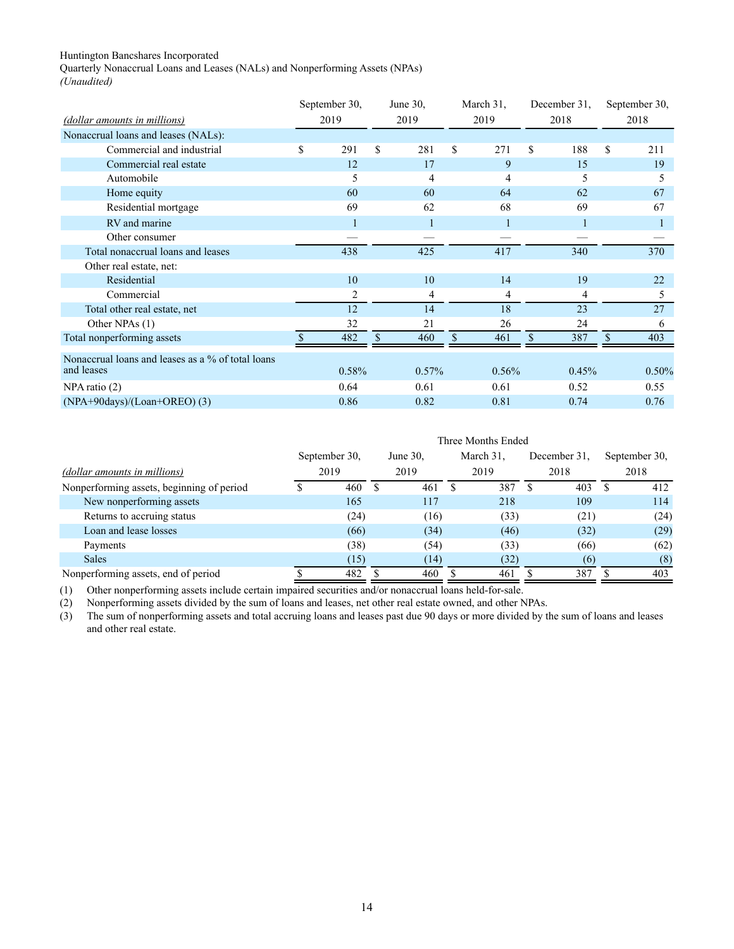<span id="page-26-0"></span>Quarterly Nonaccrual Loans and Leases (NALs) and Nonperforming Assets (NPAs) *(Unaudited)*

|                                                                 | September 30, | March 31.<br>June $30$ . |       | December 31. |       | September 30, |          |       |
|-----------------------------------------------------------------|---------------|--------------------------|-------|--------------|-------|---------------|----------|-------|
| (dollar amounts in millions)                                    | 2019          |                          | 2019  | 2019         |       | 2018          | 2018     |       |
| Nonaccrual loans and leases (NALs):                             |               |                          |       |              |       |               |          |       |
| Commercial and industrial                                       | \$<br>291     | \$                       | 281   | \$           | 271   | \$<br>188     | \$       | 211   |
| Commercial real estate                                          | 12            |                          | 17    |              | 9     | 15            |          | 19    |
| Automobile                                                      | 5             |                          | 4     |              | 4     | 5             |          | 5     |
| Home equity                                                     | 60            |                          | 60    |              | 64    | 62            |          | 67    |
| Residential mortgage                                            | 69            |                          | 62    |              | 68    | 69            |          | 67    |
| RV and marine                                                   |               |                          | 1     |              |       |               |          |       |
| Other consumer                                                  |               |                          |       |              |       |               |          |       |
| Total nonaccrual loans and leases                               | 438           |                          | 425   |              | 417   | 340           |          | 370   |
| Other real estate, net:                                         |               |                          |       |              |       |               |          |       |
| Residential                                                     | 10            |                          | 10    |              | 14    | 19            |          | 22    |
| Commercial                                                      | 2             |                          | 4     |              | 4     | 4             |          | 5     |
| Total other real estate, net                                    | 12            |                          | 14    |              | 18    | 23            |          | 27    |
| Other NPAs (1)                                                  | 32            |                          | 21    |              | 26    | 24            |          | 6     |
| Total nonperforming assets                                      | 482           | \$                       | 460   | \$           | 461   | \$<br>387     | <b>S</b> | 403   |
| Nonaccrual loans and leases as a % of total loans<br>and leases | 0.58%         |                          | 0.57% |              | 0.56% | 0.45%         |          | 0.50% |
| $NPA$ ratio $(2)$                                               | 0.64          |                          | 0.61  |              | 0.61  | 0.52          |          | 0.55  |
| $(NPA+90days)/(Loan+OREO)$ (3)                                  | 0.86          |                          | 0.82  |              | 0.81  | 0.74          |          | 0.76  |

|                                           |               |             |    | Three Months Ended |              |               |
|-------------------------------------------|---------------|-------------|----|--------------------|--------------|---------------|
|                                           | September 30. | June $30$ . |    | March 31.          | December 31. | September 30, |
| (dollar amounts in millions)              | 2019          | 2019        |    | 2019               | 2018         | 2018          |
| Nonperforming assets, beginning of period | 460           | 461         | S. | 387                | 403          | 412           |
| New nonperforming assets                  | 165           | 117         |    | 218                | 109          | 114           |
| Returns to accruing status                | (24)          | (16)        |    | (33)               | (21)         | (24)          |
| Loan and lease losses                     | (66)          | (34)        |    | (46)               | (32)         | (29)          |
| Payments                                  | (38)          | (54)        |    | (33)               | (66)         | (62)          |
| <b>Sales</b>                              | (15)          | (14)        |    | (32)               | (6)          | (8)           |
| Nonperforming assets, end of period       | 482           | 460         |    | 461                | 387          | 403           |

(1) Other nonperforming assets include certain impaired securities and/or nonaccrual loans held-for-sale.

(2) Nonperforming assets divided by the sum of loans and leases, net other real estate owned, and other NPAs.

(3) The sum of nonperforming assets and total accruing loans and leases past due 90 days or more divided by the sum of loans and leases and other real estate.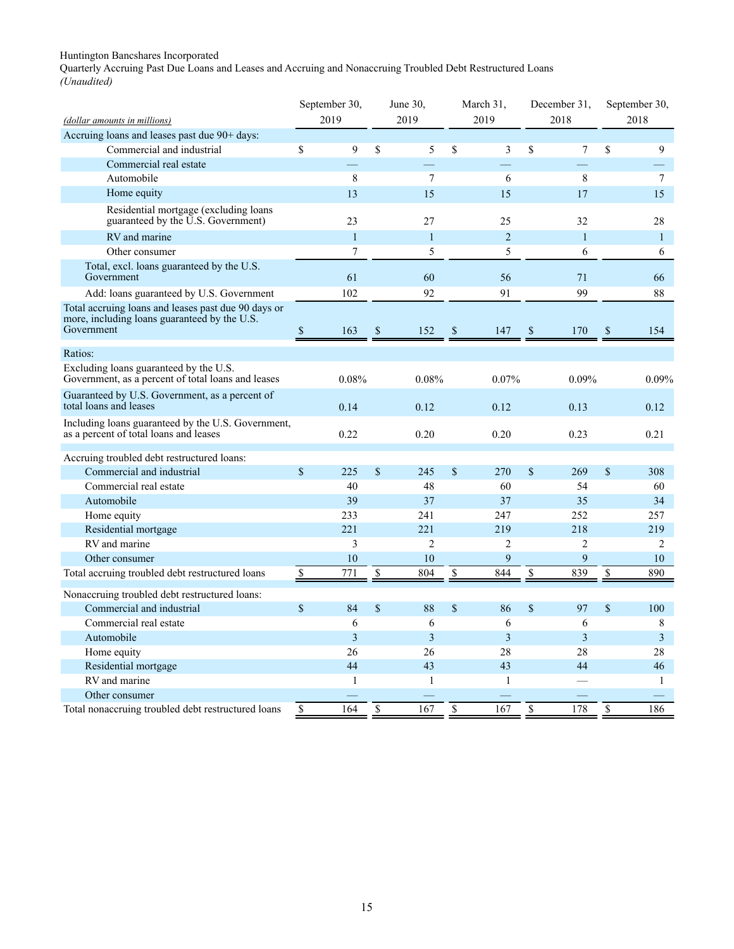<span id="page-27-0"></span>Quarterly Accruing Past Due Loans and Leases and Accruing and Nonaccruing Troubled Debt Restructured Loans *(Unaudited)*

| (dollar amounts in millions)                                                                                      |                    | September 30,<br>2019 | June $30$ ,<br>2019     | March 31,<br>2019 | December 31,<br>2018 | September 30,<br>2018 |
|-------------------------------------------------------------------------------------------------------------------|--------------------|-----------------------|-------------------------|-------------------|----------------------|-----------------------|
| Accruing loans and leases past due 90+ days:                                                                      |                    |                       |                         |                   |                      |                       |
| Commercial and industrial                                                                                         | \$                 | 9                     | \$<br>5                 | \$<br>3           | \$<br>7              | \$<br>9               |
| Commercial real estate                                                                                            |                    |                       |                         |                   |                      |                       |
| Automobile                                                                                                        |                    | $\,$ 8 $\,$           | $\tau$                  | 6                 | $\,$ 8 $\,$          | 7                     |
| Home equity                                                                                                       |                    | 13                    | 15                      | 15                | 17                   | 15                    |
| Residential mortgage (excluding loans<br>guaranteed by the U.S. Government)                                       |                    | 23                    | 27                      | 25                | 32                   | 28                    |
| RV and marine                                                                                                     |                    | $\mathbf{1}$          | $\mathbf{1}$            | $\overline{c}$    | $\mathbf{1}$         | $\mathbf{1}$          |
| Other consumer                                                                                                    |                    | 7                     | 5                       | 5                 | 6                    | 6                     |
| Total, excl. loans guaranteed by the U.S.<br>Government                                                           |                    | 61                    | 60                      | 56                | 71                   | 66                    |
| Add: loans guaranteed by U.S. Government                                                                          |                    | 102                   | 92                      | 91                | 99                   | 88                    |
| Total accruing loans and leases past due 90 days or<br>more, including loans guaranteed by the U.S.<br>Government | $\mathbb{S}$       | 163                   | \$<br>152               | \$<br>147         | \$<br>170            | \$<br>154             |
|                                                                                                                   |                    |                       |                         |                   |                      |                       |
| Ratios:                                                                                                           |                    |                       |                         |                   |                      |                       |
| Excluding loans guaranteed by the U.S.<br>Government, as a percent of total loans and leases                      |                    | 0.08%                 | 0.08%                   | 0.07%             | 0.09%                | 0.09%                 |
| Guaranteed by U.S. Government, as a percent of<br>total loans and leases                                          |                    | 0.14                  | 0.12                    | 0.12              | 0.13                 | 0.12                  |
| Including loans guaranteed by the U.S. Government,<br>as a percent of total loans and leases                      |                    | 0.22                  | 0.20                    | 0.20              | 0.23                 | 0.21                  |
| Accruing troubled debt restructured loans:                                                                        |                    |                       |                         |                   |                      |                       |
| Commercial and industrial                                                                                         | $\mathbf{\hat{S}}$ | 225                   | \$<br>245               | \$<br>270         | \$<br>269            | \$<br>308             |
| Commercial real estate                                                                                            |                    | 40                    | 48                      | 60                | 54                   | 60                    |
| Automobile                                                                                                        |                    | 39                    | 37                      | 37                | 35                   | 34                    |
| Home equity                                                                                                       |                    | 233                   | 241                     | 247               | 252                  | 257                   |
| Residential mortgage                                                                                              |                    | 221                   | 221                     | 219               | 218                  | 219                   |
| RV and marine                                                                                                     |                    | 3                     | $\overline{2}$          | $\overline{c}$    | $\overline{c}$       | $\overline{2}$        |
| Other consumer                                                                                                    |                    | 10                    | 10                      | 9                 | 9                    | 10                    |
| Total accruing troubled debt restructured loans                                                                   | \$                 | $\overline{771}$      | \$<br>804               | \$<br>844         | \$<br>839            | \$<br>890             |
| Nonaccruing troubled debt restructured loans:                                                                     |                    |                       |                         |                   |                      |                       |
| Commercial and industrial                                                                                         | $\sqrt{\ }$        | 84                    | \$<br>88                | \$<br>86          | \$<br>97             | \$<br>100             |
| Commercial real estate                                                                                            |                    | 6                     | 6                       | 6                 | 6                    | $\,$ 8 $\,$           |
| Automobile                                                                                                        |                    | 3                     | $\overline{\mathbf{3}}$ | 3                 | 3                    | 3                     |
| Home equity                                                                                                       |                    | 26                    | 26                      | 28                | 28                   | 28                    |
| Residential mortgage                                                                                              |                    | 44                    | 43                      | 43                | 44                   | 46                    |
| RV and marine                                                                                                     |                    | 1                     | $\mathbf{1}$            | 1                 |                      | $\mathbf{1}$          |
| Other consumer                                                                                                    |                    |                       |                         |                   |                      |                       |
| Total nonaccruing troubled debt restructured loans                                                                | \$                 | 164                   | \$<br>167               | \$<br>167         | \$<br>178            | \$<br>186             |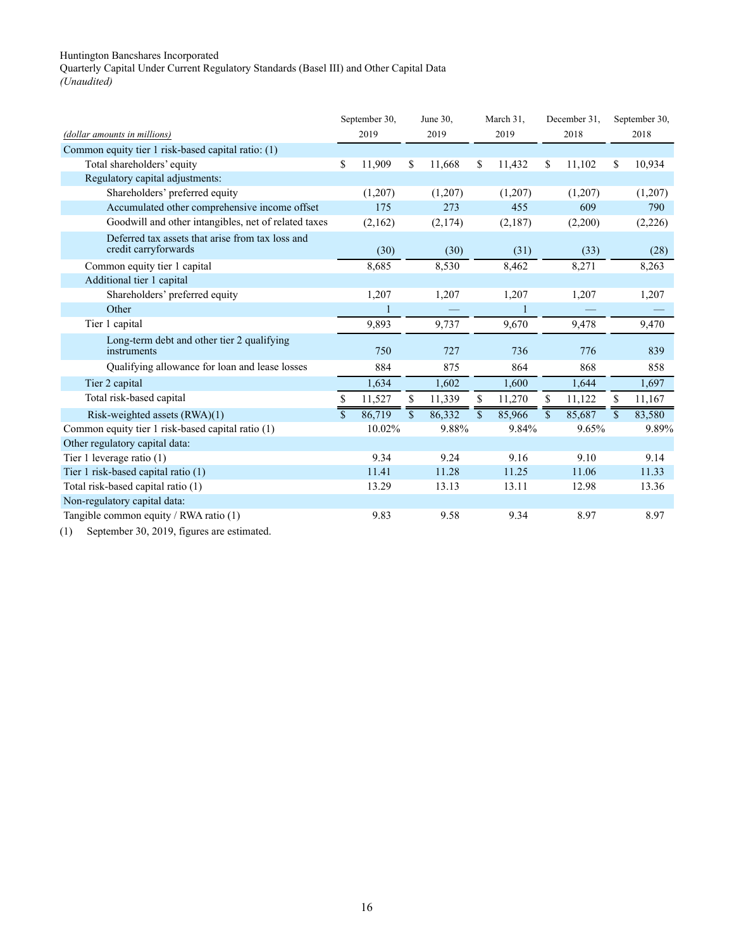<span id="page-28-0"></span>Quarterly Capital Under Current Regulatory Standards (Basel III) and Other Capital Data *(Unaudited)*

|                                                                                           |                | September 30, |                         | June 30. |              | March 31. |                         | December 31. |                          | September 30, |
|-------------------------------------------------------------------------------------------|----------------|---------------|-------------------------|----------|--------------|-----------|-------------------------|--------------|--------------------------|---------------|
| (dollar amounts in millions)                                                              |                | 2019          |                         | 2019     |              | 2019      |                         | 2018         |                          | 2018          |
| Common equity tier 1 risk-based capital ratio: (1)                                        |                |               |                         |          |              |           |                         |              |                          |               |
| Total shareholders' equity                                                                | \$             | 11,909        | \$                      | 11,668   | \$           | 11,432    | \$                      | 11,102       | \$                       | 10,934        |
| Regulatory capital adjustments:                                                           |                |               |                         |          |              |           |                         |              |                          |               |
| Shareholders' preferred equity                                                            |                | (1,207)       |                         | (1,207)  |              | (1,207)   |                         | (1,207)      |                          | (1,207)       |
| Accumulated other comprehensive income offset                                             |                | 175           |                         | 273      |              | 455       |                         | 609          |                          | 790           |
| Goodwill and other intangibles, net of related taxes                                      |                | (2,162)       |                         | (2,174)  |              | (2,187)   |                         | (2,200)      |                          | (2,226)       |
| Deferred tax assets that arise from tax loss and<br>credit carryforwards                  |                | (30)          |                         | (30)     |              | (31)      |                         | (33)         |                          | (28)          |
| Common equity tier 1 capital                                                              |                | 8,685         |                         | 8,530    |              | 8,462     |                         | 8,271        |                          | 8,263         |
| Additional tier 1 capital                                                                 |                |               |                         |          |              |           |                         |              |                          |               |
| Shareholders' preferred equity                                                            |                | 1,207         |                         | 1,207    |              | 1,207     |                         | 1,207        |                          | 1,207         |
| Other                                                                                     |                |               |                         |          |              |           |                         |              |                          |               |
| Tier 1 capital                                                                            |                | 9,893         |                         | 9,737    |              | 9,670     |                         | 9,478        |                          | 9,470         |
| Long-term debt and other tier 2 qualifying<br>instruments                                 |                | 750           |                         | 727      |              | 736       |                         | 776          |                          | 839           |
| Qualifying allowance for loan and lease losses                                            |                | 884           |                         | 875      |              | 864       |                         | 868          |                          | 858           |
| Tier 2 capital                                                                            |                | 1.634         |                         | 1.602    |              | 1.600     |                         | 1.644        |                          | 1,697         |
| Total risk-based capital                                                                  | \$             | 11,527        | \$                      | 11,339   | S.           | 11,270    | S.                      | 11,122       | S                        | 11,167        |
| Risk-weighted assets (RWA)(1)                                                             | $\overline{s}$ | 86,719        | $\overline{\mathbb{S}}$ | 86,332   | $\mathbf{s}$ | 85,966    | $\overline{\mathbb{S}}$ | 85,687       | $\overline{\mathcal{S}}$ | 83,580        |
| Common equity tier 1 risk-based capital ratio (1)                                         |                | 10.02%        |                         | 9.88%    |              | 9.84%     |                         | 9.65%        |                          | 9.89%         |
| Other regulatory capital data:                                                            |                |               |                         |          |              |           |                         |              |                          |               |
| Tier 1 leverage ratio (1)                                                                 |                | 9.34          |                         | 9.24     |              | 9.16      |                         | 9.10         |                          | 9.14          |
| Tier 1 risk-based capital ratio (1)                                                       |                | 11.41         |                         | 11.28    |              | 11.25     |                         | 11.06        |                          | 11.33         |
| Total risk-based capital ratio (1)                                                        |                | 13.29         |                         | 13.13    |              | 13.11     |                         | 12.98        |                          | 13.36         |
| Non-regulatory capital data:                                                              |                |               |                         |          |              |           |                         |              |                          |               |
| Tangible common equity / RWA ratio (1)                                                    |                | 9.83          |                         | 9.58     |              | 9.34      |                         | 8.97         |                          | 8.97          |
| $(1)$ $(1)$ $(2)$ $(3)$ $(4)$ $(5)$ $(6)$ $(7)$ $(8)$ $(9)$ $(1)$ $(1)$ $(1)$ $(1)$ $(1)$ |                |               |                         |          |              |           |                         |              |                          |               |

(1) September 30, 2019, figures are estimated.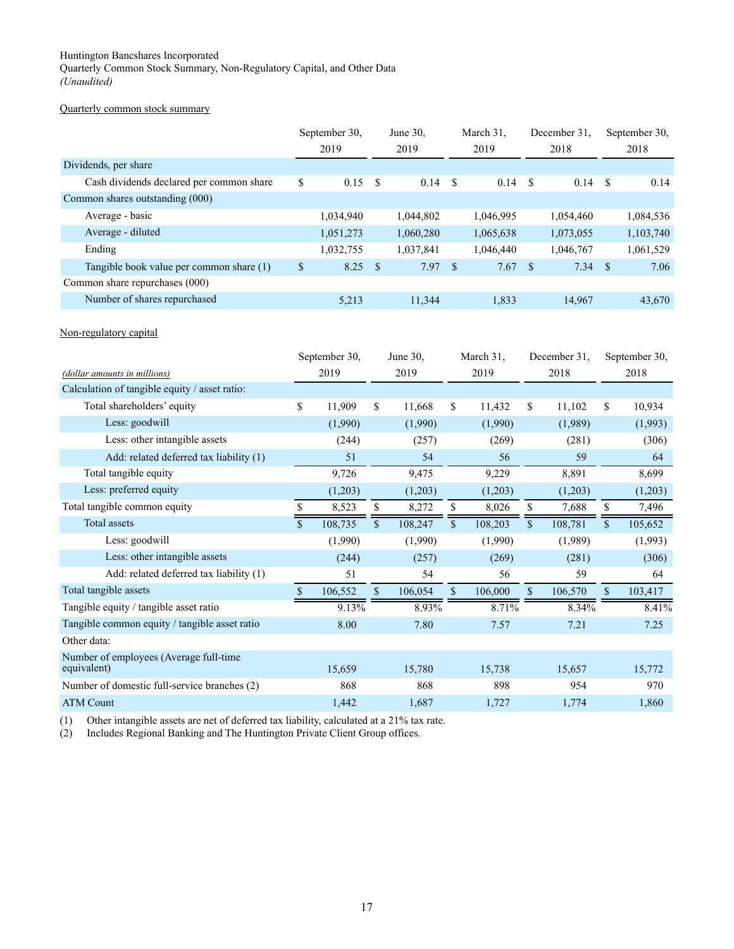<span id="page-29-0"></span>Quarterly Common Stock Summary, Non-Regulatory Capital, and Other Data *(Unaudited)*

## Quarterly common stock summary

|                                          | September 30, |      | June $30$ . |          | March 31. |               | December 31. |      | September 30, |
|------------------------------------------|---------------|------|-------------|----------|-----------|---------------|--------------|------|---------------|
|                                          | 2019          |      | 2019        |          | 2019      |               | 2018         |      | 2018          |
| Dividends, per share                     |               |      |             |          |           |               |              |      |               |
| Cash dividends declared per common share | \$<br>0.15    | -S   | 0.14        | - \$     | 0.14      | S             | 0.14         | -S   | 0.14          |
| Common shares outstanding (000)          |               |      |             |          |           |               |              |      |               |
| Average - basic                          | 1,034,940     |      | 1.044.802   |          | 1,046,995 |               | 1,054,460    |      | 1,084,536     |
| Average - diluted                        | 1,051,273     |      | 1,060,280   |          | 1,065,638 |               | 1,073,055    |      | 1,103,740     |
| Ending                                   | 1,032,755     |      | 1,037,841   |          | 1,046,440 |               | 1,046,767    |      | 1,061,529     |
| Tangible book value per common share (1) | \$<br>8.25    | - \$ | 7.97        | <b>S</b> | 7.67      | <sup>\$</sup> | 7.34         | - \$ | 7.06          |
| Common share repurchases (000)           |               |      |             |          |           |               |              |      |               |
| Number of shares repurchased             | 5,213         |      | 11,344      |          | 1,833     |               | 14,967       |      | 43,670        |

## Non-regulatory capital

|                                                       |     | September 30, |              | June 30, |              | March 31. | December 31. |         |              | September 30, |
|-------------------------------------------------------|-----|---------------|--------------|----------|--------------|-----------|--------------|---------|--------------|---------------|
| (dollar amounts in millions)                          |     | 2019          |              | 2019     |              | 2019      |              | 2018    |              | 2018          |
| Calculation of tangible equity / asset ratio:         |     |               |              |          |              |           |              |         |              |               |
| Total shareholders' equity                            | \$  | 11,909        | \$           | 11,668   | \$           | 11,432    | \$           | 11,102  | \$           | 10,934        |
| Less: goodwill                                        |     | (1,990)       |              | (1,990)  |              | (1,990)   |              | (1,989) |              | (1,993)       |
| Less: other intangible assets                         |     | (244)         |              | (257)    |              | (269)     |              | (281)   |              | (306)         |
| Add: related deferred tax liability (1)               |     | 51            |              | 54       |              | 56        |              | 59      |              | 64            |
| Total tangible equity                                 |     | 9,726         |              | 9,475    |              | 9,229     |              | 8,891   |              | 8,699         |
| Less: preferred equity                                |     | (1,203)       |              | (1,203)  |              | (1,203)   |              | (1,203) |              | (1,203)       |
| Total tangible common equity                          |     | 8,523         | \$           | 8,272    | \$           | 8,026     | \$           | 7,688   | \$           | 7,496         |
| <b>Total assets</b>                                   | \$. | 108,735       | $\mathbb{S}$ | 108,247  | $\mathbb{S}$ | 108,203   | \$           | 108,781 | $\mathbb{S}$ | 105,652       |
| Less: goodwill                                        |     | (1,990)       |              | (1,990)  |              | (1,990)   |              | (1,989) |              | (1,993)       |
| Less: other intangible assets                         |     | (244)         |              | (257)    |              | (269)     |              | (281)   |              | (306)         |
| Add: related deferred tax liability (1)               |     | 51            |              | 54       |              | 56        |              | 59      |              | 64            |
| Total tangible assets                                 | \$. | 106,552       | $\mathbb{S}$ | 106,054  | \$           | 106,000   | \$           | 106,570 | $\mathbb{S}$ | 103,417       |
| Tangible equity / tangible asset ratio                |     | 9.13%         |              | 8.93%    |              | 8.71%     |              | 8.34%   |              | 8.41%         |
| Tangible common equity / tangible asset ratio         |     | 8.00          |              | 7.80     |              | 7.57      |              | 7.21    |              | 7.25          |
| Other data:                                           |     |               |              |          |              |           |              |         |              |               |
| Number of employees (Average full-time<br>equivalent) |     | 15,659        |              | 15,780   |              | 15,738    |              | 15,657  |              | 15,772        |
| Number of domestic full-service branches (2)          |     | 868           |              | 868      |              | 898       |              | 954     |              | 970           |
| <b>ATM Count</b>                                      |     | 1,442         |              | 1,687    |              | 1,727     |              | 1,774   |              | 1,860         |

(1) Other intangible assets are net of deferred tax liability, calculated at a 21% tax rate.

(2) Includes Regional Banking and The Huntington Private Client Group offices.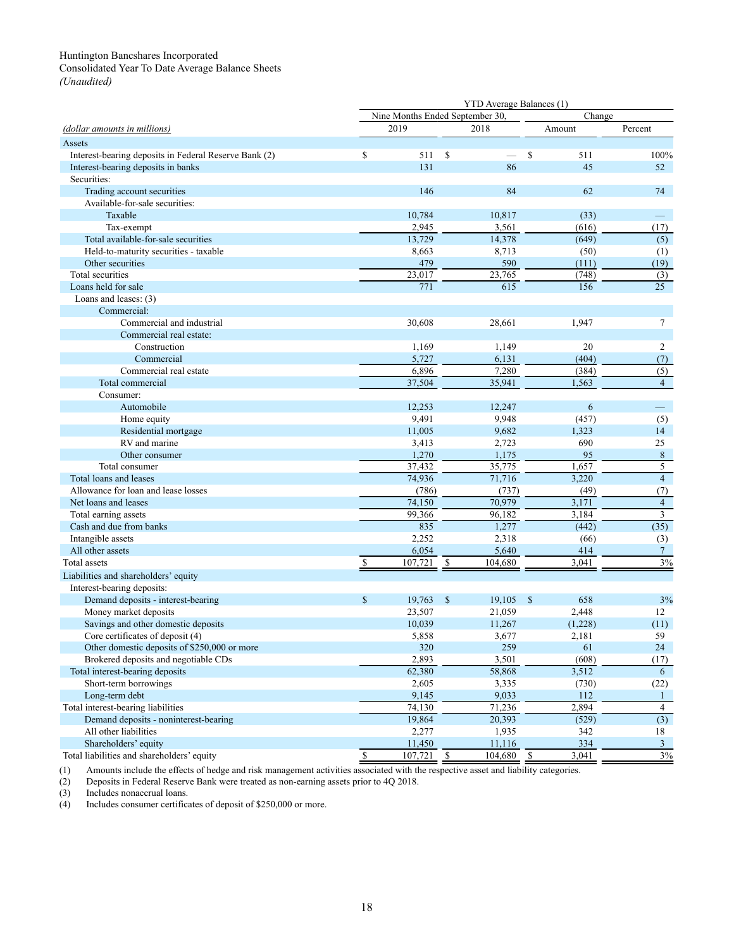## <span id="page-30-0"></span>Consolidated Year To Date Average Balance Sheets

*(Unaudited)*

|                                                       | YTD Average Balances (1) |                                 |               |         |                    |         |                   |  |
|-------------------------------------------------------|--------------------------|---------------------------------|---------------|---------|--------------------|---------|-------------------|--|
|                                                       |                          | Nine Months Ended September 30. |               |         | Change             |         |                   |  |
| (dollar amounts in millions)                          |                          | 2019                            |               | 2018    |                    | Amount  | Percent           |  |
| Assets                                                |                          |                                 |               |         |                    |         |                   |  |
| Interest-bearing deposits in Federal Reserve Bank (2) | \$                       | 511                             | \$            |         | \$                 | 511     | 100%              |  |
| Interest-bearing deposits in banks                    |                          | 131                             |               | 86      |                    | 45      | 52                |  |
| Securities:                                           |                          |                                 |               |         |                    |         |                   |  |
| Trading account securities                            |                          | 146                             |               | 84      |                    | 62      | 74                |  |
| Available-for-sale securities:                        |                          |                                 |               |         |                    |         |                   |  |
| Taxable                                               |                          | 10,784                          |               | 10,817  |                    | (33)    | $\qquad \qquad -$ |  |
| Tax-exempt                                            |                          | 2,945                           |               | 3,561   |                    | (616)   | (17)              |  |
| Total available-for-sale securities                   |                          | 13,729                          |               | 14,378  |                    | (649)   | (5)               |  |
| Held-to-maturity securities - taxable                 |                          | 8,663                           |               | 8,713   |                    | (50)    | (1)               |  |
| Other securities                                      |                          | 479                             |               | 590     |                    | (111)   | (19)              |  |
| Total securities                                      |                          | 23,017                          |               | 23,765  |                    | (748)   | (3)               |  |
| Loans held for sale                                   |                          | 771                             |               | 615     |                    | 156     | 25                |  |
| Loans and leases: (3)                                 |                          |                                 |               |         |                    |         |                   |  |
| Commercial:                                           |                          |                                 |               |         |                    |         |                   |  |
| Commercial and industrial                             |                          | 30,608                          |               | 28,661  |                    | 1,947   | $\tau$            |  |
| Commercial real estate:                               |                          |                                 |               |         |                    |         |                   |  |
| Construction                                          |                          | 1,169                           |               | 1,149   |                    | 20      | $\overline{c}$    |  |
| Commercial                                            |                          | 5,727                           |               | 6,131   |                    | (404)   | (7)               |  |
| Commercial real estate                                |                          | 6,896                           |               | 7,280   |                    | (384)   | (5)               |  |
| Total commercial                                      |                          | 37,504                          |               | 35,941  |                    | 1,563   | $\overline{4}$    |  |
| Consumer:                                             |                          |                                 |               |         |                    |         |                   |  |
| Automobile                                            |                          | 12,253                          |               | 12,247  |                    | 6       |                   |  |
| Home equity                                           |                          | 9,491                           |               | 9,948   |                    | (457)   | (5)               |  |
| Residential mortgage                                  |                          | 11,005                          |               | 9,682   |                    | 1,323   | 14                |  |
| RV and marine                                         |                          | 3,413                           |               | 2,723   |                    | 690     | 25                |  |
| Other consumer                                        |                          | 1,270                           |               | 1,175   |                    | 95      | $\,8\,$           |  |
| Total consumer                                        |                          | 37,432                          |               | 35,775  |                    | 1,657   | 5                 |  |
| Total loans and leases                                |                          | 74,936                          |               | 71,716  |                    | 3,220   | $\overline{4}$    |  |
| Allowance for loan and lease losses                   |                          | (786)                           |               | (737)   |                    | (49)    | (7)               |  |
| Net loans and leases                                  |                          | 74,150                          |               | 70,979  |                    | 3,171   | $\overline{4}$    |  |
| Total earning assets                                  |                          | 99,366                          |               | 96,182  |                    | 3,184   | $\mathfrak{Z}$    |  |
| Cash and due from banks                               |                          | 835                             |               | 1,277   |                    | (442)   | (35)              |  |
| Intangible assets                                     |                          | 2,252                           |               | 2,318   |                    | (66)    | (3)               |  |
| All other assets                                      |                          | 6,054                           |               | 5,640   |                    | 414     | $\tau$            |  |
| <b>Total assets</b>                                   | \$                       | 107,721                         | \$            | 104.680 |                    | 3,041   | 3%                |  |
| Liabilities and shareholders' equity                  |                          |                                 |               |         |                    |         |                   |  |
| Interest-bearing deposits:                            |                          |                                 |               |         |                    |         |                   |  |
| Demand deposits - interest-bearing                    | $\mathsf{\$}$            | 19,763                          | $\mathcal{S}$ | 19,105  | $\mathbf{\hat{s}}$ | 658     | 3%                |  |
| Money market deposits                                 |                          | 23,507                          |               | 21,059  |                    | 2,448   | 12                |  |
| Savings and other domestic deposits                   |                          | 10,039                          |               | 11,267  |                    | (1,228) | (11)              |  |
| Core certificates of deposit (4)                      |                          | 5,858                           |               | 3,677   |                    | 2,181   | 59                |  |
| Other domestic deposits of \$250,000 or more          |                          | 320                             |               | 259     |                    | 61      | 24                |  |
| Brokered deposits and negotiable CDs                  |                          | 2,893                           |               | 3,501   |                    | (608)   | (17)              |  |
| Total interest-bearing deposits                       |                          | 62,380                          |               | 58,868  |                    | 3,512   | 6                 |  |
| Short-term borrowings                                 |                          | 2,605                           |               | 3,335   |                    | (730)   | (22)              |  |
| Long-term debt                                        |                          | 9,145                           |               | 9,033   |                    | 112     | $\mathbf{1}$      |  |
| Total interest-bearing liabilities                    |                          | $\overline{74,130}$             |               | 71,236  |                    | 2,894   | $\overline{4}$    |  |
| Demand deposits - noninterest-bearing                 |                          | 19,864                          |               | 20,393  |                    | (529)   | (3)               |  |
| All other liabilities                                 |                          | 2,277                           |               | 1,935   |                    | 342     | 18                |  |
| Shareholders' equity                                  |                          | 11,450                          |               | 11,116  |                    | 334     | $\mathbf{3}$      |  |
| Total liabilities and shareholders' equity            | $\overline{\mathcal{S}}$ | 107,721                         | $\mathbf S$   | 104,680 | $\mathbb{S}$       | 3,041   | 3%                |  |

(1) Amounts include the effects of hedge and risk management activities associated with the respective asset and liability categories.

(2) Deposits in Federal Reserve Bank were treated as non-earning assets prior to 4Q 2018.

(3) Includes nonaccrual loans.<br>(4) Includes consumer certifical Includes consumer certificates of deposit of \$250,000 or more.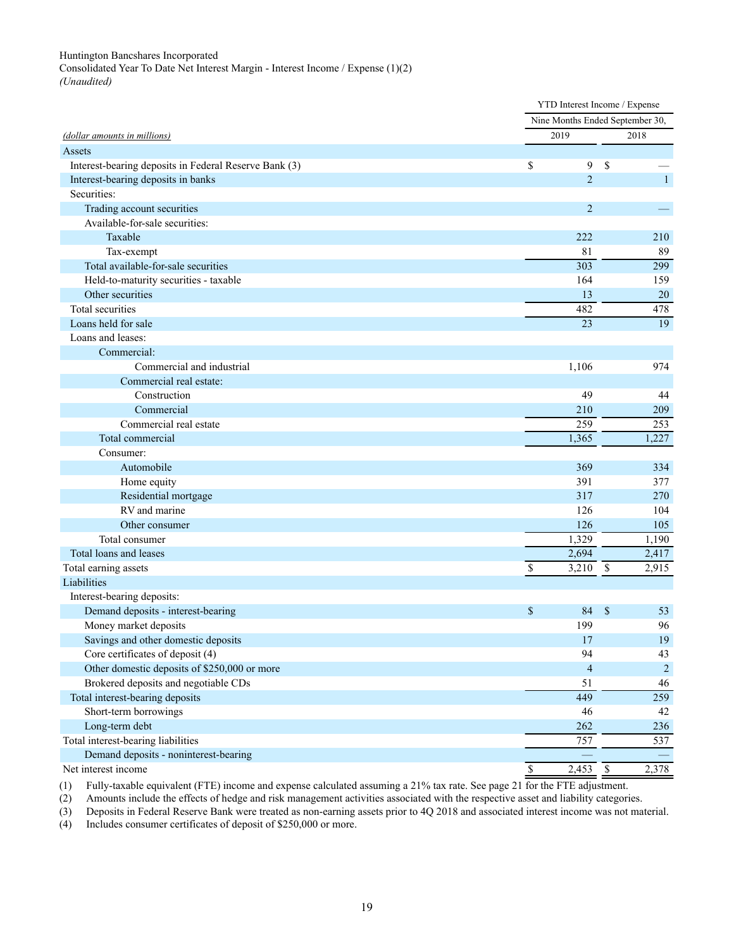<span id="page-31-0"></span>Consolidated Year To Date Net Interest Margin - Interest Income / Expense (1)(2) *(Unaudited)*

|                                                                         |                      |                         | YTD Interest Income / Expense   |                |
|-------------------------------------------------------------------------|----------------------|-------------------------|---------------------------------|----------------|
|                                                                         |                      |                         | Nine Months Ended September 30, |                |
| (dollar amounts in millions)                                            | 2019                 |                         | 2018                            |                |
| Assets                                                                  |                      |                         |                                 |                |
| Interest-bearing deposits in Federal Reserve Bank (3)                   | \$                   | 9                       | \$                              |                |
| Interest-bearing deposits in banks                                      |                      | $\overline{2}$          |                                 | $\overline{1}$ |
| Securities:                                                             |                      |                         |                                 |                |
| Trading account securities                                              |                      | $\overline{c}$          |                                 |                |
| Available-for-sale securities:                                          |                      |                         |                                 |                |
| Taxable                                                                 | 222                  |                         | 210                             |                |
| Tax-exempt                                                              |                      | 81                      |                                 | 89             |
| Total available-for-sale securities                                     | 303                  |                         | 299                             |                |
| Held-to-maturity securities - taxable                                   | 164                  |                         | 159                             |                |
| Other securities                                                        |                      | 13                      |                                 | $20\,$         |
| Total securities                                                        | 482                  |                         | 478                             |                |
| Loans held for sale                                                     |                      | 23                      |                                 | 19             |
| Loans and leases:                                                       |                      |                         |                                 |                |
| Commercial:                                                             |                      |                         |                                 |                |
| Commercial and industrial                                               | 1,106                |                         | 974                             |                |
| Commercial real estate:                                                 |                      |                         |                                 |                |
| Construction                                                            |                      | 49                      |                                 | 44             |
| Commercial                                                              | 210                  |                         | 209                             |                |
| Commercial real estate                                                  | 259                  |                         | 253                             |                |
| Total commercial                                                        | 1,365                |                         | 1,227                           |                |
| Consumer:                                                               |                      |                         |                                 |                |
| Automobile                                                              | 369                  |                         | 334                             |                |
| Home equity                                                             | 391                  |                         | 377                             |                |
| Residential mortgage                                                    | 317                  |                         | 270                             |                |
| RV and marine                                                           | 126                  |                         | 104                             |                |
| Other consumer                                                          | 126                  |                         | 105                             |                |
| Total consumer                                                          | 1,329                |                         | 1,190                           |                |
| Total loans and leases                                                  | 2,694                |                         | 2,417                           |                |
| Total earning assets<br>Liabilities                                     | $3,210$ \$<br>\$     |                         | 2,915                           |                |
|                                                                         |                      |                         |                                 |                |
| Interest-bearing deposits:<br>Demand deposits - interest-bearing        |                      |                         | \$                              | 53             |
| Money market deposits                                                   | \$<br>199            | 84                      |                                 | 96             |
|                                                                         |                      |                         |                                 | 19             |
| Savings and other domestic deposits<br>Core certificates of deposit (4) |                      | 17<br>94                |                                 | 43             |
| Other domestic deposits of \$250,000 or more                            |                      | $\overline{\mathbf{4}}$ |                                 | $\overline{2}$ |
| Brokered deposits and negotiable CDs                                    |                      | 51                      |                                 | 46             |
| Total interest-bearing deposits                                         | 449                  |                         | 259                             |                |
| Short-term borrowings                                                   |                      | 46                      |                                 | 42             |
| Long-term debt                                                          | 262                  |                         | 236                             |                |
| Total interest-bearing liabilities                                      | 757                  |                         |                                 | 537            |
| Demand deposits - noninterest-bearing                                   |                      |                         |                                 |                |
| Net interest income                                                     | $\mathbb S$<br>2,453 |                         | $\mathbb{S}$<br>2,378           |                |
|                                                                         |                      |                         |                                 |                |

(1) Fully-taxable equivalent (FTE) income and expense calculated assuming a 21% tax rate. See page 21 for the FTE adjustment.

(2) Amounts include the effects of hedge and risk management activities associated with the respective asset and liability categories.

(3) Deposits in Federal Reserve Bank were treated as non-earning assets prior to 4Q 2018 and associated interest income was not material.<br>
(4) Includes consumer certificates of deposit of \$250,000 or more.

Includes consumer certificates of deposit of \$250,000 or more.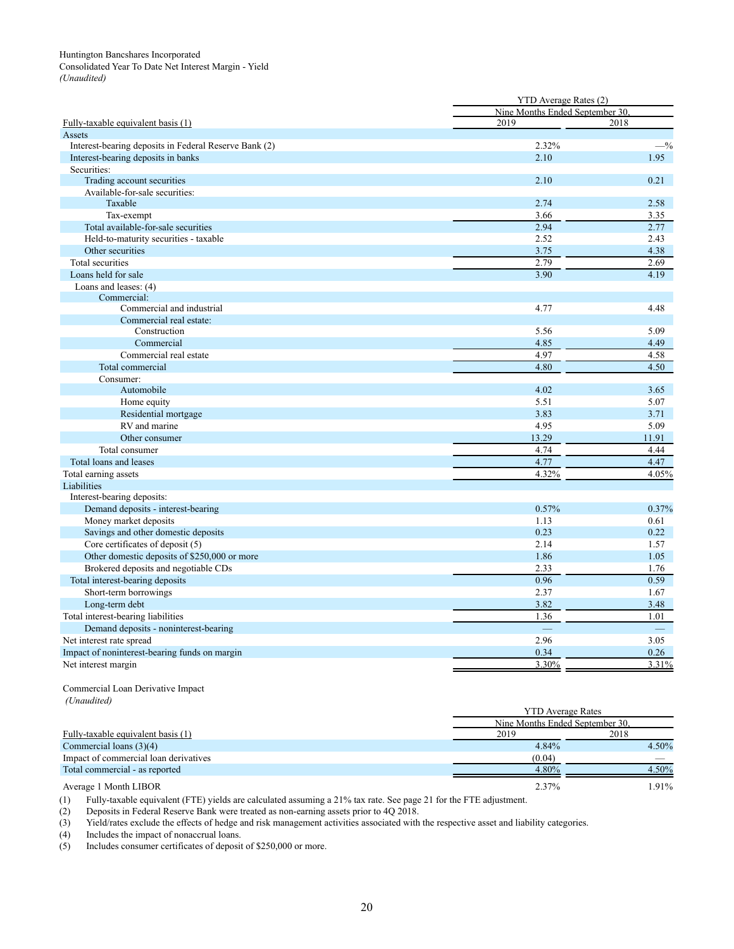<span id="page-32-0"></span>

|                                                       |                                 | YTD Average Rates (2) |  |  |  |  |  |  |
|-------------------------------------------------------|---------------------------------|-----------------------|--|--|--|--|--|--|
|                                                       | Nine Months Ended September 30. |                       |  |  |  |  |  |  |
| Fully-taxable equivalent basis (1)                    | 2019                            | 2018                  |  |  |  |  |  |  |
| Assets                                                |                                 |                       |  |  |  |  |  |  |
| Interest-bearing deposits in Federal Reserve Bank (2) | 2.32%                           | $-$ %                 |  |  |  |  |  |  |
| Interest-bearing deposits in banks                    | 2.10                            | 1.95                  |  |  |  |  |  |  |
| Securities:                                           |                                 |                       |  |  |  |  |  |  |
| Trading account securities                            | 2.10                            | 0.21                  |  |  |  |  |  |  |
| Available-for-sale securities:                        |                                 |                       |  |  |  |  |  |  |
| Taxable                                               | 2.74                            | 2.58                  |  |  |  |  |  |  |
| Tax-exempt                                            | 3.66                            | 3.35                  |  |  |  |  |  |  |
| Total available-for-sale securities                   | 2.94                            | 2.77                  |  |  |  |  |  |  |
| Held-to-maturity securities - taxable                 | 2.52                            | 2.43                  |  |  |  |  |  |  |
| Other securities                                      | 3.75                            | 4.38                  |  |  |  |  |  |  |
| Total securities                                      | 2.79                            | 2.69                  |  |  |  |  |  |  |
| Loans held for sale                                   | 3.90                            | 4.19                  |  |  |  |  |  |  |
| Loans and leases: (4)                                 |                                 |                       |  |  |  |  |  |  |
| Commercial:                                           |                                 |                       |  |  |  |  |  |  |
| Commercial and industrial                             | 4.77                            | 4.48                  |  |  |  |  |  |  |
| Commercial real estate:                               |                                 |                       |  |  |  |  |  |  |
| Construction                                          | 5.56                            | 5.09                  |  |  |  |  |  |  |
| Commercial                                            | 4.85                            | 4.49                  |  |  |  |  |  |  |
| Commercial real estate                                | 4.97                            | 4.58                  |  |  |  |  |  |  |
| Total commercial                                      | 4.80                            | 4.50                  |  |  |  |  |  |  |
| Consumer:                                             |                                 |                       |  |  |  |  |  |  |
| Automobile                                            | 4.02                            | 3.65                  |  |  |  |  |  |  |
| Home equity                                           | 5.51                            | 5.07                  |  |  |  |  |  |  |
| Residential mortgage                                  | 3.83                            | 3.71                  |  |  |  |  |  |  |
| RV and marine                                         | 4.95                            | 5.09                  |  |  |  |  |  |  |
| Other consumer                                        | 13.29                           | 11.91                 |  |  |  |  |  |  |
| Total consumer                                        | 4.74                            | 4.44                  |  |  |  |  |  |  |
| Total loans and leases                                | 4.77                            | 4.47                  |  |  |  |  |  |  |
| Total earning assets                                  | 4.32%                           | 4.05%                 |  |  |  |  |  |  |
| Liabilities                                           |                                 |                       |  |  |  |  |  |  |
| Interest-bearing deposits:                            |                                 |                       |  |  |  |  |  |  |
| Demand deposits - interest-bearing                    | 0.57%                           | 0.37%                 |  |  |  |  |  |  |
| Money market deposits                                 | 1.13                            | 0.61                  |  |  |  |  |  |  |
| Savings and other domestic deposits                   | 0.23                            | 0.22                  |  |  |  |  |  |  |
| Core certificates of deposit (5)                      | 2.14                            | 1.57                  |  |  |  |  |  |  |
| Other domestic deposits of \$250,000 or more          | 1.86                            | 1.05                  |  |  |  |  |  |  |
| Brokered deposits and negotiable CDs                  | 2.33                            | 1.76                  |  |  |  |  |  |  |
| Total interest-bearing deposits                       | 0.96                            | 0.59                  |  |  |  |  |  |  |
| Short-term borrowings                                 | 2.37                            | 1.67                  |  |  |  |  |  |  |
| Long-term debt                                        | 3.82                            | 3.48                  |  |  |  |  |  |  |
| Total interest-bearing liabilities                    | 1.36                            | 1.01                  |  |  |  |  |  |  |
| Demand deposits - noninterest-bearing                 | $\equiv$                        | $\equiv$              |  |  |  |  |  |  |
| Net interest rate spread                              | 2.96                            | 3.05                  |  |  |  |  |  |  |
| Impact of noninterest-bearing funds on margin         | 0.34                            | 0.26                  |  |  |  |  |  |  |
| Net interest margin                                   | 3.30%                           | 3.31%                 |  |  |  |  |  |  |
|                                                       |                                 |                       |  |  |  |  |  |  |

#### Commercial Loan Derivative Impact *(Unaudited)*

|                                       | <b>YTD</b> Average Rates        |          |  |  |  |  |  |
|---------------------------------------|---------------------------------|----------|--|--|--|--|--|
|                                       | Nine Months Ended September 30. |          |  |  |  |  |  |
| Fully-taxable equivalent basis (1)    | 2019                            | 2018     |  |  |  |  |  |
| Commercial loans $(3)(4)$             | 4.84%                           | 4.50%    |  |  |  |  |  |
| Impact of commercial loan derivatives | (0.04)                          |          |  |  |  |  |  |
| Total commercial - as reported        | 4.80%                           | $4.50\%$ |  |  |  |  |  |
| Average 1 Month LIBOR                 | 2.37%                           | 1.91%    |  |  |  |  |  |

(1) Fully-taxable equivalent (FTE) yields are calculated assuming a 21% tax rate. See page 21 for the FTE adjustment.

(2) Deposits in Federal Reserve Bank were treated as non-earning assets prior to 4Q 2018.

(3) Yield/rates exclude the effects of hedge and risk management activities associated with the respective asset and liability categories.

(4) Includes the impact of nonaccrual loans.<br>(5) Includes consumer certificates of deposit Includes consumer certificates of deposit of \$250,000 or more.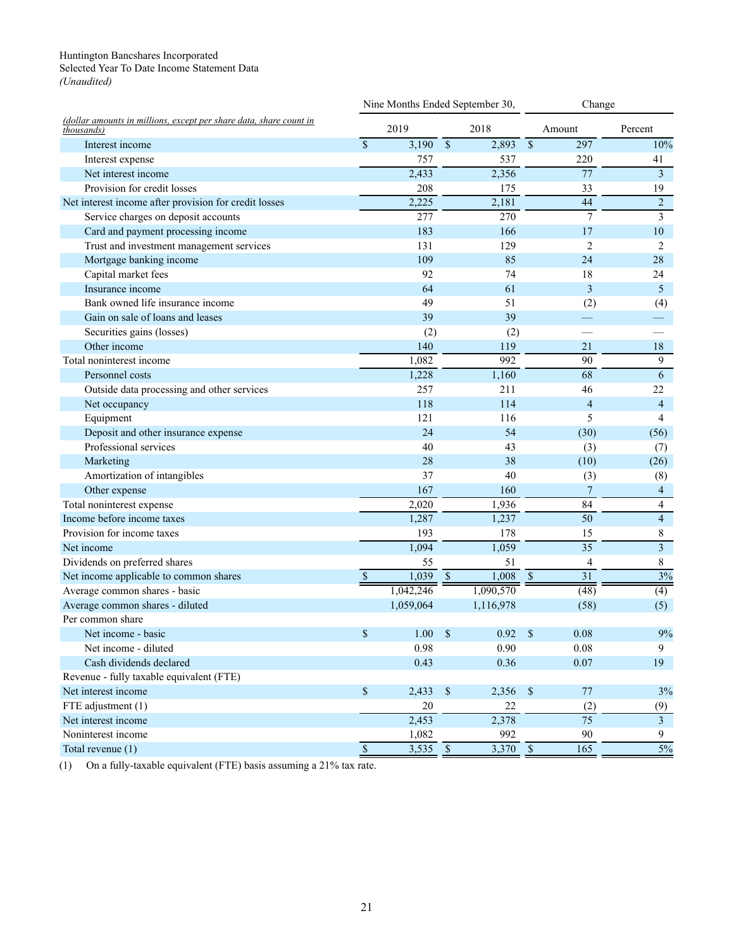#### <span id="page-33-0"></span>Huntington Bancshares Incorporated Selected Year To Date Income Statement Data *(Unaudited)*

| (dollar amounts in millions, except per share data, share count in<br><i>thousands</i> ) |              | Nine Months Ended September 30, |               |            | Change                   |                 |                           |
|------------------------------------------------------------------------------------------|--------------|---------------------------------|---------------|------------|--------------------------|-----------------|---------------------------|
|                                                                                          |              | 2019                            |               | 2018       |                          | Amount          | Percent                   |
| Interest income                                                                          | $\mathbf S$  | 3,190                           | $\mathcal{S}$ | 2,893      | $\overline{\mathcal{S}}$ | 297             | 10%                       |
| Interest expense                                                                         |              | 757                             |               | 537        |                          | 220             | 41                        |
| Net interest income                                                                      |              | 2,433                           |               | 2,356      |                          | 77              | $\overline{\overline{3}}$ |
| Provision for credit losses                                                              |              | 208                             |               | 175        |                          | 33              | 19                        |
| Net interest income after provision for credit losses                                    |              | 2,225                           |               | 2,181      |                          | 44              | $\overline{c}$            |
| Service charges on deposit accounts                                                      |              | 277                             |               | 270        |                          | $7\phantom{.0}$ | $\mathfrak{Z}$            |
| Card and payment processing income                                                       |              | 183                             |               | 166        |                          | 17              | 10                        |
| Trust and investment management services                                                 |              | 131                             |               | 129        |                          | $\overline{2}$  | $\overline{2}$            |
| Mortgage banking income                                                                  |              | 109                             |               | 85         |                          | 24              | 28                        |
| Capital market fees                                                                      |              | 92                              |               | 74         |                          | 18              | 24                        |
| Insurance income                                                                         |              | 64                              |               | 61         |                          | 3               | 5                         |
| Bank owned life insurance income                                                         |              | 49                              |               | 51         |                          | (2)             | (4)                       |
| Gain on sale of loans and leases                                                         |              | 39                              |               | 39         |                          |                 |                           |
| Securities gains (losses)                                                                |              | (2)                             |               | (2)        |                          |                 |                           |
| Other income                                                                             |              | 140                             |               | 119        |                          | 21              | 18                        |
| Total noninterest income                                                                 |              | 1,082                           |               | 992        |                          | 90              | 9                         |
| Personnel costs                                                                          |              | 1,228                           |               | 1,160      |                          | 68              | 6                         |
| Outside data processing and other services                                               |              | 257                             |               | 211        |                          | 46              | 22                        |
| Net occupancy                                                                            |              | 118                             |               | 114        |                          | $\overline{4}$  | $\overline{4}$            |
| Equipment                                                                                |              | 121                             |               | 116        |                          | 5               | $\overline{4}$            |
| Deposit and other insurance expense                                                      |              | 24                              |               | 54         |                          | (30)            | (56)                      |
| Professional services                                                                    |              | 40                              |               | 43         |                          | (3)             | (7)                       |
| Marketing                                                                                |              | 28                              |               | 38         |                          | (10)            | (26)                      |
| Amortization of intangibles                                                              |              | 37                              |               | 40         |                          | (3)             | (8)                       |
| Other expense                                                                            |              | 167                             |               | 160        |                          | 7               | $\overline{4}$            |
| Total noninterest expense                                                                |              | 2,020                           |               | 1,936      |                          | 84              | $\overline{4}$            |
| Income before income taxes                                                               |              | 1,287                           |               | 1,237      |                          | $\overline{50}$ | $\overline{4}$            |
| Provision for income taxes                                                               |              | 193                             |               | 178        |                          | 15              | $\,$ $\,$                 |
| Net income                                                                               |              | 1,094                           |               | 1,059      |                          | $\overline{35}$ | $\overline{\mathbf{3}}$   |
| Dividends on preferred shares                                                            |              | 55                              |               | 51         |                          | 4               | $\,$ $\,$                 |
| Net income applicable to common shares                                                   | $\mathbb{S}$ | 1,039                           | $\mathcal{S}$ | 1,008      | $\sqrt{\frac{1}{2}}$     | 31              | 3%                        |
| Average common shares - basic                                                            |              | 1,042,246                       |               | 1,090,570  |                          | (48)            | (4)                       |
| Average common shares - diluted                                                          |              | 1,059,064                       |               | 1,116,978  |                          | (58)            | (5)                       |
| Per common share                                                                         |              |                                 |               |            |                          |                 |                           |
| Net income - basic                                                                       | \$           | 1.00                            | $\mathcal{S}$ | 0.92       | \$                       | 0.08            | 9%                        |
| Net income - diluted                                                                     |              | 0.98                            |               | 0.90       |                          | 0.08            | 9                         |
| Cash dividends declared                                                                  |              | 0.43                            |               | 0.36       |                          | 0.07            | 19                        |
| Revenue - fully taxable equivalent (FTE)                                                 |              |                                 |               |            |                          |                 |                           |
| Net interest income                                                                      | $\mathbb{S}$ | 2,433                           | $\mathbb{S}$  | 2,356      | $\mathcal{S}$            | $77\,$          | 3%                        |
| FTE adjustment (1)                                                                       |              | 20                              |               | 22         |                          | (2)             | (9)                       |
| Net interest income                                                                      |              | 2,453                           |               | 2,378      |                          | $\overline{75}$ | $\overline{3}$            |
| Noninterest income                                                                       |              | 1,082                           |               | 992        |                          | 90              | 9                         |
| Total revenue (1)                                                                        | $\mathbb{S}$ | $3,535$ \$                      |               | $3,370$ \$ |                          | 165             | 5%                        |
|                                                                                          |              |                                 |               |            |                          |                 |                           |

(1) On a fully-taxable equivalent (FTE) basis assuming a 21% tax rate.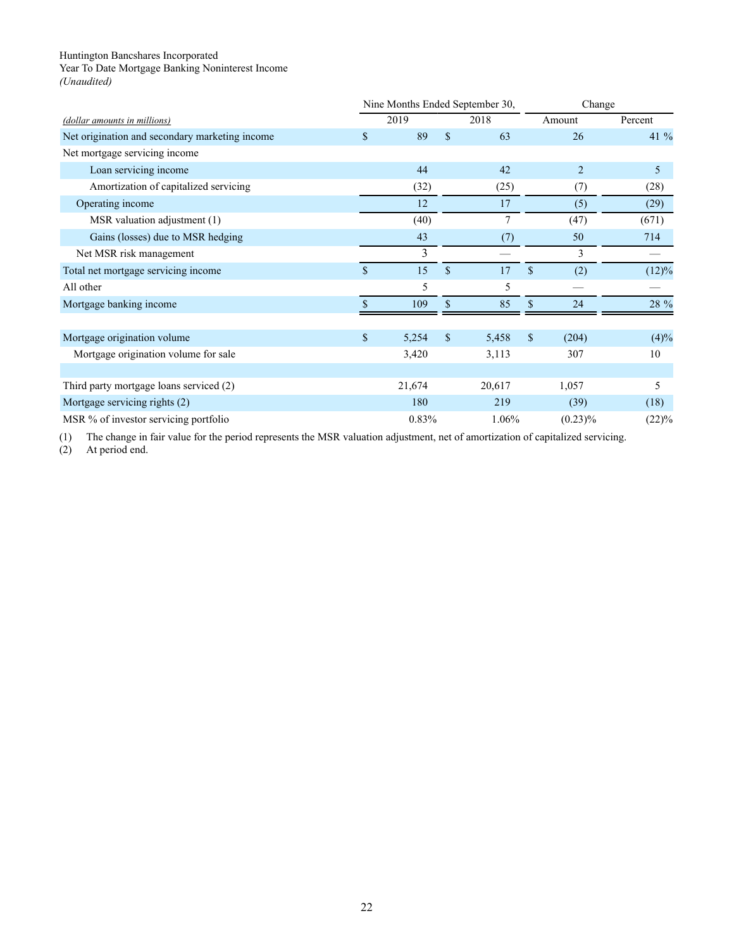<span id="page-34-0"></span>Year To Date Mortgage Banking Noninterest Income

*(Unaudited)*

| (dollar amounts in millions)                   |              | Nine Months Ended September 30, |              |        | Change        |                |         |
|------------------------------------------------|--------------|---------------------------------|--------------|--------|---------------|----------------|---------|
|                                                |              | 2019                            |              | 2018   |               | Amount         | Percent |
| Net origination and secondary marketing income | \$           | 89                              | \$           | 63     |               | 26             | 41 %    |
| Net mortgage servicing income                  |              |                                 |              |        |               |                |         |
| Loan servicing income                          |              | 44                              |              | 42     |               | $\overline{2}$ | 5       |
| Amortization of capitalized servicing          |              | (32)                            |              | (25)   |               | (7)            | (28)    |
| Operating income                               |              | 12                              |              | 17     |               | (5)            | (29)    |
| MSR valuation adjustment (1)                   |              | (40)                            |              | 7      |               | (47)           | (671)   |
| Gains (losses) due to MSR hedging              |              | 43                              |              | (7)    |               | 50             | 714     |
| Net MSR risk management                        |              | 3                               |              |        |               | 3              |         |
| Total net mortgage servicing income            | $\mathbf{s}$ | 15                              | $\mathbf{s}$ | 17     | $\mathbf{\$}$ | (2)            | (12)%   |
| All other                                      |              | 5                               |              | 5      |               |                |         |
| Mortgage banking income                        |              | 109                             | \$           | 85     | \$            | 24             | 28 %    |
|                                                |              |                                 |              |        |               |                |         |
| Mortgage origination volume                    | \$           | 5,254                           | \$           | 5,458  | \$            | (204)          | (4)%    |
| Mortgage origination volume for sale           |              | 3,420                           |              | 3,113  |               | 307            | 10      |
|                                                |              |                                 |              |        |               |                |         |
| Third party mortgage loans serviced (2)        |              | 21,674                          |              | 20,617 |               | 1,057          | 5       |
| Mortgage servicing rights (2)                  |              | 180                             |              | 219    |               | (39)           | (18)    |
| MSR % of investor servicing portfolio          |              | 0.83%                           |              | 1.06%  |               | $(0.23)\%$     | (22)%   |

(1) The change in fair value for the period represents the MSR valuation adjustment, net of amortization of capitalized servicing.

(2) At period end.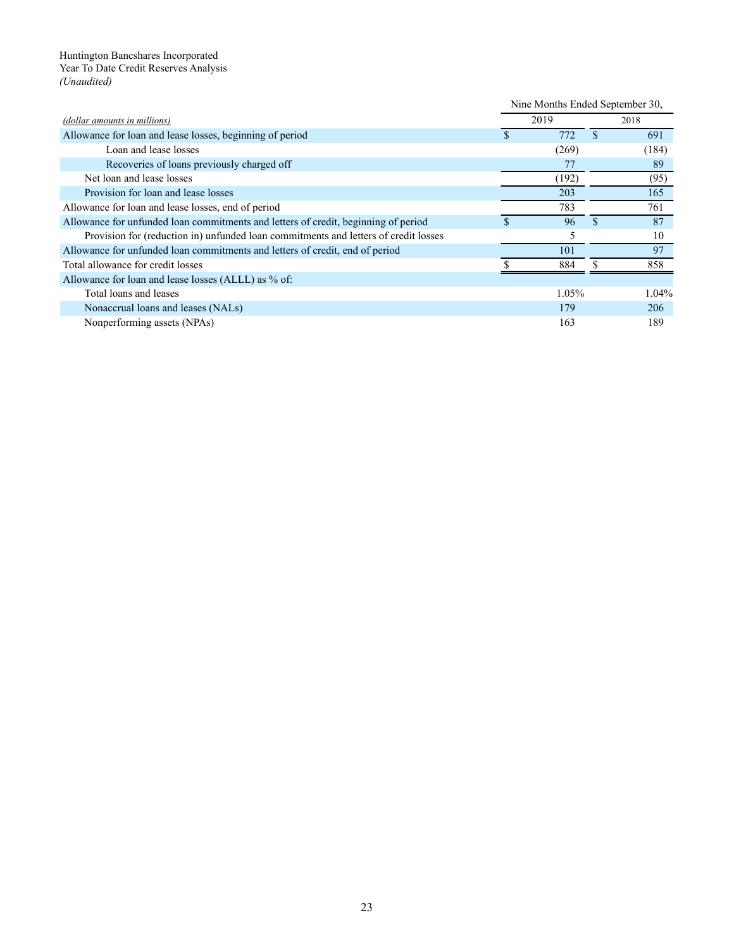<span id="page-35-0"></span>Huntington Bancshares Incorporated Year To Date Credit Reserves Analysis *(Unaudited)*

|                                                                                     | Nine Months Ended September 30, |       |               |       |
|-------------------------------------------------------------------------------------|---------------------------------|-------|---------------|-------|
| (dollar amounts in millions)                                                        | 2019                            |       | 2018          |       |
| Allowance for loan and lease losses, beginning of period                            | \$                              | 772   | <sup>\$</sup> | 691   |
| Loan and lease losses                                                               |                                 | (269) |               | (184) |
| Recoveries of loans previously charged off                                          |                                 | 77    |               | 89    |
| Net loan and lease losses                                                           |                                 | (192) |               | (95)  |
| Provision for loan and lease losses                                                 |                                 | 203   |               | 165   |
| Allowance for loan and lease losses, end of period                                  |                                 | 783   |               | 761   |
| Allowance for unfunded loan commitments and letters of credit, beginning of period  |                                 | 96    | S.            | 87    |
| Provision for (reduction in) unfunded loan commitments and letters of credit losses |                                 | 5     |               | 10    |
| Allowance for unfunded loan commitments and letters of credit, end of period        |                                 | 101   |               | 97    |
| Total allowance for credit losses                                                   |                                 | 884   | ς             | 858   |
| Allowance for loan and lease losses (ALLL) as % of:                                 |                                 |       |               |       |
| Total loans and leases                                                              |                                 | 1.05% |               | 1.04% |
| Nonaccrual loans and leases (NALs)                                                  |                                 | 179   |               | 206   |
| Nonperforming assets (NPAs)                                                         |                                 | 163   |               | 189   |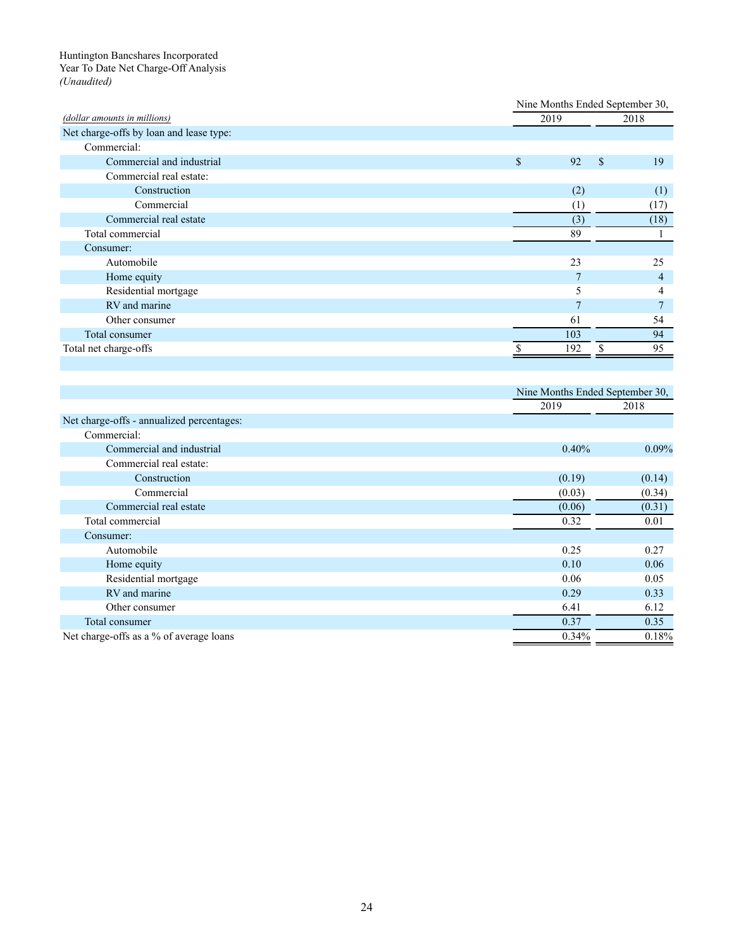#### <span id="page-36-0"></span>Huntington Bancshares Incorporated Year To Date Net Charge-Off Analysis *(Unaudited)*

|                                           |                  | Nine Months Ended September 30, |                 |  |
|-------------------------------------------|------------------|---------------------------------|-----------------|--|
| (dollar amounts in millions)              | 2019             |                                 | 2018            |  |
| Net charge-offs by loan and lease type:   |                  |                                 |                 |  |
| Commercial:                               |                  |                                 |                 |  |
| Commercial and industrial                 | \$<br>92         | \$                              | 19              |  |
| Commercial real estate:                   |                  |                                 |                 |  |
| Construction                              | (2)              |                                 | (1)             |  |
| Commercial                                | (1)              |                                 | (17)            |  |
| Commercial real estate                    | $\overline{(3)}$ |                                 | (18)            |  |
| Total commercial                          | 89               |                                 | 1               |  |
| Consumer:                                 |                  |                                 |                 |  |
| Automobile                                | 23               |                                 | 25              |  |
| Home equity                               | $\overline{7}$   |                                 | $\overline{4}$  |  |
| Residential mortgage                      | 5                |                                 | 4               |  |
| RV and marine                             | $\overline{7}$   |                                 | $\overline{7}$  |  |
| Other consumer                            | 61               |                                 | 54              |  |
| Total consumer                            | 103              |                                 | 94              |  |
| Total net charge-offs                     | 192<br>\$        | \$                              | $\overline{95}$ |  |
|                                           |                  |                                 |                 |  |
|                                           |                  |                                 |                 |  |
|                                           |                  | Nine Months Ended September 30, |                 |  |
|                                           | 2019             |                                 | 2018            |  |
| Net charge-offs - annualized percentages: |                  |                                 |                 |  |
| Commercial:                               |                  |                                 |                 |  |
| Commercial and industrial                 | 0.40%            |                                 | 0.09%           |  |
| Commercial real estate:                   |                  |                                 |                 |  |
| Construction                              | (0.19)           |                                 | (0.14)          |  |
| Commercial                                | (0.03)           |                                 | (0.34)          |  |
| Commercial real estate                    | (0.06)           |                                 | (0.31)          |  |
| Total commercial                          | 0.32             |                                 | 0.01            |  |
| Consumer:                                 |                  |                                 |                 |  |
| Automobile                                | 0.25             |                                 | 0.27            |  |
| Home equity                               | 0.10             |                                 | 0.06            |  |
| Residential mortgage                      | 0.06             |                                 | 0.05            |  |
| RV and marine                             | 0.29             |                                 | 0.33            |  |
| Other consumer                            | 6.41             |                                 | 6.12            |  |

Total consumer 0.35 0.35

Net charge-offs as a % of average loans  $0.18\%$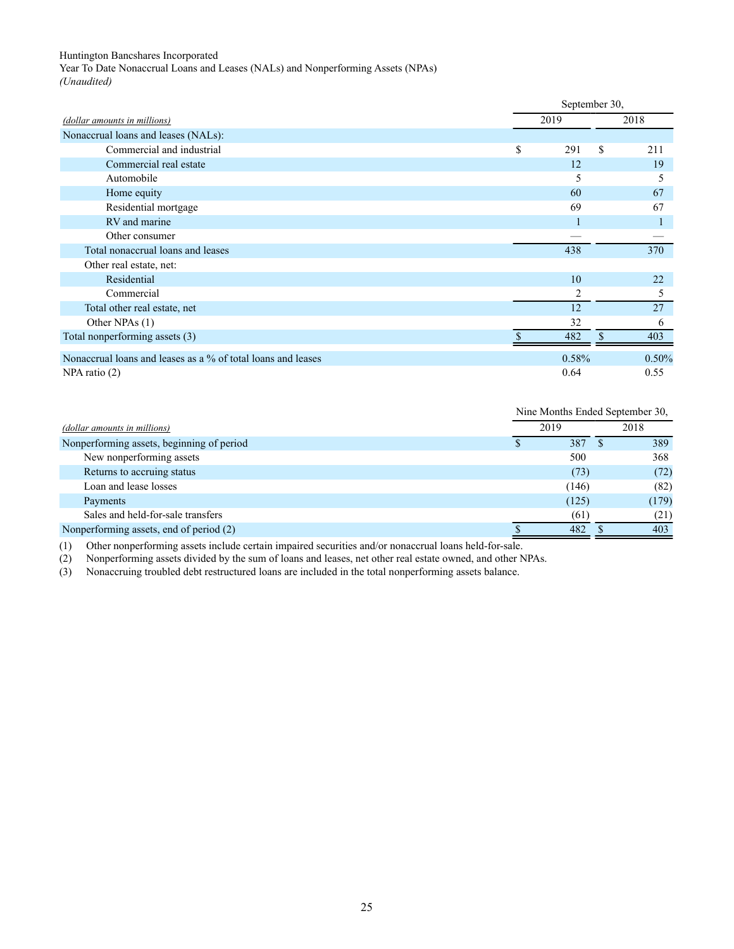<span id="page-37-0"></span>Year To Date Nonaccrual Loans and Leases (NALs) and Nonperforming Assets (NPAs) *(Unaudited)*

|                                                              |           | September 30, |       |  |
|--------------------------------------------------------------|-----------|---------------|-------|--|
| (dollar amounts in millions)                                 | 2019      |               | 2018  |  |
| Nonaccrual loans and leases (NALs):                          |           |               |       |  |
| Commercial and industrial                                    | \$<br>291 | \$            | 211   |  |
| Commercial real estate                                       | 12        |               | 19    |  |
| Automobile                                                   | 5         |               | 5     |  |
| Home equity                                                  | 60        |               | 67    |  |
| Residential mortgage                                         | 69        |               | 67    |  |
| RV and marine                                                |           |               |       |  |
| Other consumer                                               |           |               |       |  |
| Total nonaccrual loans and leases                            | 438       |               | 370   |  |
| Other real estate, net:                                      |           |               |       |  |
| Residential                                                  | 10        |               | 22    |  |
| Commercial                                                   | 2         |               | 5     |  |
| Total other real estate, net                                 | 12        |               | 27    |  |
| Other NPAs (1)                                               | 32        |               | 6     |  |
| Total nonperforming assets (3)                               | 482       | S             | 403   |  |
| Nonaccrual loans and leases as a % of total loans and leases | 0.58%     |               | 0.50% |  |
| $NPA$ ratio $(2)$                                            | 0.64      |               | 0.55  |  |

|                                           | Nine Months Ended September 30, |       |       |  |
|-------------------------------------------|---------------------------------|-------|-------|--|
| (dollar amounts in millions)              | 2019                            |       | 2018  |  |
| Nonperforming assets, beginning of period |                                 | 387   | 389   |  |
| New nonperforming assets                  |                                 | 500   | 368   |  |
| Returns to accruing status                |                                 | (73)  | (72)  |  |
| Loan and lease losses                     |                                 | (146) | (82)  |  |
| Payments                                  |                                 | (125) | (179) |  |
| Sales and held-for-sale transfers         |                                 | (61)  | (21)  |  |
| Nonperforming assets, end of period (2)   |                                 | 482   | 403   |  |

(1) Other nonperforming assets include certain impaired securities and/or nonaccrual loans held-for-sale.

(2) Nonperforming assets divided by the sum of loans and leases, net other real estate owned, and other NPAs.

(3) Nonaccruing troubled debt restructured loans are included in the total nonperforming assets balance.